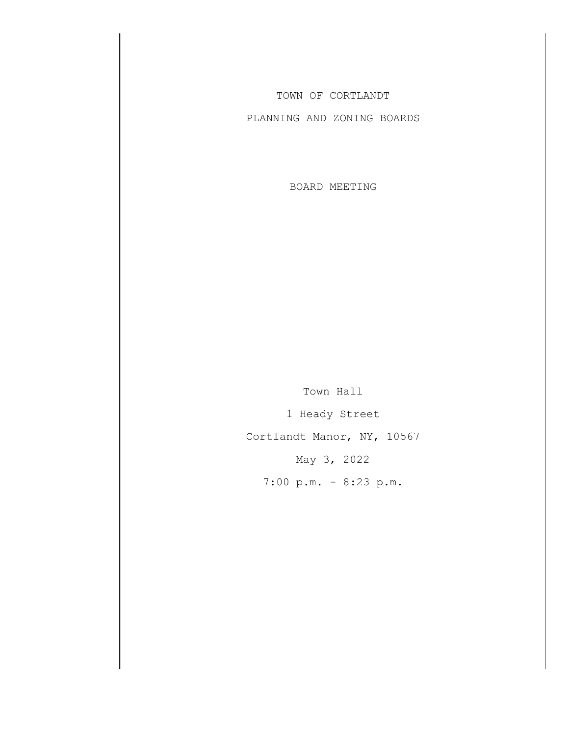TOWN OF CORTLANDT

PLANNING AND ZONING BOARDS

BOARD MEETING

Town Hall 1 Heady Street Cortlandt Manor, NY, 10567 May 3, 2022 7:00 p.m. - 8:23 p.m.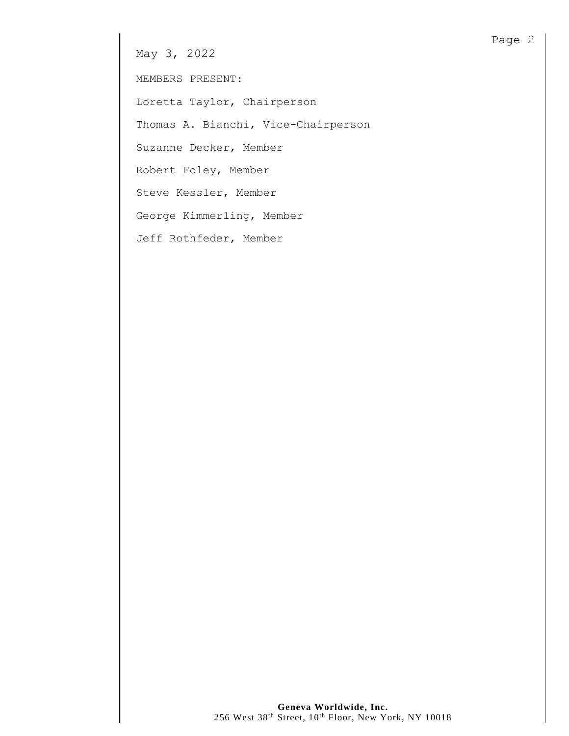May 3, 2022

MEMBERS PRESENT:

Loretta Taylor, Chairperson

Thomas A. Bianchi, Vice-Chairperson

Suzanne Decker, Member

Robert Foley, Member

Steve Kessler, Member

George Kimmerling, Member

Jeff Rothfeder, Member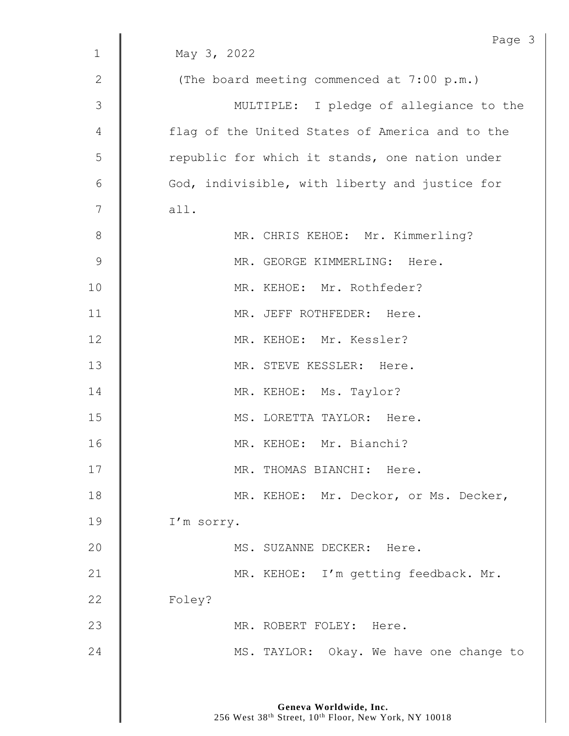|              | Page 3                                          |
|--------------|-------------------------------------------------|
| $\mathbf{1}$ | May 3, 2022                                     |
| $\mathbf{2}$ | (The board meeting commenced at 7:00 p.m.)      |
| 3            | MULTIPLE: I pledge of allegiance to the         |
| 4            | flag of the United States of America and to the |
| 5            | republic for which it stands, one nation under  |
| $6\,$        | God, indivisible, with liberty and justice for  |
| 7            | all.                                            |
| $8\,$        | MR. CHRIS KEHOE: Mr. Kimmerling?                |
| $\mathsf 9$  | MR. GEORGE KIMMERLING: Here.                    |
| 10           | MR. KEHOE: Mr. Rothfeder?                       |
| 11           | MR. JEFF ROTHFEDER: Here.                       |
| 12           | MR. KEHOE: Mr. Kessler?                         |
| 13           | MR. STEVE KESSLER: Here.                        |
| 14           | MR. KEHOE: Ms. Taylor?                          |
| 15           | MS. LORETTA TAYLOR: Here.                       |
| 16           | MR. KEHOE: Mr. Bianchi?                         |
| 17           | MR. THOMAS BIANCHI: Here.                       |
| 18           | MR. KEHOE: Mr. Deckor, or Ms. Decker,           |
| 19           | I'm sorry.                                      |
| 20           | MS. SUZANNE DECKER: Here.                       |
| 21           | MR. KEHOE: I'm getting feedback. Mr.            |
| 22           | Foley?                                          |
| 23           | MR. ROBERT FOLEY: Here.                         |
| 24           | MS. TAYLOR: Okay. We have one change to         |
|              |                                                 |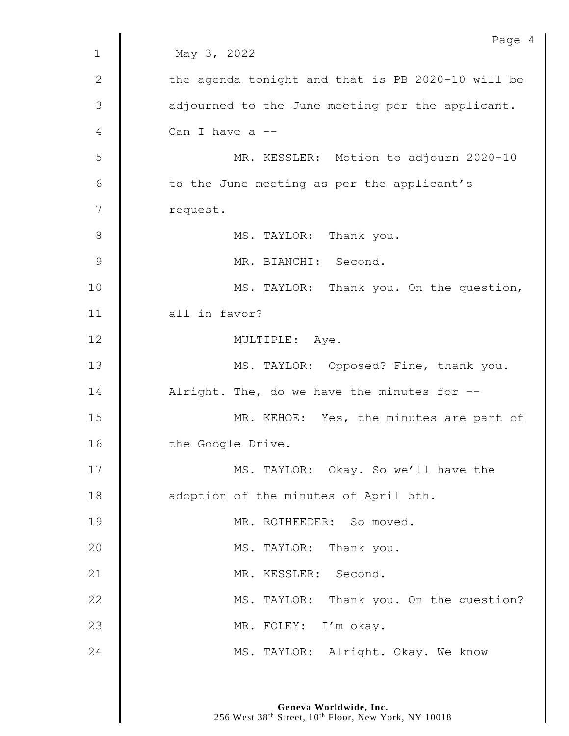| Page 4                                            |
|---------------------------------------------------|
| May 3, 2022                                       |
| the agenda tonight and that is PB 2020-10 will be |
| adjourned to the June meeting per the applicant.  |
| Can I have a --                                   |
| MR. KESSLER: Motion to adjourn 2020-10            |
| to the June meeting as per the applicant's        |
| request.                                          |
| MS. TAYLOR: Thank you.                            |
| MR. BIANCHI: Second.                              |
| MS. TAYLOR: Thank you. On the question,           |
| all in favor?                                     |
| MULTIPLE: Aye.                                    |
| MS. TAYLOR: Opposed? Fine, thank you.             |
| Alright. The, do we have the minutes for --       |
| MR. KEHOE: Yes, the minutes are part of           |
| the Google Drive.                                 |
| MS. TAYLOR: Okay. So we'll have the               |
| adoption of the minutes of April 5th.             |
| MR. ROTHFEDER: So moved.                          |
| MS. TAYLOR: Thank you.                            |
| MR. KESSLER: Second.                              |
| MS. TAYLOR: Thank you. On the question?           |
| MR. FOLEY: I'm okay.                              |
| MS. TAYLOR: Alright. Okay. We know                |
|                                                   |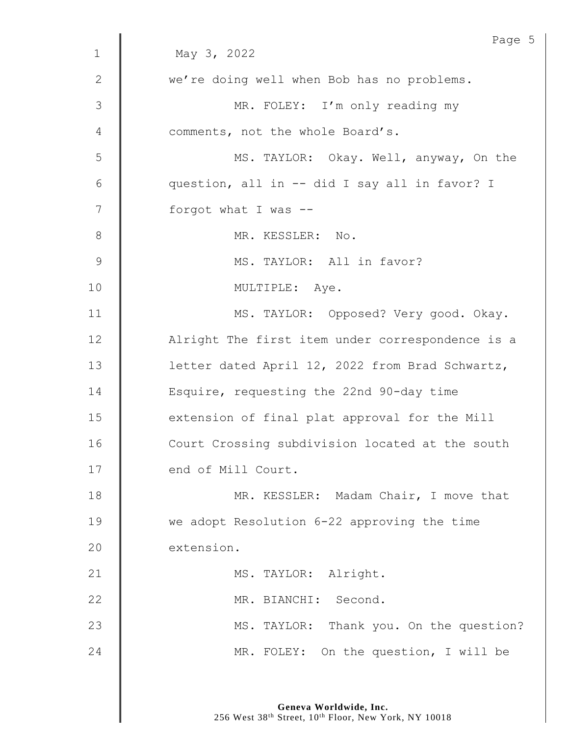|               | Page 5                                           |
|---------------|--------------------------------------------------|
| $\mathbf{1}$  | May 3, 2022                                      |
| $\mathbf{2}$  | we're doing well when Bob has no problems.       |
| $\mathcal{S}$ | MR. FOLEY: I'm only reading my                   |
| 4             | comments, not the whole Board's.                 |
| 5             | MS. TAYLOR: Okay. Well, anyway, On the           |
| 6             | question, all in -- did I say all in favor? I    |
| 7             | forgot what I was --                             |
| $8\,$         | MR. KESSLER: No.                                 |
| $\mathsf 9$   | MS. TAYLOR: All in favor?                        |
| 10            | MULTIPLE: Aye.                                   |
| 11            | MS. TAYLOR: Opposed? Very good. Okay.            |
| 12            | Alright The first item under correspondence is a |
| 13            | letter dated April 12, 2022 from Brad Schwartz,  |
| 14            | Esquire, requesting the 22nd 90-day time         |
| 15            | extension of final plat approval for the Mill    |
| 16            | Court Crossing subdivision located at the south  |
| 17            | end of Mill Court.                               |
| 18            | MR. KESSLER: Madam Chair, I move that            |
| 19            | we adopt Resolution 6-22 approving the time      |
| 20            | extension.                                       |
| 21            | MS. TAYLOR: Alright.                             |
| 22            | MR. BIANCHI: Second.                             |
| 23            | MS. TAYLOR: Thank you. On the question?          |
| 24            | MR. FOLEY: On the question, I will be            |
|               |                                                  |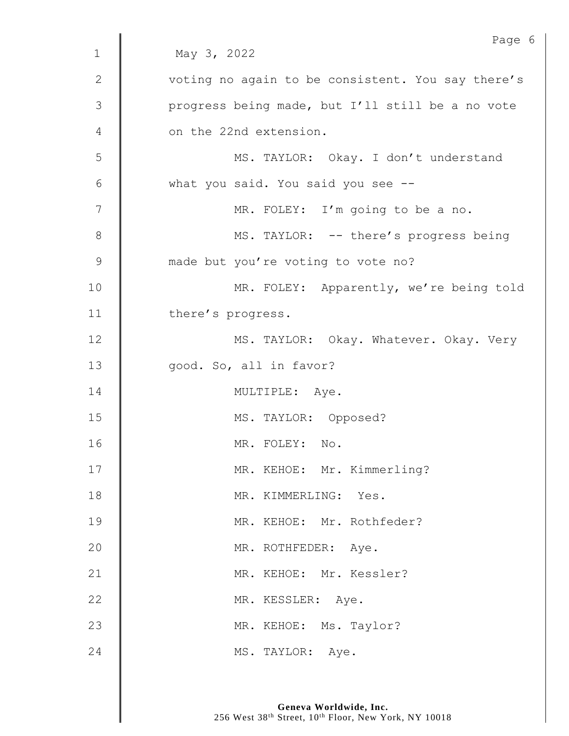|                | Page 6                                            |
|----------------|---------------------------------------------------|
| $\mathbf{1}$   | May 3, 2022                                       |
| $\mathbf{2}$   | voting no again to be consistent. You say there's |
| 3              | progress being made, but I'll still be a no vote  |
| 4              | on the 22nd extension.                            |
| 5              | MS. TAYLOR: Okay. I don't understand              |
| 6              | what you said. You said you see --                |
| $\overline{7}$ | MR. FOLEY: I'm going to be a no.                  |
| $\,8\,$        | MS. TAYLOR: -- there's progress being             |
| $\mathcal{G}$  | made but you're voting to vote no?                |
| 10             | MR. FOLEY: Apparently, we're being told           |
| 11             | there's progress.                                 |
| 12             | MS. TAYLOR: Okay. Whatever. Okay. Very            |
| 13             | good. So, all in favor?                           |
| 14             | MULTIPLE: Aye.                                    |
| 15             | MS. TAYLOR: Opposed?                              |
| 16             | MR. FOLEY: No.                                    |
| 17             | MR. KEHOE: Mr. Kimmerling?                        |
| 18             | MR. KIMMERLING: Yes.                              |
| 19             | MR. KEHOE: Mr. Rothfeder?                         |
| 20             | MR. ROTHFEDER: Aye.                               |
| 21             | MR. KEHOE: Mr. Kessler?                           |
| 22             | MR. KESSLER: Aye.                                 |
| 23             | MR. KEHOE: Ms. Taylor?                            |
| 24             | MS. TAYLOR: Aye.                                  |
|                |                                                   |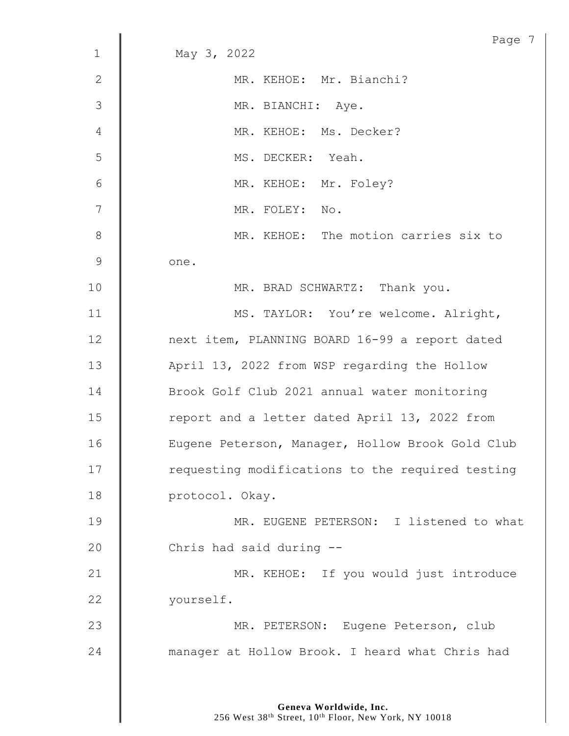|              | Page 7                                           |
|--------------|--------------------------------------------------|
| $\mathbf{1}$ | May 3, 2022                                      |
| $\mathbf{2}$ | MR. KEHOE: Mr. Bianchi?                          |
| 3            | MR. BIANCHI: Aye.                                |
| 4            | MR. KEHOE: Ms. Decker?                           |
| 5            | MS. DECKER: Yeah.                                |
| 6            | MR. KEHOE: Mr. Foley?                            |
| 7            | MR. FOLEY: No.                                   |
| $8\,$        | MR. KEHOE: The motion carries six to             |
| 9            | one.                                             |
| 10           | MR. BRAD SCHWARTZ: Thank you.                    |
| 11           | MS. TAYLOR: You're welcome. Alright,             |
| 12           | next item, PLANNING BOARD 16-99 a report dated   |
| 13           | April 13, 2022 from WSP regarding the Hollow     |
| 14           | Brook Golf Club 2021 annual water monitoring     |
| 15           | report and a letter dated April 13, 2022 from    |
| 16           | Eugene Peterson, Manager, Hollow Brook Gold Club |
| 17           | requesting modifications to the required testing |
| 18           | protocol. Okay.                                  |
| 19           | MR. EUGENE PETERSON: I listened to what          |
| 20           | Chris had said during --                         |
| 21           | MR. KEHOE: If you would just introduce           |
| 22           | yourself.                                        |
| 23           | MR. PETERSON: Eugene Peterson, club              |
| 24           | manager at Hollow Brook. I heard what Chris had  |
|              |                                                  |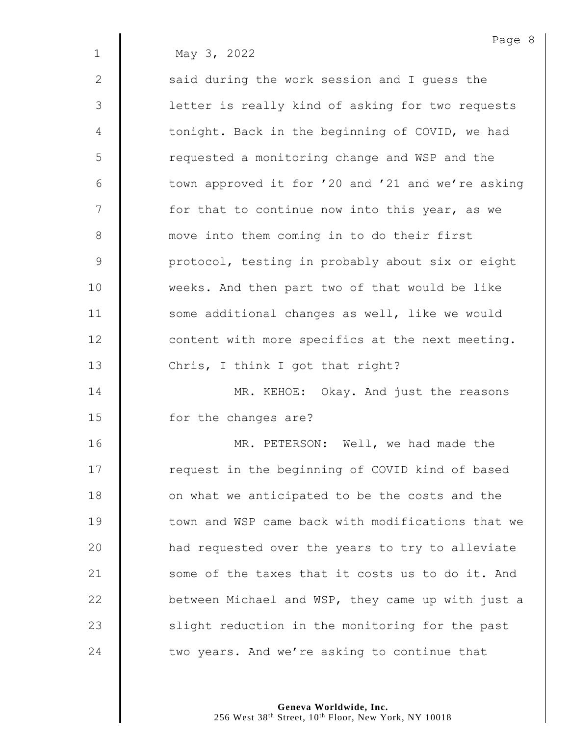1 May 3, 2022

2 | said during the work session and I quess the 3 || letter is really kind of asking for two requests 4 | tonight. Back in the beginning of COVID, we had 5 | requested a monitoring change and WSP and the 6 | town approved it for '20 and '21 and we're asking  $7 \parallel$  for that to continue now into this year, as we 8 | move into them coming in to do their first 9 | protocol, testing in probably about six or eight 10 weeks. And then part two of that would be like 11 | some additional changes as well, like we would 12 **deg is a 12** content with more specifics at the next meeting. 13 Chris, I think I got that right? 14 **MR. KEHOE:** Okay. And just the reasons

15 **I** for the changes are?

**MR. PETERSON:** Well, we had made the 17 | request in the beginning of COVID kind of based **d** on what we anticipated to be the costs and the **I** town and WSP came back with modifications that we 20 | had requested over the years to try to alleviate 21 | some of the taxes that it costs us to do it. And **between Michael and WSP, they came up with just a**   $\parallel$  slight reduction in the monitoring for the past  $\parallel$  two years. And we're asking to continue that

> **Geneva Worldwide, Inc.** 256 West 38<sup>th</sup> Street, 10<sup>th</sup> Floor, New York, NY 10018

Page 8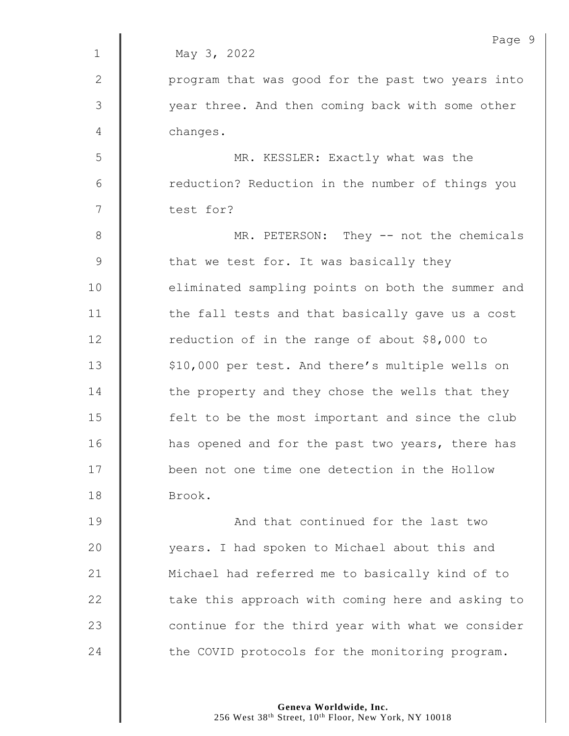|             | Page 9                                            |
|-------------|---------------------------------------------------|
| $\mathbf 1$ | May 3, 2022                                       |
| 2           | program that was good for the past two years into |
| 3           | year three. And then coming back with some other  |
| 4           | changes.                                          |
| 5           | MR. KESSLER: Exactly what was the                 |
| 6           | reduction? Reduction in the number of things you  |
| 7           | test for?                                         |
| $8\,$       | MR. PETERSON: They -- not the chemicals           |
| 9           | that we test for. It was basically they           |
| 10          | eliminated sampling points on both the summer and |
| 11          | the fall tests and that basically gave us a cost  |
| 12          | reduction of in the range of about \$8,000 to     |
| 13          | \$10,000 per test. And there's multiple wells on  |
| 14          | the property and they chose the wells that they   |
| 15          | felt to be the most important and since the club  |
| 16          | has opened and for the past two years, there has  |
| 17          | been not one time one detection in the Hollow     |
| 18          | Brook.                                            |
| 19          | And that continued for the last two               |
| 20          | years. I had spoken to Michael about this and     |
| 21          | Michael had referred me to basically kind of to   |
| 22          | take this approach with coming here and asking to |
| 23          | continue for the third year with what we consider |
| 24          | the COVID protocols for the monitoring program.   |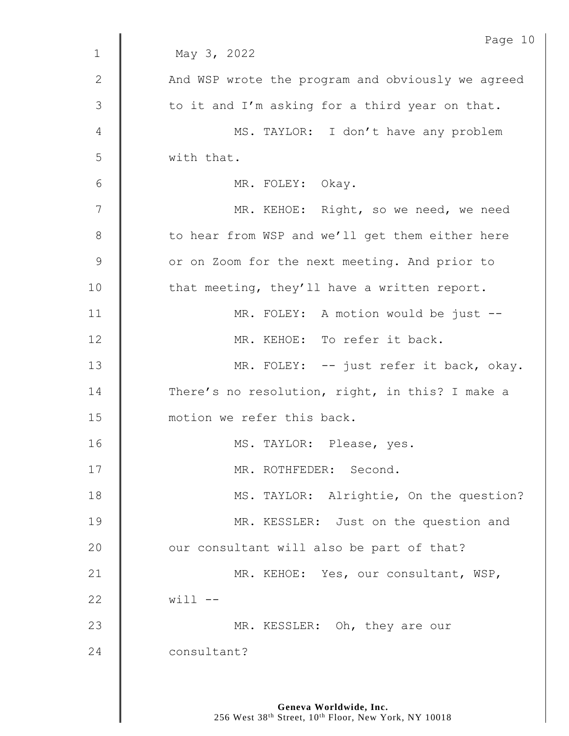|               | Page 10                                           |
|---------------|---------------------------------------------------|
| $\mathbf{1}$  | May 3, 2022                                       |
| $\mathbf{2}$  | And WSP wrote the program and obviously we agreed |
| 3             | to it and I'm asking for a third year on that.    |
| 4             | MS. TAYLOR: I don't have any problem              |
| 5             | with that.                                        |
| 6             | MR. FOLEY: Okay.                                  |
| 7             | MR. KEHOE: Right, so we need, we need             |
| 8             | to hear from WSP and we'll get them either here   |
| $\mathcal{G}$ | or on Zoom for the next meeting. And prior to     |
| 10            | that meeting, they'll have a written report.      |
| 11            | MR. FOLEY: A motion would be just --              |
| 12            | MR. KEHOE: To refer it back.                      |
| 13            | MR. FOLEY: -- just refer it back, okay.           |
| 14            | There's no resolution, right, in this? I make a   |
| 15            | motion we refer this back.                        |
| 16            | MS. TAYLOR: Please, yes.                          |
| 17            | MR. ROTHFEDER: Second.                            |
| 18            | MS. TAYLOR: Alrightie, On the question?           |
| 19            | MR. KESSLER: Just on the question and             |
| 20            | our consultant will also be part of that?         |
| 21            | MR. KEHOE: Yes, our consultant, WSP,              |
| 22            | $will$ $--$                                       |
| 23            | MR. KESSLER: Oh, they are our                     |
| 24            | consultant?                                       |
|               |                                                   |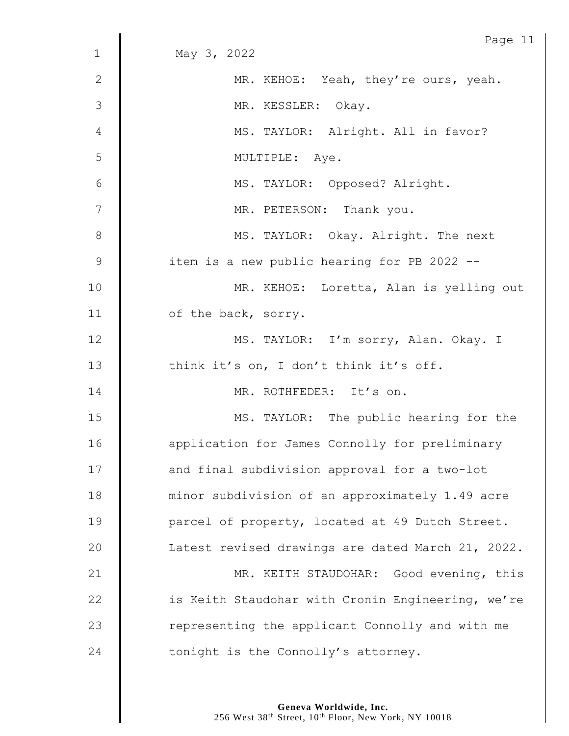|                 | Page 11                                           |
|-----------------|---------------------------------------------------|
| $\mathbf 1$     | May 3, 2022                                       |
| $\mathbf{2}$    | MR. KEHOE: Yeah, they're ours, yeah.              |
| 3               | MR. KESSLER: Okay.                                |
| 4               | MS. TAYLOR: Alright. All in favor?                |
| 5               | MULTIPLE: Aye.                                    |
| $6\phantom{.}6$ | MS. TAYLOR: Opposed? Alright.                     |
| $\overline{7}$  | MR. PETERSON: Thank you.                          |
| 8               | MS. TAYLOR: Okay. Alright. The next               |
| $\mathcal{G}$   | item is a new public hearing for PB 2022 --       |
| 10              | MR. KEHOE: Loretta, Alan is yelling out           |
| 11              | of the back, sorry.                               |
| 12              | MS. TAYLOR: I'm sorry, Alan. Okay. I              |
| 13              | think it's on, I don't think it's off.            |
| 14              | MR. ROTHFEDER: It's on.                           |
| 15              | MS. TAYLOR: The public hearing for the            |
| 16              | application for James Connolly for preliminary    |
| 17              | and final subdivision approval for a two-lot      |
| 18              | minor subdivision of an approximately 1.49 acre   |
| 19              | parcel of property, located at 49 Dutch Street.   |
| 20              | Latest revised drawings are dated March 21, 2022. |
| 21              | MR. KEITH STAUDOHAR: Good evening, this           |
| 22              | is Keith Staudohar with Cronin Engineering, we're |
| 23              | representing the applicant Connolly and with me   |
| 24              | tonight is the Connolly's attorney.               |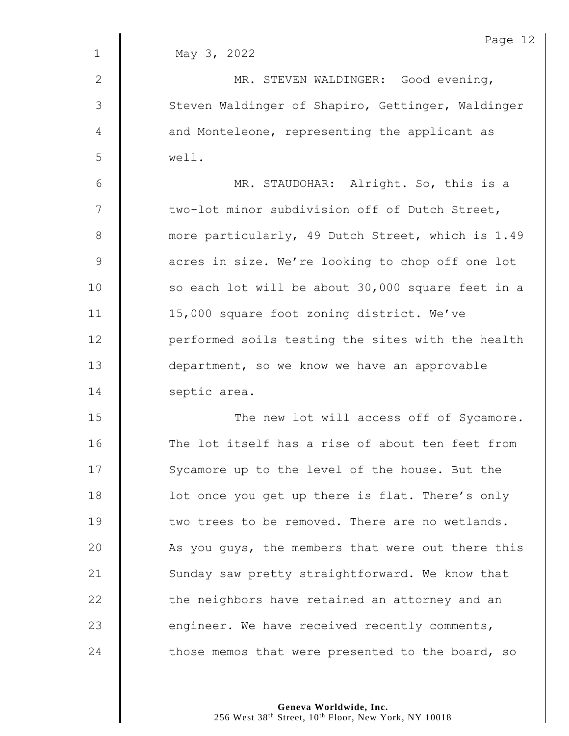|                | Page 12                                           |
|----------------|---------------------------------------------------|
| $\mathbf 1$    | May 3, 2022                                       |
| $\mathbf{2}$   | MR. STEVEN WALDINGER: Good evening,               |
| $\mathfrak{Z}$ | Steven Waldinger of Shapiro, Gettinger, Waldinger |
| $\overline{4}$ | and Monteleone, representing the applicant as     |
| 5              | well.                                             |
| $\sqrt{6}$     | MR. STAUDOHAR: Alright. So, this is a             |
| 7              | two-lot minor subdivision off of Dutch Street,    |
| $\,8\,$        | more particularly, 49 Dutch Street, which is 1.49 |
| $\mathsf 9$    | acres in size. We're looking to chop off one lot  |
| 10             | so each lot will be about 30,000 square feet in a |
| 11             | 15,000 square foot zoning district. We've         |
| 12             | performed soils testing the sites with the health |
| 13             | department, so we know we have an approvable      |
| 14             | septic area.                                      |
| 15             | The new lot will access off of Sycamore.          |
| 16             | The lot itself has a rise of about ten feet from  |
| 17             | Sycamore up to the level of the house. But the    |
| 18             | lot once you get up there is flat. There's only   |
| 19             | two trees to be removed. There are no wetlands.   |
| 20             | As you guys, the members that were out there this |
| 21             | Sunday saw pretty straightforward. We know that   |
| 22             | the neighbors have retained an attorney and an    |
| 23             | engineer. We have received recently comments,     |
| 24             | those memos that were presented to the board, so  |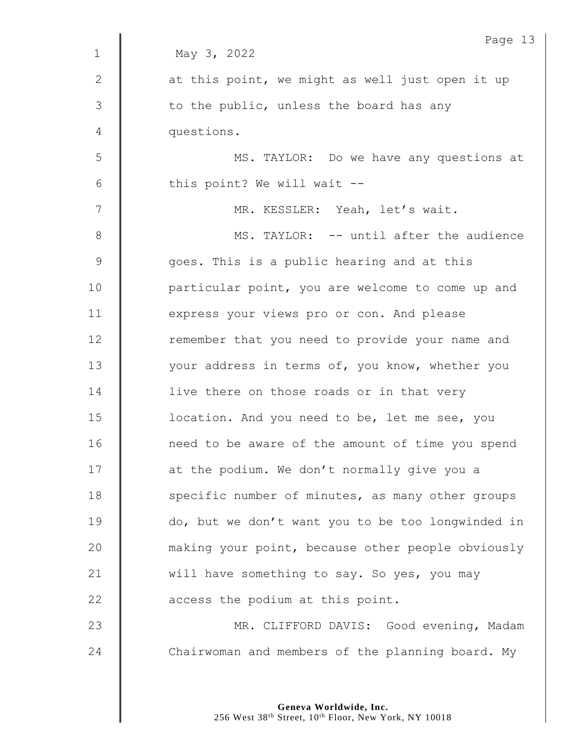|              | Page 13                                           |
|--------------|---------------------------------------------------|
| $\mathbf{1}$ | May 3, 2022                                       |
| $\mathbf{2}$ | at this point, we might as well just open it up   |
| 3            | to the public, unless the board has any           |
| 4            | questions.                                        |
| 5            | MS. TAYLOR: Do we have any questions at           |
| 6            | this point? We will wait --                       |
| 7            | MR. KESSLER: Yeah, let's wait.                    |
| $8\,$        | MS. TAYLOR: -- until after the audience           |
| $\mathsf 9$  | goes. This is a public hearing and at this        |
| 10           | particular point, you are welcome to come up and  |
| 11           | express your views pro or con. And please         |
| 12           | remember that you need to provide your name and   |
| 13           | your address in terms of, you know, whether you   |
| 14           | live there on those roads or in that very         |
| 15           | location. And you need to be, let me see, you     |
| 16           | need to be aware of the amount of time you spend  |
| 17           | at the podium. We don't normally give you a       |
| 18           | specific number of minutes, as many other groups  |
| 19           | do, but we don't want you to be too longwinded in |
| 20           | making your point, because other people obviously |
| 21           | will have something to say. So yes, you may       |
| 22           | access the podium at this point.                  |
| 23           | MR. CLIFFORD DAVIS: Good evening, Madam           |
| 24           | Chairwoman and members of the planning board. My  |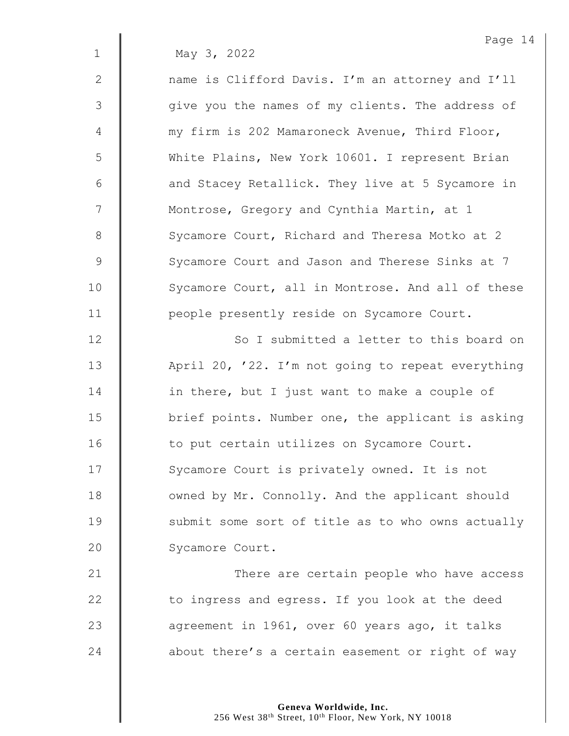1 May 3, 2022

2 || name is Clifford Davis. I'm an attorney and I'll 3 | give you the names of my clients. The address of 4 | my firm is 202 Mamaroneck Avenue, Third Floor, 5 White Plains, New York 10601. I represent Brian  $6 \parallel$  and Stacey Retallick. They live at 5 Sycamore in 7 | Montrose, Gregory and Cynthia Martin, at 1 8 Sycamore Court, Richard and Theresa Motko at 2 9 Sycamore Court and Jason and Therese Sinks at 7 10 | Sycamore Court, all in Montrose. And all of these 11 | people presently reside on Sycamore Court.

12 | So I submitted a letter to this board on 13 | April 20, '22. I'm not going to repeat everything 14 **in there, but I** just want to make a couple of 15  $\parallel$  brief points. Number one, the applicant is asking 16 | to put certain utilizes on Sycamore Court. 17 | Sycamore Court is privately owned. It is not 18 **July 18** owned by Mr. Connolly. And the applicant should  $19$   $\parallel$  submit some sort of title as to who owns actually 20 Sycamore Court.

21 | There are certain people who have access  $\parallel$  to ingress and egress. If you look at the deed **a** agreement in 1961, over 60 years ago, it talks  $\parallel$  about there's a certain easement or right of way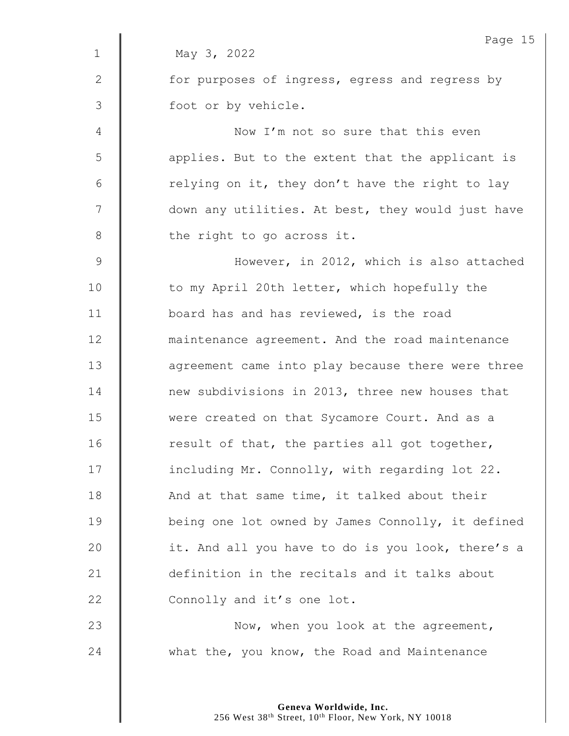|               | Page 15                                           |
|---------------|---------------------------------------------------|
| $\mathbf 1$   | May 3, 2022                                       |
| 2             | for purposes of ingress, egress and regress by    |
| 3             | foot or by vehicle.                               |
| 4             | Now I'm not so sure that this even                |
| 5             | applies. But to the extent that the applicant is  |
| 6             | relying on it, they don't have the right to lay   |
| 7             | down any utilities. At best, they would just have |
| $8\,$         | the right to go across it.                        |
| $\mathcal{G}$ | However, in 2012, which is also attached          |
| 10            | to my April 20th letter, which hopefully the      |
| 11            | board has and has reviewed, is the road           |
| 12            | maintenance agreement. And the road maintenance   |
| 13            | agreement came into play because there were three |
| 14            | new subdivisions in 2013, three new houses that   |
| 15            | were created on that Sycamore Court. And as a     |
| 16            | result of that, the parties all got together,     |
| 17            | including Mr. Connolly, with regarding lot 22.    |
| 18            | And at that same time, it talked about their      |
| 19            | being one lot owned by James Connolly, it defined |
| 20            | it. And all you have to do is you look, there's a |
| 21            | definition in the recitals and it talks about     |
| 22            | Connolly and it's one lot.                        |
| 23            | Now, when you look at the agreement,              |
| 24            | what the, you know, the Road and Maintenance      |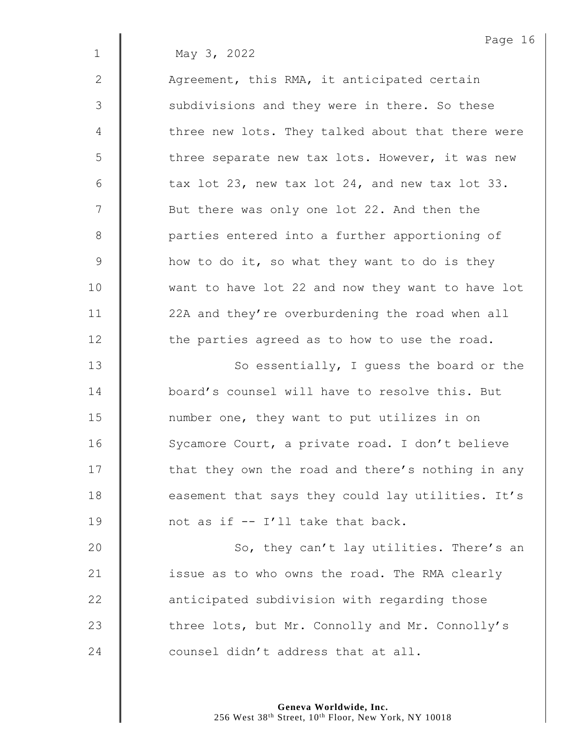Page 16 1 May 3, 2022 2  $\parallel$  Agreement, this RMA, it anticipated certain 3 | subdivisions and they were in there. So these 4 | three new lots. They talked about that there were  $5 \parallel$  three separate new tax lots. However, it was new  $6 \parallel$  tax lot 23, new tax lot 24, and new tax lot 33. 7 || But there was only one lot 22. And then the 8 | parties entered into a further apportioning of  $9 \parallel$  how to do it, so what they want to do is they 10 want to have lot 22 and now they want to have lot 11 | 22A and they're overburdening the road when all 12 **the parties agreed as to how to use the road.** 13 | So essentially, I guess the board or the 14 board's counsel will have to resolve this. But 15 **I** number one, they want to put utilizes in on 16 | Sycamore Court, a private road. I don't believe  $17$   $\parallel$  that they own the road and there's nothing in any 18 **easement that says they could lay utilities.** It's 19  $\parallel$  not as if -- I'll take that back. 20 | So, they can't lay utilities. There's an 21  $\parallel$  issue as to who owns the road. The RMA clearly 22 **anticipated subdivision with regarding those** 

23 These lots, but Mr. Connolly and Mr. Connolly's 24  $\parallel$  counsel didn't address that at all.

> **Geneva Worldwide, Inc.** 256 West 38<sup>th</sup> Street, 10<sup>th</sup> Floor, New York, NY 10018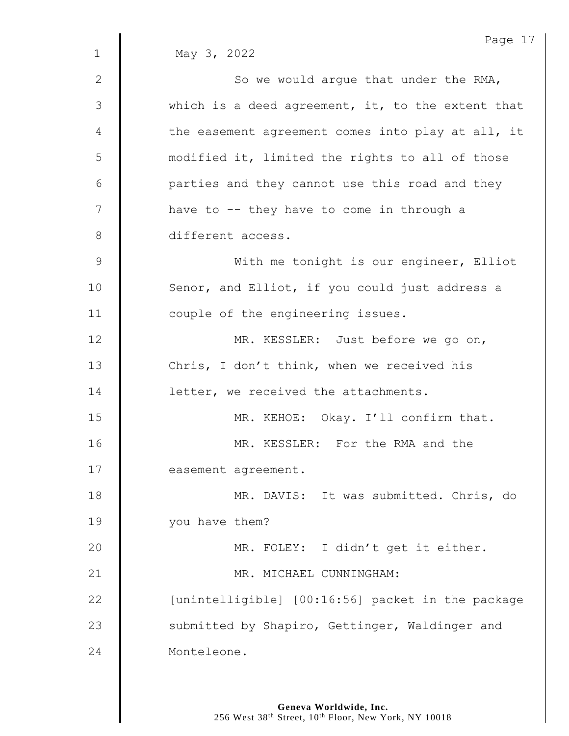|             | Page 17                                           |
|-------------|---------------------------------------------------|
| $\mathbf 1$ | May 3, 2022                                       |
| 2           | So we would argue that under the RMA,             |
| 3           | which is a deed agreement, it, to the extent that |
| 4           | the easement agreement comes into play at all, it |
| 5           | modified it, limited the rights to all of those   |
| 6           | parties and they cannot use this road and they    |
| 7           | have to -- they have to come in through a         |
| $8\,$       | different access.                                 |
| 9           | With me tonight is our engineer, Elliot           |
| 10          | Senor, and Elliot, if you could just address a    |
| 11          | couple of the engineering issues.                 |
| 12          | MR. KESSLER: Just before we go on,                |
| 13          | Chris, I don't think, when we received his        |
| 14          | letter, we received the attachments.              |
| 15          | MR. KEHOE: Okay. I'll confirm that.               |
| 16          | MR. KESSLER: For the RMA and the                  |
| 17          | easement agreement.                               |
| 18          | MR. DAVIS: It was submitted. Chris, do            |
| 19          | you have them?                                    |
| 20          | MR. FOLEY: I didn't get it either.                |
| 21          | MR. MICHAEL CUNNINGHAM:                           |
| 22          | [unintelligible] [00:16:56] packet in the package |
| 23          | submitted by Shapiro, Gettinger, Waldinger and    |
| 24          | Monteleone.                                       |
|             |                                                   |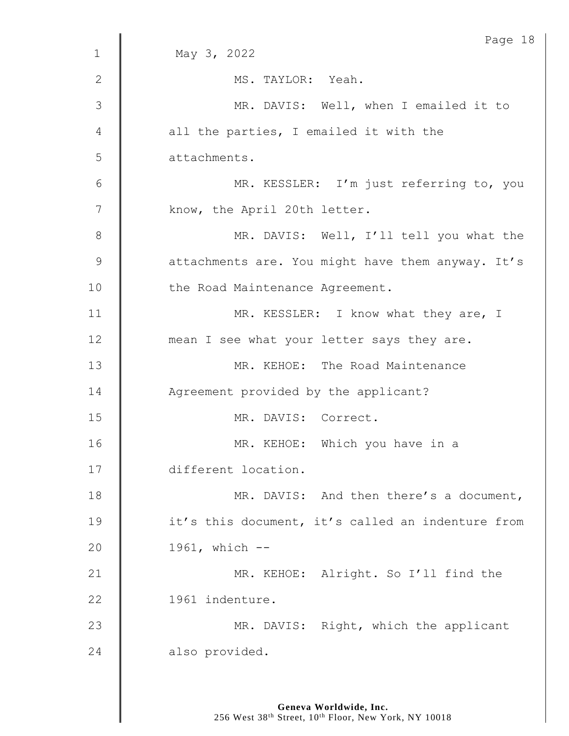|              | Page 18                                           |
|--------------|---------------------------------------------------|
| $\mathbf{1}$ | May 3, 2022                                       |
| $\mathbf{2}$ | MS. TAYLOR: Yeah.                                 |
| 3            | MR. DAVIS: Well, when I emailed it to             |
| 4            | all the parties, I emailed it with the            |
| 5            | attachments.                                      |
| 6            | MR. KESSLER: I'm just referring to, you           |
| 7            | know, the April 20th letter.                      |
| $8\,$        | MR. DAVIS: Well, I'll tell you what the           |
| 9            | attachments are. You might have them anyway. It's |
| 10           | the Road Maintenance Agreement.                   |
| 11           | MR. KESSLER: I know what they are, I              |
| 12           | mean I see what your letter says they are.        |
| 13           | MR. KEHOE: The Road Maintenance                   |
| 14           | Agreement provided by the applicant?              |
| 15           | MR. DAVIS: Correct.                               |
| 16           | MR. KEHOE: Which you have in a                    |
| 17           | different location.                               |
| 18           | MR. DAVIS: And then there's a document,           |
| 19           | it's this document, it's called an indenture from |
| 20           | $1961$ , which $-$                                |
| 21           | MR. KEHOE: Alright. So I'll find the              |
| 22           | 1961 indenture.                                   |
| 23           | MR. DAVIS: Right, which the applicant             |
| 24           | also provided.                                    |
|              |                                                   |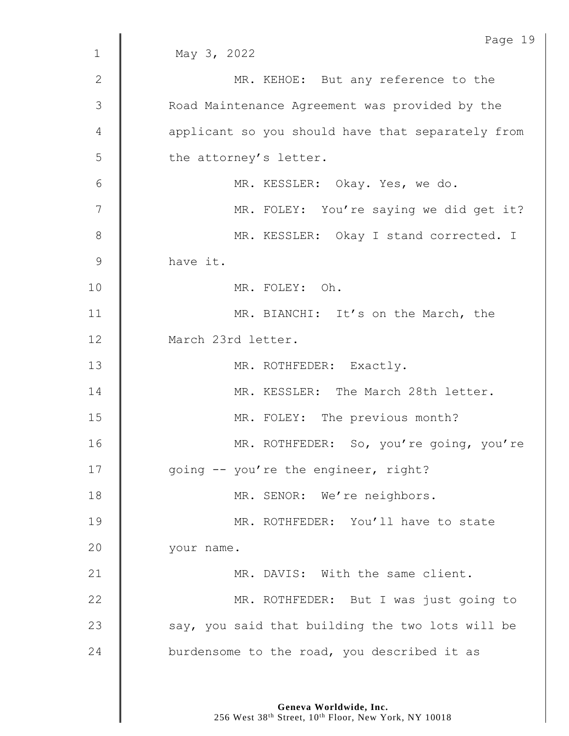|              | Page 19                                           |
|--------------|---------------------------------------------------|
| $\mathbf{1}$ | May 3, 2022                                       |
| $\mathbf{2}$ | MR. KEHOE: But any reference to the               |
| 3            | Road Maintenance Agreement was provided by the    |
| 4            | applicant so you should have that separately from |
| 5            | the attorney's letter.                            |
| 6            | MR. KESSLER: Okay. Yes, we do.                    |
| 7            | MR. FOLEY: You're saying we did get it?           |
| 8            | MR. KESSLER: Okay I stand corrected. I            |
| $\mathsf 9$  | have it.                                          |
| 10           | MR. FOLEY: Oh.                                    |
| 11           | MR. BIANCHI: It's on the March, the               |
| 12           | March 23rd letter.                                |
| 13           | MR. ROTHFEDER: Exactly.                           |
| 14           | MR. KESSLER: The March 28th letter.               |
| 15           | MR. FOLEY: The previous month?                    |
| 16           | MR. ROTHFEDER: So, you're going, you're           |
| 17           | going -- you're the engineer, right?              |
| 18           | MR. SENOR: We're neighbors.                       |
| 19           | MR. ROTHFEDER: You'll have to state               |
| 20           | your name.                                        |
| 21           | MR. DAVIS: With the same client.                  |
| 22           | MR. ROTHFEDER: But I was just going to            |
| 23           | say, you said that building the two lots will be  |
| 24           | burdensome to the road, you described it as       |
|              |                                                   |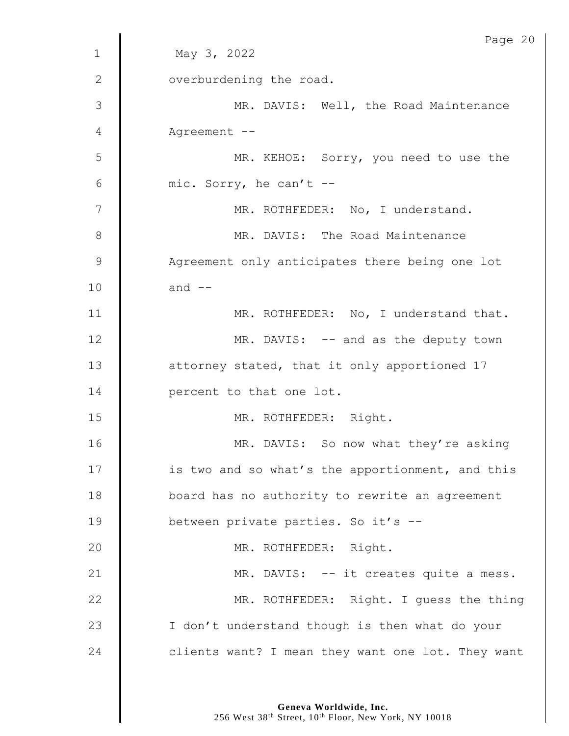|               | Page 20                                           |
|---------------|---------------------------------------------------|
| $\mathbf 1$   | May 3, 2022                                       |
| $\mathbf{2}$  | overburdening the road.                           |
| 3             | MR. DAVIS: Well, the Road Maintenance             |
| 4             | Agreement --                                      |
| 5             | MR. KEHOE: Sorry, you need to use the             |
| 6             | mic. Sorry, he can't --                           |
| 7             | MR. ROTHFEDER: No, I understand.                  |
| $8\,$         | MR. DAVIS: The Road Maintenance                   |
| $\mathcal{G}$ | Agreement only anticipates there being one lot    |
| 10            | and $--$                                          |
| 11            | MR. ROTHFEDER: No, I understand that.             |
| 12            | MR. DAVIS: -- and as the deputy town              |
| 13            | attorney stated, that it only apportioned 17      |
| 14            | percent to that one lot.                          |
| 15            | MR. ROTHFEDER: Right.                             |
| 16            | MR. DAVIS: So now what they're asking             |
| 17            | is two and so what's the apportionment, and this  |
| 18            | board has no authority to rewrite an agreement    |
| 19            | between private parties. So it's --               |
| 20            | MR. ROTHFEDER: Right.                             |
| 21            | MR. DAVIS: -- it creates quite a mess.            |
| 22            | MR. ROTHFEDER: Right. I guess the thing           |
| 23            | I don't understand though is then what do your    |
| 24            | clients want? I mean they want one lot. They want |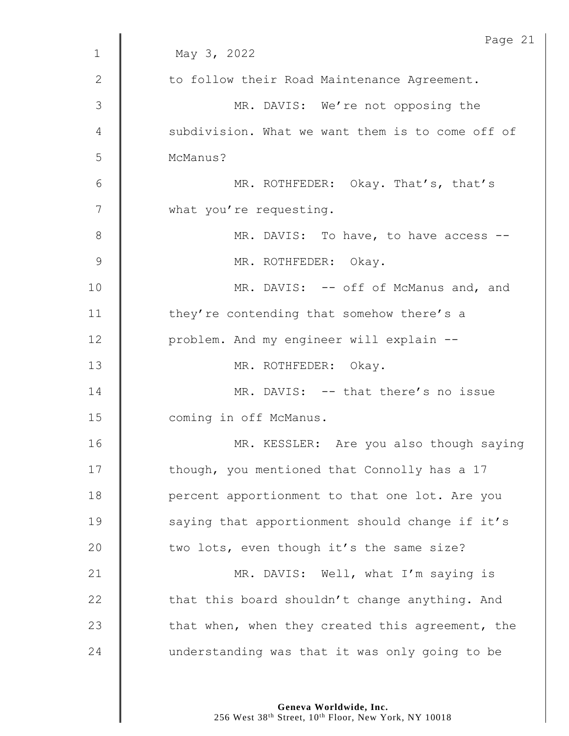| 1             | Page 21<br>May 3, 2022                           |
|---------------|--------------------------------------------------|
|               |                                                  |
| $\mathbf{2}$  | to follow their Road Maintenance Agreement.      |
| $\mathcal{S}$ | MR. DAVIS: We're not opposing the                |
| 4             | subdivision. What we want them is to come off of |
| 5             | McManus?                                         |
| 6             | MR. ROTHFEDER: Okay. That's, that's              |
| 7             | what you're requesting.                          |
| $8\,$         | MR. DAVIS: To have, to have access --            |
| $\mathcal{G}$ | MR. ROTHFEDER: Okay.                             |
| 10            | MR. DAVIS: -- off of McManus and, and            |
| 11            | they're contending that somehow there's a        |
| 12            | problem. And my engineer will explain --         |
| 13            | MR. ROTHFEDER: Okay.                             |
| 14            | MR. DAVIS: -- that there's no issue              |
| 15            | coming in off McManus.                           |
| 16            | MR. KESSLER: Are you also though saying          |
| 17            | though, you mentioned that Connolly has a 17     |
| 18            | percent apportionment to that one lot. Are you   |
| 19            | saying that apportionment should change if it's  |
| 20            | two lots, even though it's the same size?        |
| 21            | MR. DAVIS: Well, what I'm saying is              |
| 22            | that this board shouldn't change anything. And   |
| 23            | that when, when they created this agreement, the |
| 24            | understanding was that it was only going to be   |

**Geneva Worldwide, Inc.**

256 West 38th Street, 10th Floor, New York, NY 10018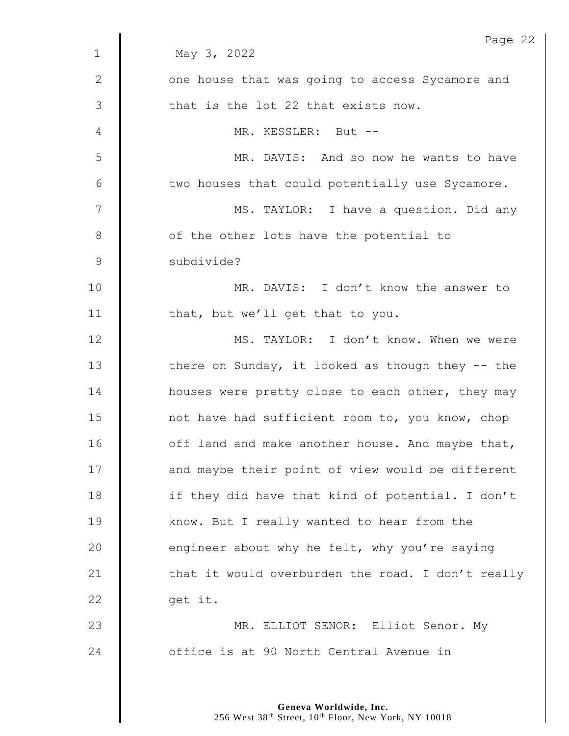|              | Page 22                                           |
|--------------|---------------------------------------------------|
| $\mathbf{1}$ | May 3, 2022                                       |
| $\mathbf{2}$ | one house that was going to access Sycamore and   |
| 3            | that is the lot 22 that exists now.               |
| 4            | MR. KESSLER: But --                               |
| 5            | MR. DAVIS: And so now he wants to have            |
| 6            | two houses that could potentially use Sycamore.   |
| 7            | MS. TAYLOR: I have a question. Did any            |
| 8            | of the other lots have the potential to           |
| 9            | subdivide?                                        |
| 10           | MR. DAVIS: I don't know the answer to             |
| 11           | that, but we'll get that to you.                  |
| 12           | MS. TAYLOR: I don't know. When we were            |
| 13           | there on Sunday, it looked as though they $-$ the |
| 14           | houses were pretty close to each other, they may  |
| 15           | not have had sufficient room to, you know, chop   |
| 16           | off land and make another house. And maybe that,  |
| 17           | and maybe their point of view would be different  |
| 18           | if they did have that kind of potential. I don't  |
| 19           | know. But I really wanted to hear from the        |
| 20           | engineer about why he felt, why you're saying     |
| 21           | that it would overburden the road. I don't really |
| 22           | get it.                                           |
| 23           | MR. ELLIOT SENOR: Elliot Senor. My                |
| 24           | office is at 90 North Central Avenue in           |
|              |                                                   |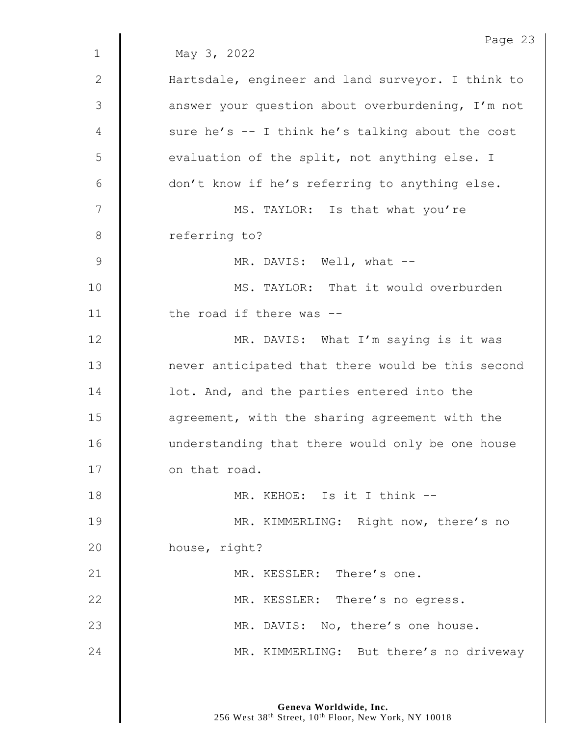|                | Page 23                                           |
|----------------|---------------------------------------------------|
| $\mathbf 1$    | May 3, 2022                                       |
| 2              | Hartsdale, engineer and land surveyor. I think to |
| $\mathfrak{Z}$ | answer your question about overburdening, I'm not |
| 4              | sure he's -- I think he's talking about the cost  |
| 5              | evaluation of the split, not anything else. I     |
| 6              | don't know if he's referring to anything else.    |
| 7              | MS. TAYLOR: Is that what you're                   |
| $8\,$          | referring to?                                     |
| $\mathsf 9$    | MR. DAVIS: Well, what --                          |
| 10             | MS. TAYLOR: That it would overburden              |
| 11             | the road if there was --                          |
| 12             | MR. DAVIS: What I'm saying is it was              |
| 13             | never anticipated that there would be this second |
| 14             | lot. And, and the parties entered into the        |
| 15             | agreement, with the sharing agreement with the    |
| 16             | understanding that there would only be one house  |
| 17             | on that road.                                     |
| 18             | MR. KEHOE: Is it I think --                       |
| 19             | MR. KIMMERLING: Right now, there's no             |
| 20             | house, right?                                     |
| 21             | MR. KESSLER: There's one.                         |
| 22             | MR. KESSLER: There's no egress.                   |
| 23             | MR. DAVIS: No, there's one house.                 |
| 24             | MR. KIMMERLING: But there's no driveway           |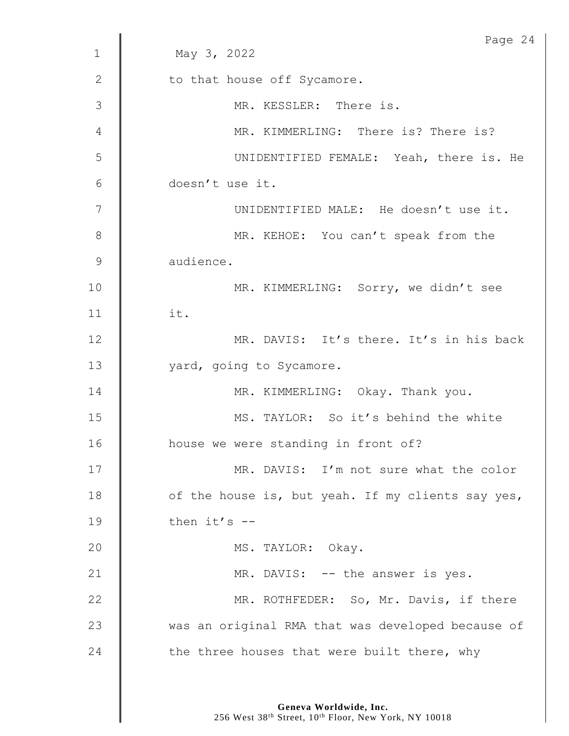|              | Page 24                                           |
|--------------|---------------------------------------------------|
| $\mathbf 1$  | May 3, 2022                                       |
| $\mathbf{2}$ | to that house off Sycamore.                       |
| 3            | MR. KESSLER: There is.                            |
| 4            | MR. KIMMERLING: There is? There is?               |
| 5            | UNIDENTIFIED FEMALE: Yeah, there is. He           |
| 6            | doesn't use it.                                   |
| 7            | UNIDENTIFIED MALE: He doesn't use it.             |
| 8            | MR. KEHOE: You can't speak from the               |
| 9            | audience.                                         |
| 10           | MR. KIMMERLING: Sorry, we didn't see              |
| 11           | it.                                               |
| 12           | MR. DAVIS: It's there. It's in his back           |
| 13           | yard, going to Sycamore.                          |
| 14           | MR. KIMMERLING: Okay. Thank you.                  |
| 15           | MS. TAYLOR: So it's behind the white              |
| 16           | house we were standing in front of?               |
| 17           | MR. DAVIS: I'm not sure what the color            |
| 18           | of the house is, but yeah. If my clients say yes, |
| 19           | then $it's$ --                                    |
| 20           | MS. TAYLOR: Okay.                                 |
| 21           | MR. DAVIS: -- the answer is yes.                  |
| 22           | MR. ROTHFEDER: So, Mr. Davis, if there            |
| 23           | was an original RMA that was developed because of |
| 24           | the three houses that were built there, why       |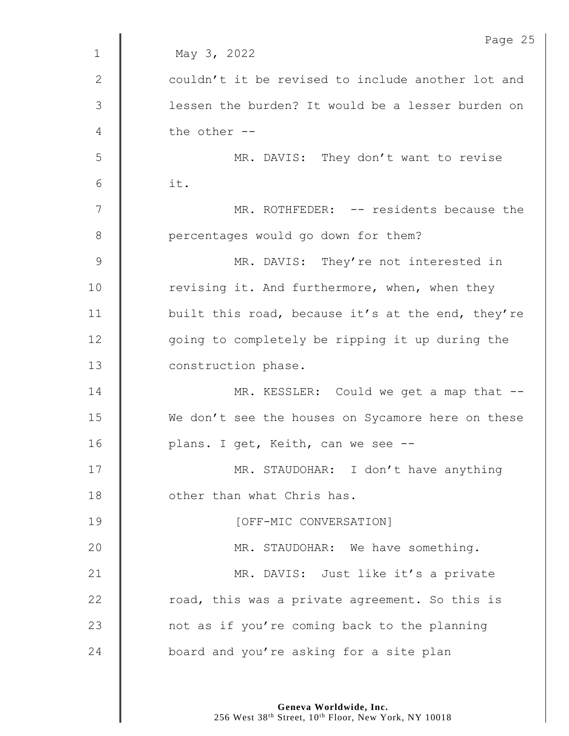|             | Page 25                                           |
|-------------|---------------------------------------------------|
| $\mathbf 1$ | May 3, 2022                                       |
| $\sqrt{2}$  | couldn't it be revised to include another lot and |
| 3           | lessen the burden? It would be a lesser burden on |
| 4           | the other --                                      |
| 5           | MR. DAVIS: They don't want to revise              |
| 6           | it.                                               |
| 7           | MR. ROTHFEDER: -- residents because the           |
| 8           | percentages would go down for them?               |
| $\mathsf 9$ | MR. DAVIS: They're not interested in              |
| 10          | revising it. And furthermore, when, when they     |
| 11          | built this road, because it's at the end, they're |
| 12          | going to completely be ripping it up during the   |
| 13          | construction phase.                               |
| 14          | MR. KESSLER: Could we get a map that --           |
| 15          | We don't see the houses on Sycamore here on these |
| 16          | plans. I get, Keith, can we see --                |
| 17          | MR. STAUDOHAR: I don't have anything              |
| 18          | other than what Chris has.                        |
| 19          | [OFF-MIC CONVERSATION]                            |
| 20          | MR. STAUDOHAR: We have something.                 |
| 21          | MR. DAVIS: Just like it's a private               |
| 22          | road, this was a private agreement. So this is    |
| 23          | not as if you're coming back to the planning      |
| 24          | board and you're asking for a site plan           |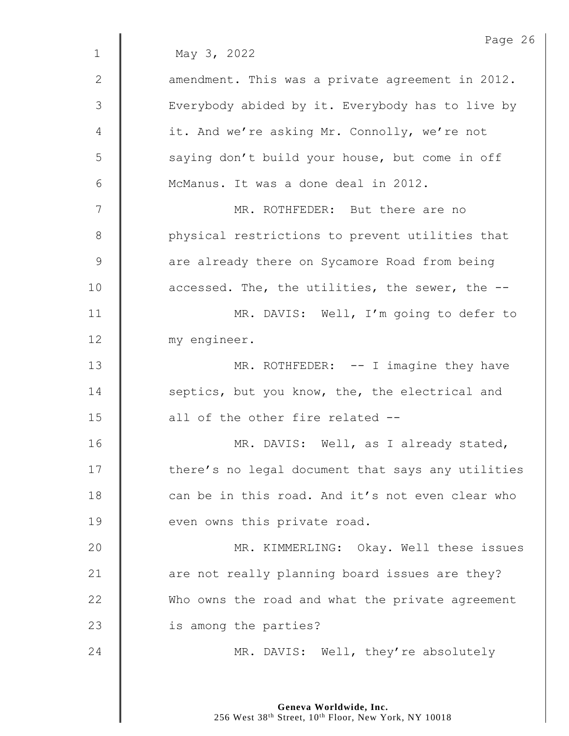|              | Page 26                                           |
|--------------|---------------------------------------------------|
| $\mathbf{1}$ | May 3, 2022                                       |
| $\mathbf{2}$ | amendment. This was a private agreement in 2012.  |
| 3            | Everybody abided by it. Everybody has to live by  |
| 4            | it. And we're asking Mr. Connolly, we're not      |
| 5            | saying don't build your house, but come in off    |
| 6            | McManus. It was a done deal in 2012.              |
| 7            | MR. ROTHFEDER: But there are no                   |
| 8            | physical restrictions to prevent utilities that   |
| $\mathsf 9$  | are already there on Sycamore Road from being     |
| 10           | accessed. The, the utilities, the sewer, the --   |
| 11           | MR. DAVIS: Well, I'm going to defer to            |
| 12           | my engineer.                                      |
| 13           | MR. ROTHFEDER: -- I imagine they have             |
| 14           | septics, but you know, the, the electrical and    |
| 15           | all of the other fire related --                  |
| 16           | MR. DAVIS: Well, as I already stated,             |
| 17           | there's no legal document that says any utilities |
| 18           | can be in this road. And it's not even clear who  |
| 19           | even owns this private road.                      |
| 20           | MR. KIMMERLING: Okay. Well these issues           |
| 21           | are not really planning board issues are they?    |
| 22           | Who owns the road and what the private agreement  |
| 23           | is among the parties?                             |
| 24           | MR. DAVIS: Well, they're absolutely               |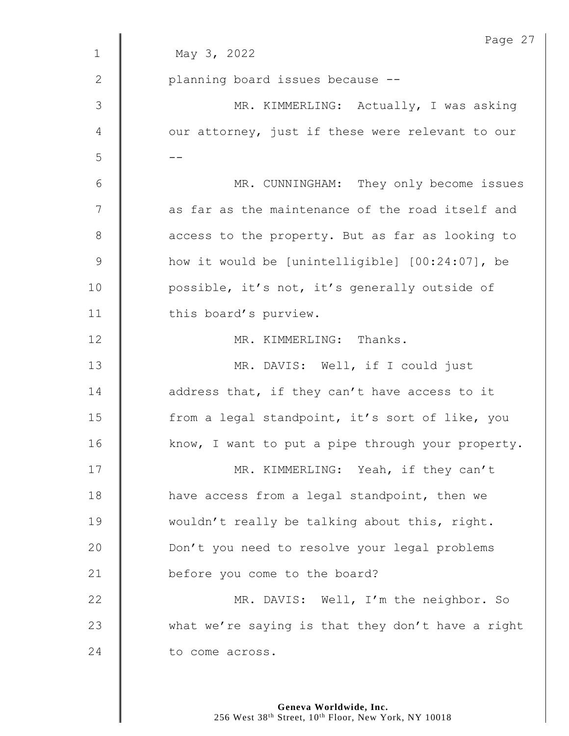|                | Page 27                                           |
|----------------|---------------------------------------------------|
| $\mathbf 1$    | May 3, 2022                                       |
| $\mathbf{2}$   | planning board issues because --                  |
| $\mathfrak{Z}$ | MR. KIMMERLING: Actually, I was asking            |
| 4              | our attorney, just if these were relevant to our  |
| 5              |                                                   |
| 6              | MR. CUNNINGHAM: They only become issues           |
| 7              | as far as the maintenance of the road itself and  |
| $8\,$          | access to the property. But as far as looking to  |
| $\mathsf 9$    | how it would be [unintelligible] [00:24:07], be   |
| 10             | possible, it's not, it's generally outside of     |
| 11             | this board's purview.                             |
| 12             | MR. KIMMERLING: Thanks.                           |
| 13             | MR. DAVIS: Well, if I could just                  |
| 14             | address that, if they can't have access to it     |
| 15             | from a legal standpoint, it's sort of like, you   |
| 16             | know, I want to put a pipe through your property. |
| 17             | MR. KIMMERLING: Yeah, if they can't               |
| 18             | have access from a legal standpoint, then we      |
| 19             | wouldn't really be talking about this, right.     |
| 20             | Don't you need to resolve your legal problems     |
| 21             | before you come to the board?                     |
| 22             | MR. DAVIS: Well, I'm the neighbor. So             |
| 23             | what we're saying is that they don't have a right |
| 24             | to come across.                                   |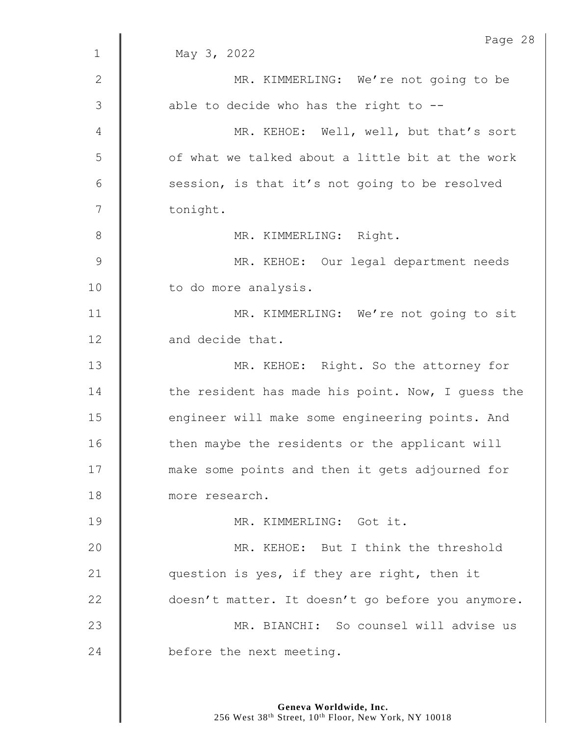|               | Page 28                                           |
|---------------|---------------------------------------------------|
| $\mathbf{1}$  | May 3, 2022                                       |
| $\mathbf{2}$  | MR. KIMMERLING: We're not going to be             |
| 3             | able to decide who has the right to --            |
| 4             | MR. KEHOE: Well, well, but that's sort            |
| 5             | of what we talked about a little bit at the work  |
| 6             | session, is that it's not going to be resolved    |
| 7             | tonight.                                          |
| $\,8\,$       | MR. KIMMERLING: Right.                            |
| $\mathcal{G}$ | MR. KEHOE: Our legal department needs             |
| 10            | to do more analysis.                              |
| 11            | MR. KIMMERLING: We're not going to sit            |
| 12            | and decide that.                                  |
| 13            | MR. KEHOE: Right. So the attorney for             |
| 14            | the resident has made his point. Now, I guess the |
| 15            | engineer will make some engineering points. And   |
| 16            | then maybe the residents or the applicant will    |
| 17            | make some points and then it gets adjourned for   |
| 18            | more research.                                    |
| 19            | MR. KIMMERLING: Got it.                           |
| 20            | MR. KEHOE: But I think the threshold              |
| 21            | question is yes, if they are right, then it       |
| 22            | doesn't matter. It doesn't go before you anymore. |
| 23            | MR. BIANCHI: So counsel will advise us            |
| 24            | before the next meeting.                          |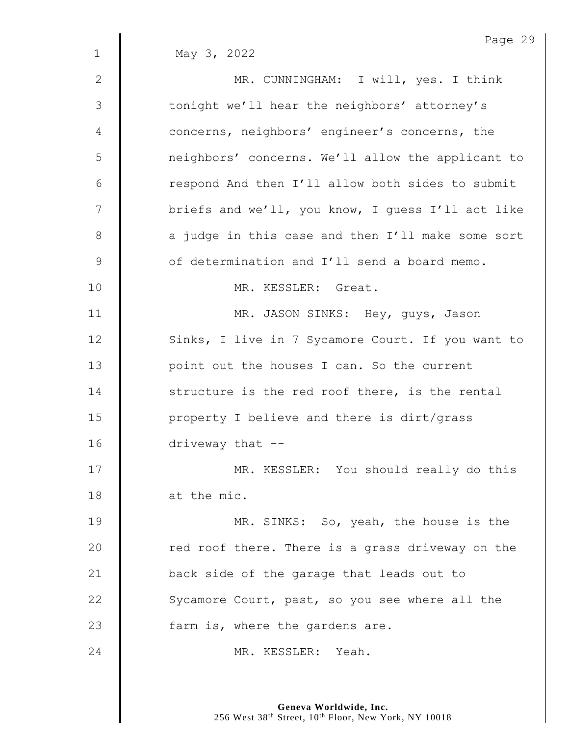| May 3, 2022                                       |
|---------------------------------------------------|
|                                                   |
| MR. CUNNINGHAM: I will, yes. I think              |
| tonight we'll hear the neighbors' attorney's      |
| concerns, neighbors' engineer's concerns, the     |
| neighbors' concerns. We'll allow the applicant to |
| respond And then I'll allow both sides to submit  |
| briefs and we'll, you know, I guess I'll act like |
| a judge in this case and then I'll make some sort |
| of determination and I'll send a board memo.      |
| MR. KESSLER: Great.                               |
| MR. JASON SINKS: Hey, guys, Jason                 |
| Sinks, I live in 7 Sycamore Court. If you want to |
| point out the houses I can. So the current        |
| structure is the red roof there, is the rental    |
| property I believe and there is dirt/grass        |
| driveway that --                                  |
| MR. KESSLER: You should really do this            |
| at the mic.                                       |
| MR. SINKS: So, yeah, the house is the             |
| red roof there. There is a grass driveway on the  |
| back side of the garage that leads out to         |
| Sycamore Court, past, so you see where all the    |
| farm is, where the gardens are.                   |
| MR. KESSLER: Yeah.                                |
|                                                   |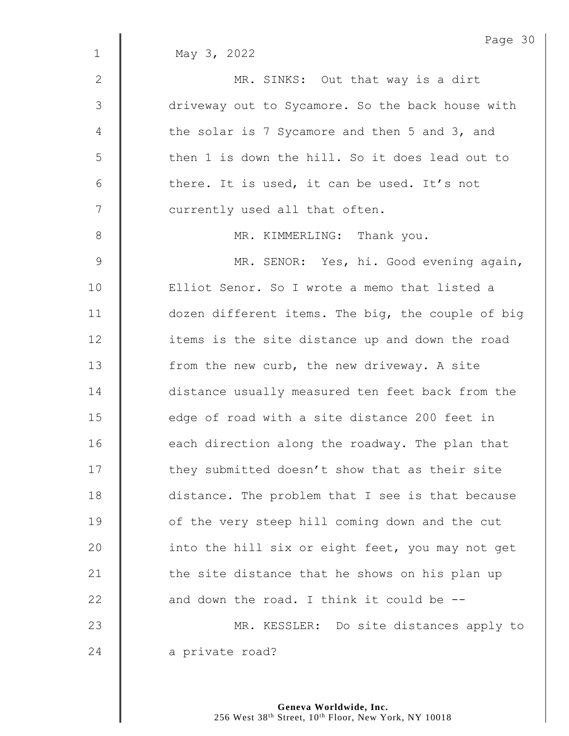|               | Page 30                                           |
|---------------|---------------------------------------------------|
| $\mathbf{1}$  | May 3, 2022                                       |
| $\mathbf{2}$  | MR. SINKS: Out that way is a dirt                 |
| 3             | driveway out to Sycamore. So the back house with  |
| 4             | the solar is 7 Sycamore and then 5 and 3, and     |
| 5             | then 1 is down the hill. So it does lead out to   |
| 6             | there. It is used, it can be used. It's not       |
| 7             | currently used all that often.                    |
| $8\,$         | MR. KIMMERLING: Thank you.                        |
| $\mathcal{G}$ | MR. SENOR: Yes, hi. Good evening again,           |
| 10            | Elliot Senor. So I wrote a memo that listed a     |
| 11            | dozen different items. The big, the couple of big |
| 12            | items is the site distance up and down the road   |
| 13            | from the new curb, the new driveway. A site       |
| 14            | distance usually measured ten feet back from the  |
| 15            | edge of road with a site distance 200 feet in     |
| 16            | each direction along the roadway. The plan that   |
| 17            | they submitted doesn't show that as their site    |
| 18            | distance. The problem that I see is that because  |
| 19            | of the very steep hill coming down and the cut    |
| 20            | into the hill six or eight feet, you may not get  |
| 21            | the site distance that he shows on his plan up    |
| 22            | and down the road. I think it could be --         |
| 23            | MR. KESSLER: Do site distances apply to           |
| 24            | a private road?                                   |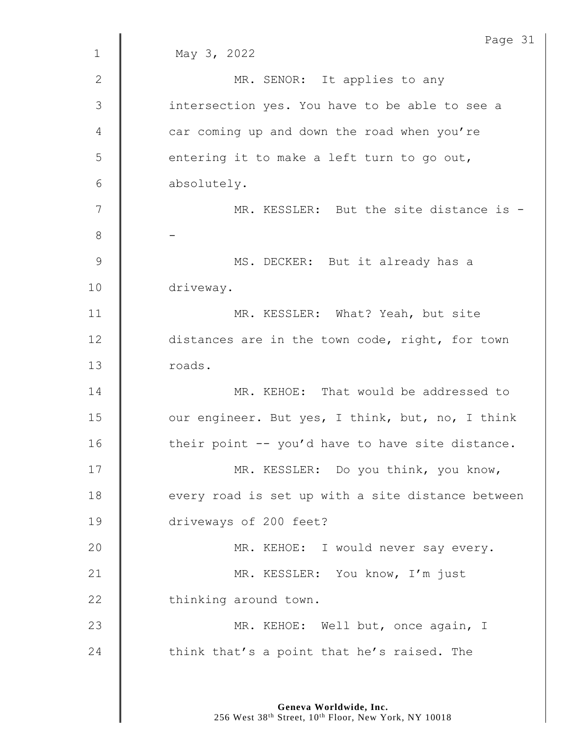|               | Page 31                                           |
|---------------|---------------------------------------------------|
| $\mathbf 1$   | May 3, 2022                                       |
| $\mathbf{2}$  | MR. SENOR: It applies to any                      |
| 3             | intersection yes. You have to be able to see a    |
| 4             | car coming up and down the road when you're       |
| 5             | entering it to make a left turn to go out,        |
| 6             | absolutely.                                       |
| 7             | MR. KESSLER: But the site distance is -           |
| $\,8\,$       |                                                   |
| $\mathcal{G}$ | MS. DECKER: But it already has a                  |
| 10            | driveway.                                         |
| 11            | MR. KESSLER: What? Yeah, but site                 |
| 12            | distances are in the town code, right, for town   |
| 13            | roads.                                            |
| 14            | MR. KEHOE: That would be addressed to             |
| 15            | our engineer. But yes, I think, but, no, I think  |
| 16            | their point -- you'd have to have site distance.  |
| 17            | MR. KESSLER: Do you think, you know,              |
| 18            | every road is set up with a site distance between |
| 19            | driveways of 200 feet?                            |
| 20            | MR. KEHOE: I would never say every.               |
| 21            | MR. KESSLER: You know, I'm just                   |
| 22            | thinking around town.                             |
| 23            | MR. KEHOE: Well but, once again, I                |
| 24            | think that's a point that he's raised. The        |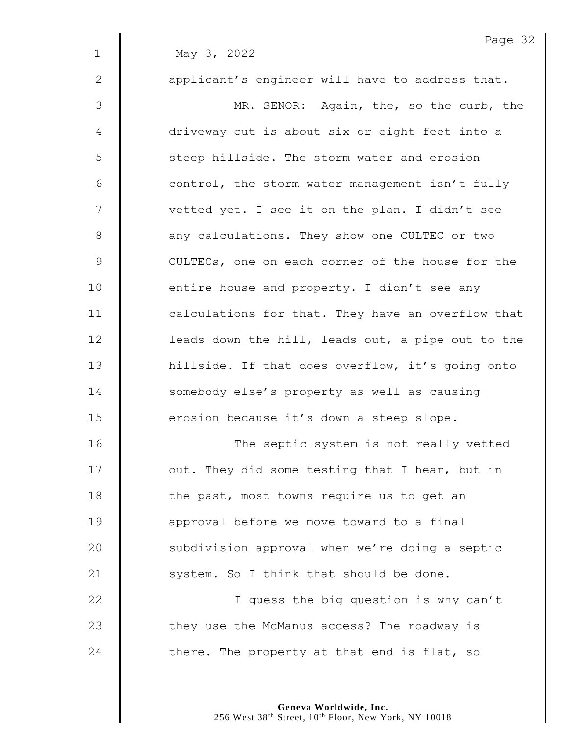|             | Page 32                                           |
|-------------|---------------------------------------------------|
| $\mathbf 1$ | May 3, 2022                                       |
| 2           | applicant's engineer will have to address that.   |
| 3           | MR. SENOR: Again, the, so the curb, the           |
| 4           | driveway cut is about six or eight feet into a    |
| 5           | steep hillside. The storm water and erosion       |
| 6           | control, the storm water management isn't fully   |
| 7           | vetted yet. I see it on the plan. I didn't see    |
| $8\,$       | any calculations. They show one CULTEC or two     |
| $\mathsf 9$ | CULTECs, one on each corner of the house for the  |
| 10          | entire house and property. I didn't see any       |
| 11          | calculations for that. They have an overflow that |
| 12          | leads down the hill, leads out, a pipe out to the |
| 13          | hillside. If that does overflow, it's going onto  |
| 14          | somebody else's property as well as causing       |
| 15          | erosion because it's down a steep slope.          |
| 16          | The septic system is not really vetted            |
| 17          | out. They did some testing that I hear, but in    |
| 18          | the past, most towns require us to get an         |
| 19          | approval before we move toward to a final         |
| 20          | subdivision approval when we're doing a septic    |
| 21          | system. So I think that should be done.           |
| 22          | I guess the big question is why can't             |
| 23          | they use the McManus access? The roadway is       |
| 24          | there. The property at that end is flat, so       |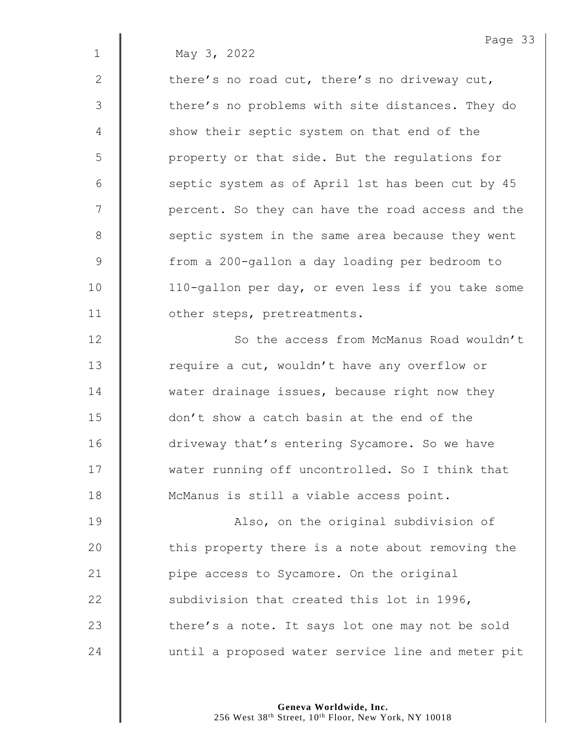1 May 3, 2022

2  $\parallel$  there's no road cut, there's no driveway cut, 3 | there's no problems with site distances. They do 4 Show their septic system on that end of the 5 | property or that side. But the regulations for 6 | septic system as of April 1st has been cut by 45 7 | percent. So they can have the road access and the 8 Septic system in the same area because they went 9 | from a 200-gallon a day loading per bedroom to 10 | 110-gallon per day, or even less if you take some 11 | other steps, pretreatments.

12 **So the access from McManus Road wouldn't** 13 | require a cut, wouldn't have any overflow or 14  $\parallel$  water drainage issues, because right now they 15 don't show a catch basin at the end of the 16 | driveway that's entering Sycamore. So we have 17 Wester running off uncontrolled. So I think that 18 | McManus is still a viable access point.

19 | Also, on the original subdivision of 20  $\parallel$  this property there is a note about removing the 21 **| pipe access to Sycamore.** On the original 22  $\parallel$  subdivision that created this lot in 1996, 23 there's a note. It says lot one may not be sold 24 | until a proposed water service line and meter pit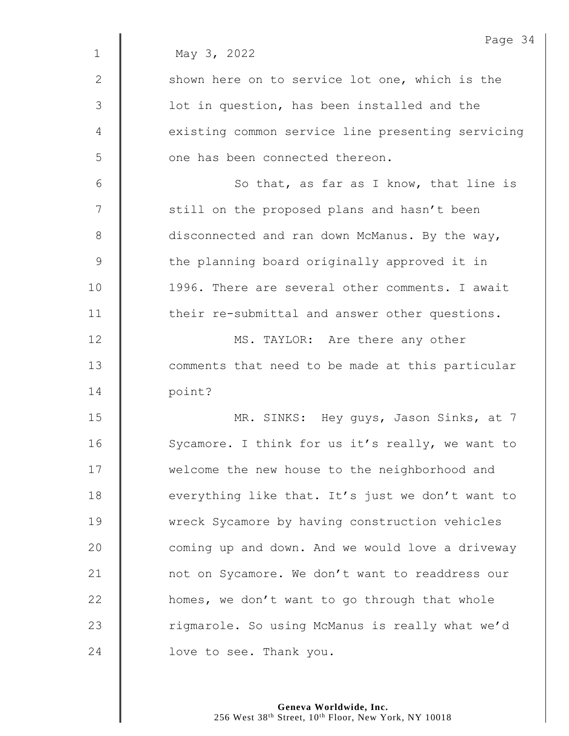|                | Page 34                                           |
|----------------|---------------------------------------------------|
| $\mathbf 1$    | May 3, 2022                                       |
| 2              | shown here on to service lot one, which is the    |
| $\mathfrak{Z}$ | lot in question, has been installed and the       |
| 4              | existing common service line presenting servicing |
| 5              | one has been connected thereon.                   |
| 6              | So that, as far as I know, that line is           |
| 7              | still on the proposed plans and hasn't been       |
| $8\,$          | disconnected and ran down McManus. By the way,    |
| $\mathsf 9$    | the planning board originally approved it in      |
| 10             | 1996. There are several other comments. I await   |
| 11             | their re-submittal and answer other questions.    |
| 12             | MS. TAYLOR: Are there any other                   |
| 13             | comments that need to be made at this particular  |
| 14             | point?                                            |
| 15             | MR. SINKS: Hey guys, Jason Sinks, at 7            |
| 16             | Sycamore. I think for us it's really, we want to  |
| 17             | welcome the new house to the neighborhood and     |
| 18             | everything like that. It's just we don't want to  |
| 19             | wreck Sycamore by having construction vehicles    |
| 20             | coming up and down. And we would love a driveway  |
| 21             | not on Sycamore. We don't want to readdress our   |
| 22             | homes, we don't want to go through that whole     |
| 23             | rigmarole. So using McManus is really what we'd   |
| 24             | love to see. Thank you.                           |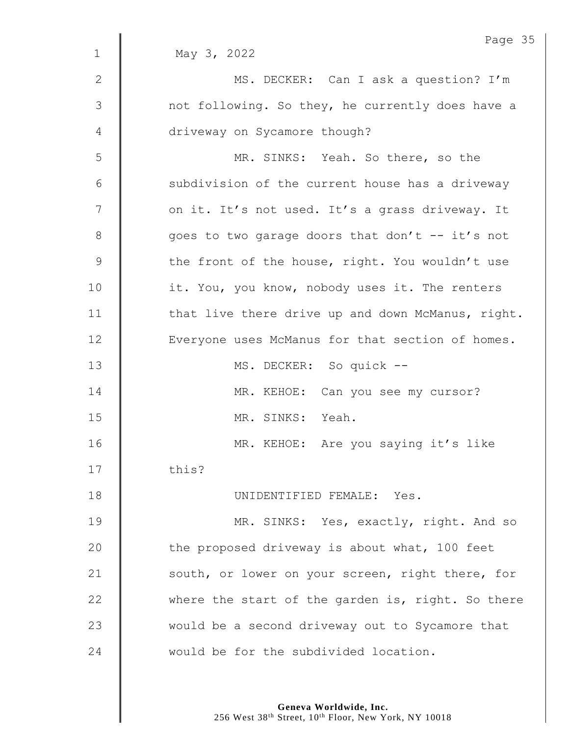|              | Page 35                                           |
|--------------|---------------------------------------------------|
| $\mathbf{1}$ | May 3, 2022                                       |
| $\mathbf{2}$ | MS. DECKER: Can I ask a question? I'm             |
| 3            | not following. So they, he currently does have a  |
| 4            | driveway on Sycamore though?                      |
| 5            | MR. SINKS: Yeah. So there, so the                 |
| 6            | subdivision of the current house has a driveway   |
| 7            | on it. It's not used. It's a grass driveway. It   |
| $8\,$        | goes to two garage doors that don't -- it's not   |
| $\mathsf 9$  | the front of the house, right. You wouldn't use   |
| 10           | it. You, you know, nobody uses it. The renters    |
| 11           | that live there drive up and down McManus, right. |
| 12           | Everyone uses McManus for that section of homes.  |
| 13           | MS. DECKER: So quick --                           |
| 14           | MR. KEHOE: Can you see my cursor?                 |
| 15           | MR. SINKS: Yeah.                                  |
| 16           | MR. KEHOE: Are you saying it's like               |
| 17           | this?                                             |
| 18           | UNIDENTIFIED FEMALE: Yes.                         |
| 19           | MR. SINKS: Yes, exactly, right. And so            |
| 20           | the proposed driveway is about what, 100 feet     |
| 21           | south, or lower on your screen, right there, for  |
| 22           | where the start of the garden is, right. So there |
| 23           | would be a second driveway out to Sycamore that   |
| 24           | would be for the subdivided location.             |
|              |                                                   |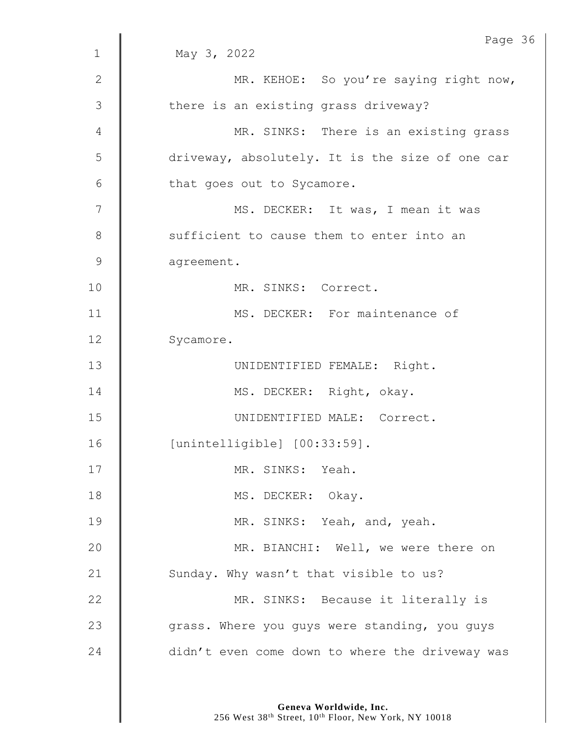|                | Page 36                                         |
|----------------|-------------------------------------------------|
| $\mathbf 1$    | May 3, 2022                                     |
| 2              | MR. KEHOE: So you're saying right now,          |
| $\mathfrak{Z}$ | there is an existing grass driveway?            |
| 4              | MR. SINKS: There is an existing grass           |
| 5              | driveway, absolutely. It is the size of one car |
| 6              | that goes out to Sycamore.                      |
| 7              | MS. DECKER: It was, I mean it was               |
| $8\,$          | sufficient to cause them to enter into an       |
| $\mathsf 9$    | agreement.                                      |
| 10             | MR. SINKS: Correct.                             |
| 11             | MS. DECKER: For maintenance of                  |
| 12             | Sycamore.                                       |
| 13             | UNIDENTIFIED FEMALE: Right.                     |
| 14             | MS. DECKER: Right, okay.                        |
| 15             | UNIDENTIFIED MALE: Correct.                     |
| 16             | $[unintelligible]$ $[00:33:59]$ .               |
| 17             | MR. SINKS: Yeah.                                |
| 18             | MS. DECKER: Okay.                               |
| 19             | MR. SINKS: Yeah, and, yeah.                     |
| 20             | MR. BIANCHI: Well, we were there on             |
| 21             | Sunday. Why wasn't that visible to us?          |
| 22             | MR. SINKS: Because it literally is              |
| 23             | grass. Where you guys were standing, you guys   |
| 24             | didn't even come down to where the driveway was |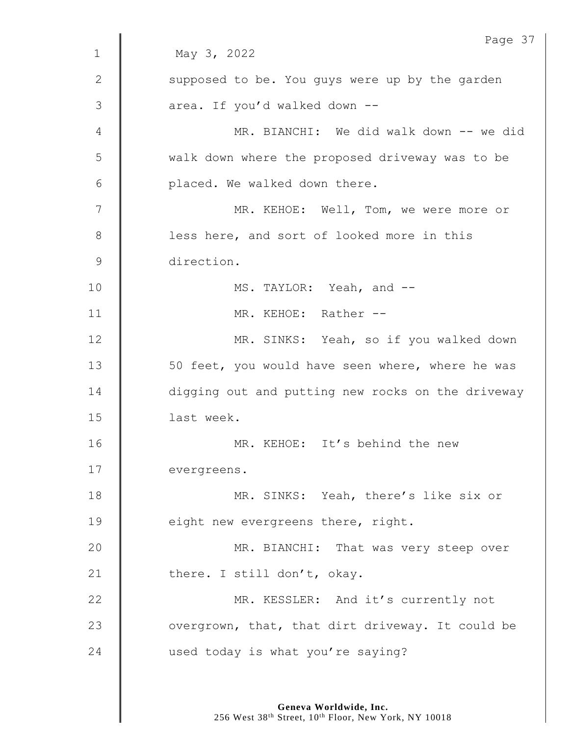|               | Page 37                                           |
|---------------|---------------------------------------------------|
| $\mathbf{1}$  | May 3, 2022                                       |
| $\mathbf{2}$  | supposed to be. You guys were up by the garden    |
| 3             | area. If you'd walked down --                     |
| 4             | MR. BIANCHI: We did walk down -- we did           |
| 5             | walk down where the proposed driveway was to be   |
| 6             | placed. We walked down there.                     |
| 7             | MR. KEHOE: Well, Tom, we were more or             |
| 8             | less here, and sort of looked more in this        |
| $\mathcal{G}$ | direction.                                        |
| 10            | MS. TAYLOR: Yeah, and --                          |
| 11            | MR. KEHOE: Rather --                              |
| 12            | MR. SINKS: Yeah, so if you walked down            |
| 13            | 50 feet, you would have seen where, where he was  |
| 14            | digging out and putting new rocks on the driveway |
| 15            | last week.                                        |
| 16            | MR. KEHOE: It's behind the new                    |
| 17            | evergreens.                                       |
| 18            | MR. SINKS: Yeah, there's like six or              |
| 19            | eight new evergreens there, right.                |
| 20            | MR. BIANCHI: That was very steep over             |
| 21            | there. I still don't, okay.                       |
| 22            | MR. KESSLER: And it's currently not               |
| 23            | overgrown, that, that dirt driveway. It could be  |
| 24            | used today is what you're saying?                 |
|               |                                                   |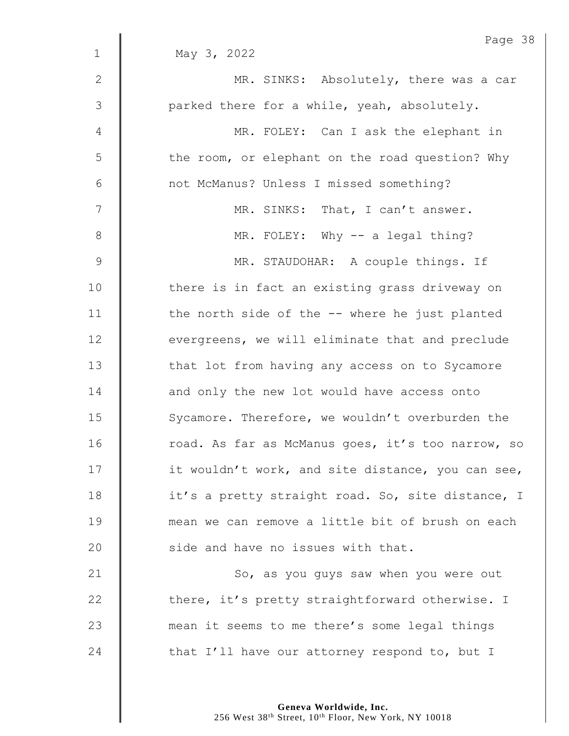| Page 38                                           |
|---------------------------------------------------|
| May 3, 2022                                       |
| MR. SINKS: Absolutely, there was a car            |
| parked there for a while, yeah, absolutely.       |
| MR. FOLEY: Can I ask the elephant in              |
| the room, or elephant on the road question? Why   |
| not McManus? Unless I missed something?           |
| MR. SINKS: That, I can't answer.                  |
| MR. FOLEY: Why -- a legal thing?                  |
| MR. STAUDOHAR: A couple things. If                |
| there is in fact an existing grass driveway on    |
| the north side of the -- where he just planted    |
| evergreens, we will eliminate that and preclude   |
| that lot from having any access on to Sycamore    |
| and only the new lot would have access onto       |
| Sycamore. Therefore, we wouldn't overburden the   |
| road. As far as McManus goes, it's too narrow, so |
| it wouldn't work, and site distance, you can see, |
| it's a pretty straight road. So, site distance, I |
| mean we can remove a little bit of brush on each  |
| side and have no issues with that.                |
| So, as you guys saw when you were out             |
| there, it's pretty straightforward otherwise. I   |
| mean it seems to me there's some legal things     |
| that I'll have our attorney respond to, but I     |
|                                                   |

**Geneva Worldwide, Inc.**

256 West 38th Street, 10th Floor, New York, NY 10018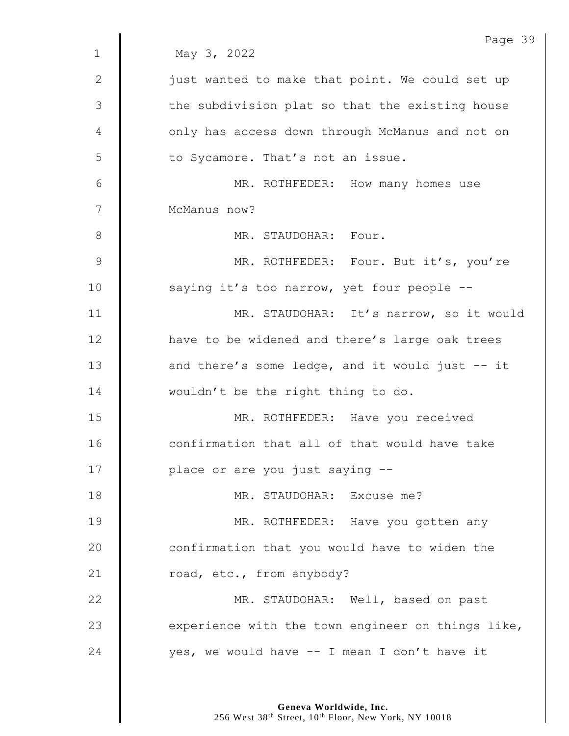|                | Page 39                                           |
|----------------|---------------------------------------------------|
| $\mathbf 1$    | May 3, 2022                                       |
| $\mathbf{2}$   | just wanted to make that point. We could set up   |
| $\mathfrak{Z}$ | the subdivision plat so that the existing house   |
| 4              | only has access down through McManus and not on   |
| 5              | to Sycamore. That's not an issue.                 |
| 6              | MR. ROTHFEDER: How many homes use                 |
| 7              | McManus now?                                      |
| 8              | MR. STAUDOHAR: Four.                              |
| $\mathcal{G}$  | MR. ROTHFEDER: Four. But it's, you're             |
| 10             | saying it's too narrow, yet four people --        |
| 11             | MR. STAUDOHAR: It's narrow, so it would           |
| 12             | have to be widened and there's large oak trees    |
| 13             | and there's some ledge, and it would just -- it   |
| 14             | wouldn't be the right thing to do.                |
| 15             | MR. ROTHFEDER: Have you received                  |
| 16             | confirmation that all of that would have take     |
| 17             | place or are you just saying --                   |
| 18             | MR. STAUDOHAR: Excuse me?                         |
| 19             | MR. ROTHFEDER: Have you gotten any                |
| 20             | confirmation that you would have to widen the     |
| 21             | road, etc., from anybody?                         |
| 22             | MR. STAUDOHAR: Well, based on past                |
| 23             | experience with the town engineer on things like, |
| 24             | yes, we would have -- I mean I don't have it      |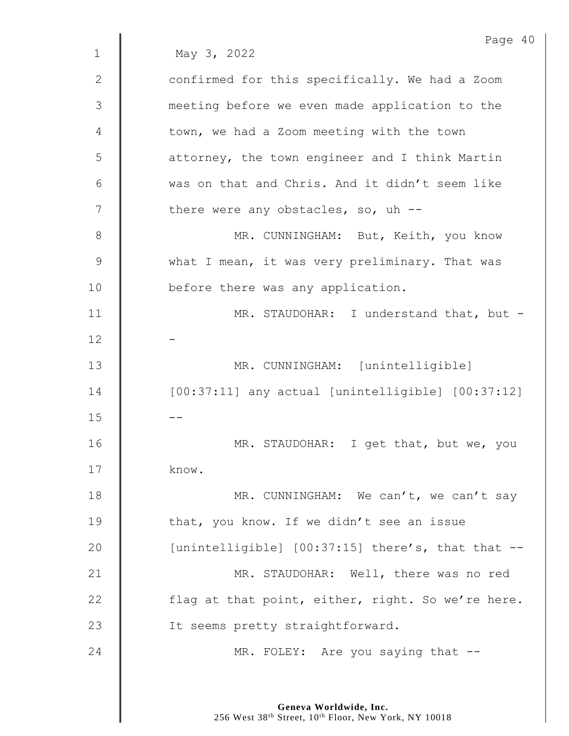|               | Page 40                                               |
|---------------|-------------------------------------------------------|
| $\mathbf 1$   | May 3, 2022                                           |
| $\mathbf{2}$  | confirmed for this specifically. We had a Zoom        |
| 3             | meeting before we even made application to the        |
| 4             | town, we had a Zoom meeting with the town             |
| 5             | attorney, the town engineer and I think Martin        |
| 6             | was on that and Chris. And it didn't seem like        |
| 7             | there were any obstacles, so, uh --                   |
| 8             | MR. CUNNINGHAM: But, Keith, you know                  |
| $\mathcal{G}$ | what I mean, it was very preliminary. That was        |
| 10            | before there was any application.                     |
| 11            | MR. STAUDOHAR: I understand that, but -               |
| 12            |                                                       |
| 13            | MR. CUNNINGHAM: [unintelligible]                      |
| 14            | $[00:37:11]$ any actual [unintelligible] $[00:37:12]$ |
| 15            |                                                       |
| 16            | MR. STAUDOHAR: I get that, but we, you                |
| 17            | know.                                                 |
| 18            | MR. CUNNINGHAM: We can't, we can't say                |
| 19            | that, you know. If we didn't see an issue             |
| 20            | [unintelligible] [00:37:15] there's, that that --     |
| 21            | MR. STAUDOHAR: Well, there was no red                 |
| 22            | flag at that point, either, right. So we're here.     |
| 23            | It seems pretty straightforward.                      |
| 24            | MR. FOLEY: Are you saying that --                     |
|               |                                                       |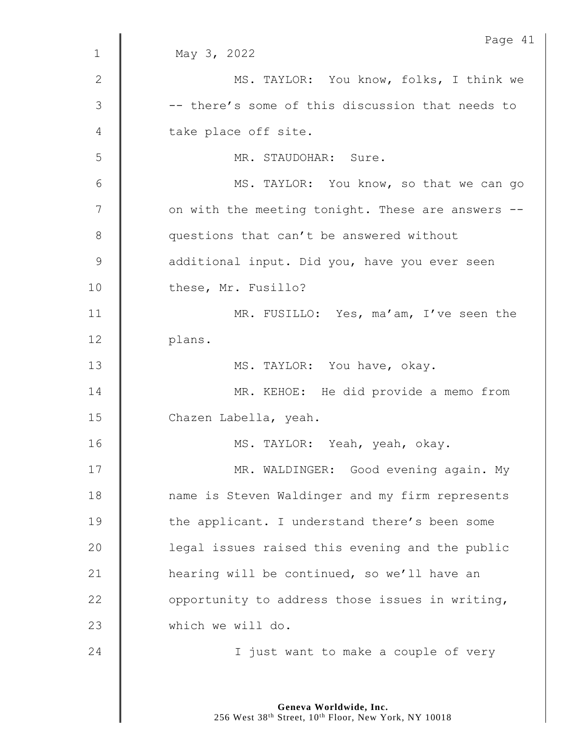|               | Page 41                                           |
|---------------|---------------------------------------------------|
| $\mathbf 1$   | May 3, 2022                                       |
| 2             | MS. TAYLOR: You know, folks, I think we           |
| 3             | -- there's some of this discussion that needs to  |
| 4             | take place off site.                              |
| 5             | MR. STAUDOHAR: Sure.                              |
| 6             | MS. TAYLOR: You know, so that we can go           |
| 7             | on with the meeting tonight. These are answers -- |
| 8             | questions that can't be answered without          |
| $\mathcal{G}$ | additional input. Did you, have you ever seen     |
| 10            | these, Mr. Fusillo?                               |
| 11            | MR. FUSILLO: Yes, ma'am, I've seen the            |
| 12            | plans.                                            |
| 13            | MS. TAYLOR: You have, okay.                       |
| 14            | MR. KEHOE: He did provide a memo from             |
| 15            | Chazen Labella, yeah.                             |
| 16            | MS. TAYLOR: Yeah, yeah, okay.                     |
| 17            | MR. WALDINGER: Good evening again. My             |
| 18            | name is Steven Waldinger and my firm represents   |
| 19            | the applicant. I understand there's been some     |
| 20            | legal issues raised this evening and the public   |
| 21            | hearing will be continued, so we'll have an       |
| 22            | opportunity to address those issues in writing,   |
| 23            | which we will do.                                 |
| 24            | I just want to make a couple of very              |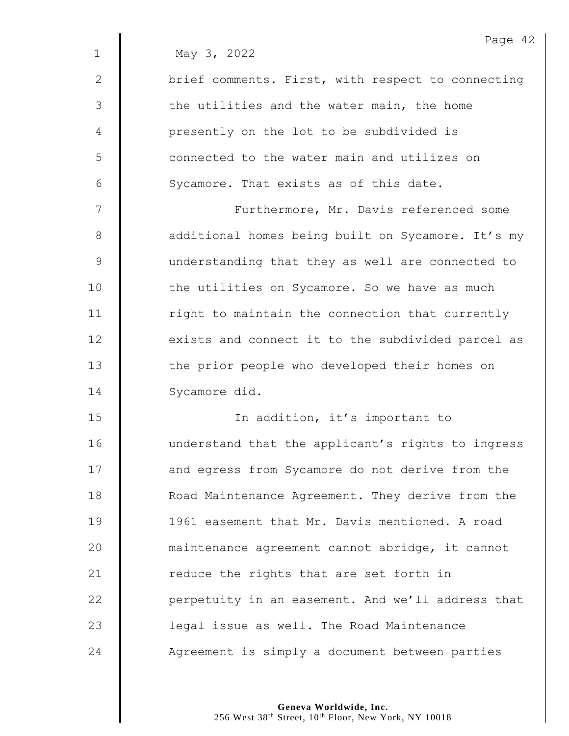|             | Page 42                                           |
|-------------|---------------------------------------------------|
| $\mathbf 1$ | May 3, 2022                                       |
| 2           | brief comments. First, with respect to connecting |
| 3           | the utilities and the water main, the home        |
| 4           | presently on the lot to be subdivided is          |
| 5           | connected to the water main and utilizes on       |
| 6           | Sycamore. That exists as of this date.            |
| 7           | Furthermore, Mr. Davis referenced some            |
| 8           | additional homes being built on Sycamore. It's my |
| $\mathsf 9$ | understanding that they as well are connected to  |
| 10          | the utilities on Sycamore. So we have as much     |
| 11          | right to maintain the connection that currently   |
| 12          | exists and connect it to the subdivided parcel as |
| 13          | the prior people who developed their homes on     |
| 14          | Sycamore did.                                     |
| 15          | In addition, it's important to                    |
| 16          | understand that the applicant's rights to ingress |
| 17          | and egress from Sycamore do not derive from the   |
| 18          | Road Maintenance Agreement. They derive from the  |
| 19          | 1961 easement that Mr. Davis mentioned. A road    |
| 20          | maintenance agreement cannot abridge, it cannot   |
| 21          | reduce the rights that are set forth in           |
| 22          | perpetuity in an easement. And we'll address that |
| 23          | legal issue as well. The Road Maintenance         |
| 24          | Agreement is simply a document between parties    |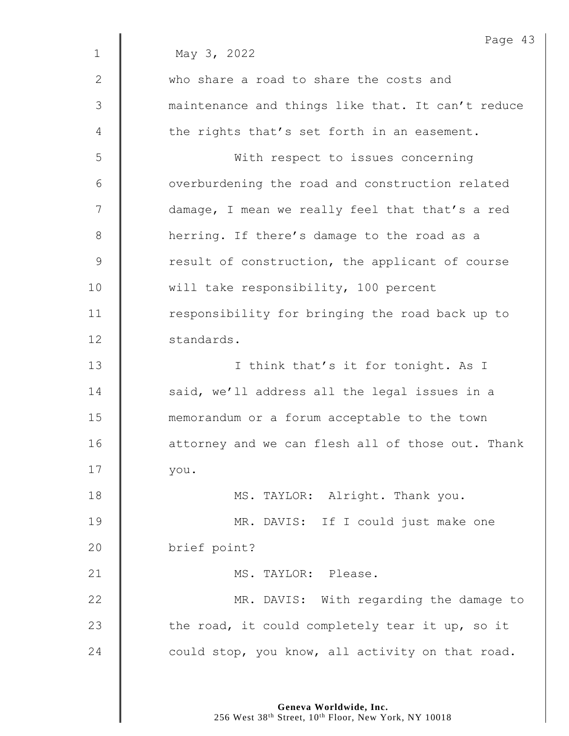|             | Page 43                                           |
|-------------|---------------------------------------------------|
| $\mathbf 1$ | May 3, 2022                                       |
| 2           | who share a road to share the costs and           |
| 3           | maintenance and things like that. It can't reduce |
| 4           | the rights that's set forth in an easement.       |
| 5           | With respect to issues concerning                 |
| 6           | overburdening the road and construction related   |
| 7           | damage, I mean we really feel that that's a red   |
| 8           | herring. If there's damage to the road as a       |
| $\mathsf 9$ | result of construction, the applicant of course   |
| 10          | will take responsibility, 100 percent             |
| 11          | responsibility for bringing the road back up to   |
| 12          | standards.                                        |
| 13          | I think that's it for tonight. As I               |
| 14          | said, we'll address all the legal issues in a     |
| 15          | memorandum or a forum acceptable to the town      |
| 16          | attorney and we can flesh all of those out. Thank |
| 17          | you.                                              |
| 18          | MS. TAYLOR: Alright. Thank you.                   |
| 19          | MR. DAVIS: If I could just make one               |
| 20          | brief point?                                      |
| 21          | MS. TAYLOR: Please.                               |
| 22          | MR. DAVIS: With regarding the damage to           |
| 23          | the road, it could completely tear it up, so it   |
| 24          | could stop, you know, all activity on that road.  |
|             |                                                   |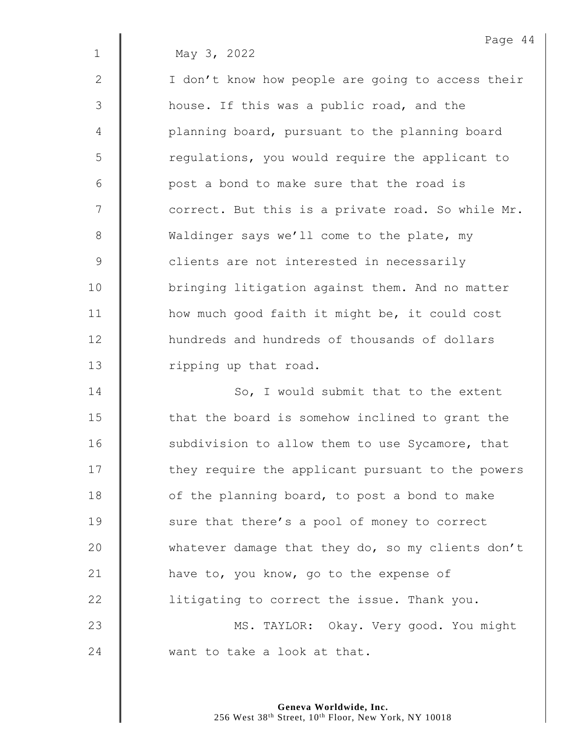1 May 3, 2022

2 | I don't know how people are going to access their 3 | house. If this was a public road, and the 4 | planning board, pursuant to the planning board 5 | regulations, you would require the applicant to 6 | post a bond to make sure that the road is  $7 \parallel$  correct. But this is a private road. So while Mr. 8 Waldinger says we'll come to the plate, my 9 | clients are not interested in necessarily 10 | bringing litigation against them. And no matter 11 **how much good faith it might be, it could cost** 12 **He art 12** hundreds and hundreds of thousands of dollars 13 | ripping up that road.

14 **So, I** would submit that to the extent 15 | that the board is somehow inclined to grant the 16 | subdivision to allow them to use Sycamore, that 17 | they require the applicant pursuant to the powers 18  $\parallel$  of the planning board, to post a bond to make 19 | sure that there's a pool of money to correct 20 Whatever damage that they do, so my clients don't 21 **have to, you know, go to the expense of** 22  $\parallel$  litigating to correct the issue. Thank you. 23 | MS. TAYLOR: Okay. Very good. You might 24 want to take a look at that.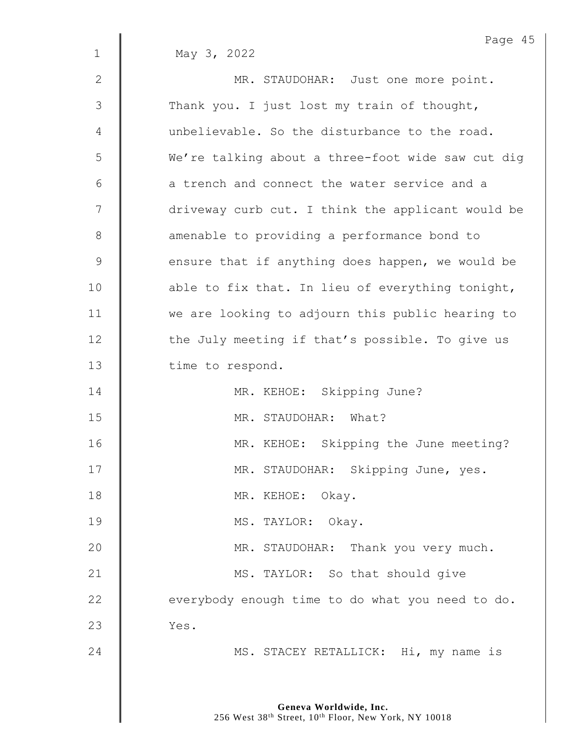|             | Page 45                                           |
|-------------|---------------------------------------------------|
| $\mathbf 1$ | May 3, 2022                                       |
| 2           | MR. STAUDOHAR: Just one more point.               |
| 3           | Thank you. I just lost my train of thought,       |
| 4           | unbelievable. So the disturbance to the road.     |
| 5           | We're talking about a three-foot wide saw cut dig |
| 6           | a trench and connect the water service and a      |
| 7           | driveway curb cut. I think the applicant would be |
| 8           | amenable to providing a performance bond to       |
| $\mathsf 9$ | ensure that if anything does happen, we would be  |
| 10          | able to fix that. In lieu of everything tonight,  |
| 11          | we are looking to adjourn this public hearing to  |
| 12          | the July meeting if that's possible. To give us   |
| 13          | time to respond.                                  |
| 14          | MR. KEHOE: Skipping June?                         |
| 15          | MR. STAUDOHAR: What?                              |
| 16          | MR. KEHOE: Skipping the June meeting?             |
| 17          | MR. STAUDOHAR: Skipping June, yes.                |
| 18          | MR. KEHOE: Okay.                                  |
| 19          | MS. TAYLOR: Okay.                                 |
| 20          | MR. STAUDOHAR: Thank you very much.               |
| 21          | MS. TAYLOR: So that should give                   |
| 22          | everybody enough time to do what you need to do.  |
| 23          | Yes.                                              |
| 24          | MS. STACEY RETALLICK: Hi, my name is              |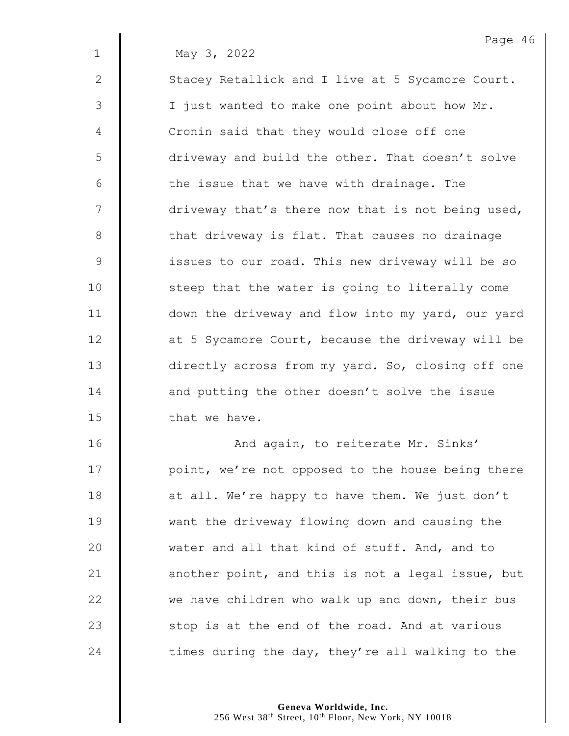1 May 3, 2022

2 | Stacey Retallick and I live at 5 Sycamore Court. 3 | I just wanted to make one point about how Mr. 4 **Cronin said that they would close off one** 5 | driveway and build the other. That doesn't solve  $6$  | the issue that we have with drainage. The  $7 \parallel$  driveway that's there now that is not being used, 8 | that driveway is flat. That causes no drainage 9 | issues to our road. This new driveway will be so 10 | steep that the water is going to literally come 11 | down the driveway and flow into my yard, our yard 12 **d** at 5 Sycamore Court, because the driveway will be 13 directly across from my yard. So, closing off one 14 | and putting the other doesn't solve the issue 15  $\parallel$  that we have.

16 | Mand again, to reiterate Mr. Sinks' 17 | point, we're not opposed to the house being there 18 **d** at all. We're happy to have them. We just don't 19 Want the driveway flowing down and causing the 20 water and all that kind of stuff. And, and to 21  $\parallel$  another point, and this is not a legal issue, but 22  $\parallel$  we have children who walk up and down, their bus 23  $\parallel$  stop is at the end of the road. And at various 24  $\parallel$  times during the day, they're all walking to the

> **Geneva Worldwide, Inc.** 256 West 38<sup>th</sup> Street, 10<sup>th</sup> Floor, New York, NY 10018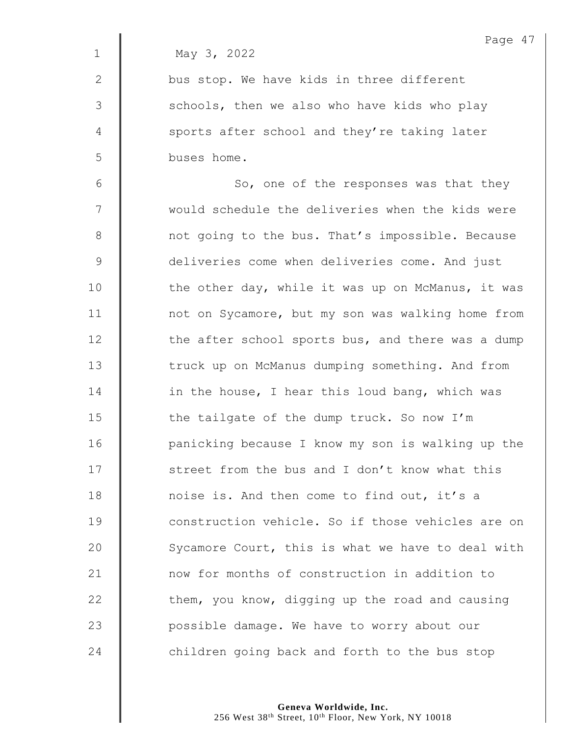|              | Page 47                                           |
|--------------|---------------------------------------------------|
| $\mathbf 1$  | May 3, 2022                                       |
| $\mathbf{2}$ | bus stop. We have kids in three different         |
| 3            | schools, then we also who have kids who play      |
| 4            | sports after school and they're taking later      |
| 5            | buses home.                                       |
| $6\,$        | So, one of the responses was that they            |
| 7            | would schedule the deliveries when the kids were  |
| $\,8\,$      | not going to the bus. That's impossible. Because  |
| $\mathsf 9$  | deliveries come when deliveries come. And just    |
| 10           | the other day, while it was up on McManus, it was |
| 11           | not on Sycamore, but my son was walking home from |
| 12           | the after school sports bus, and there was a dump |
| 13           | truck up on McManus dumping something. And from   |
| 14           | in the house, I hear this loud bang, which was    |
| 15           | the tailgate of the dump truck. So now I'm        |
| 16           | panicking because I know my son is walking up the |
| 17           | street from the bus and I don't know what this    |
| 18           | noise is. And then come to find out, it's a       |
| 19           | construction vehicle. So if those vehicles are on |
| 20           | Sycamore Court, this is what we have to deal with |
| 21           | now for months of construction in addition to     |
| 22           | them, you know, digging up the road and causing   |
| 23           | possible damage. We have to worry about our       |
| 24           | children going back and forth to the bus stop     |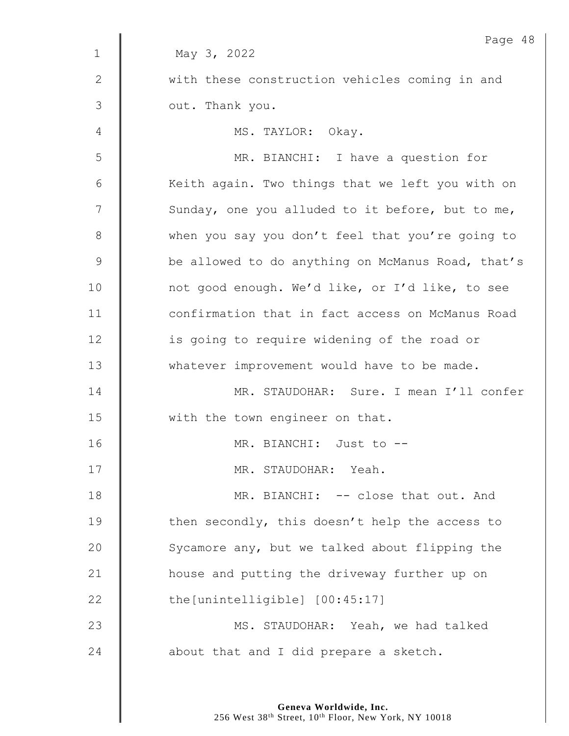|              | Page 48                                           |
|--------------|---------------------------------------------------|
| $\mathbf{1}$ | May 3, 2022                                       |
| $\mathbf{2}$ | with these construction vehicles coming in and    |
| 3            | out. Thank you.                                   |
| 4            | MS. TAYLOR: Okay.                                 |
| 5            | MR. BIANCHI: I have a question for                |
| 6            | Keith again. Two things that we left you with on  |
| 7            | Sunday, one you alluded to it before, but to me,  |
| $8\,$        | when you say you don't feel that you're going to  |
| $\mathsf 9$  | be allowed to do anything on McManus Road, that's |
| 10           | not good enough. We'd like, or I'd like, to see   |
| 11           | confirmation that in fact access on McManus Road  |
| 12           | is going to require widening of the road or       |
| 13           | whatever improvement would have to be made.       |
| 14           | MR. STAUDOHAR: Sure. I mean I'll confer           |
| 15           | with the town engineer on that.                   |
| 16           | MR. BIANCHI: Just to --                           |
| 17           | MR. STAUDOHAR: Yeah.                              |
| 18           | MR. BIANCHI: -- close that out. And               |
| 19           | then secondly, this doesn't help the access to    |
| 20           | Sycamore any, but we talked about flipping the    |
| 21           | house and putting the driveway further up on      |
| 22           | the [unintelligible] [00:45:17]                   |
| 23           | MS. STAUDOHAR: Yeah, we had talked                |
| 24           | about that and I did prepare a sketch.            |
|              |                                                   |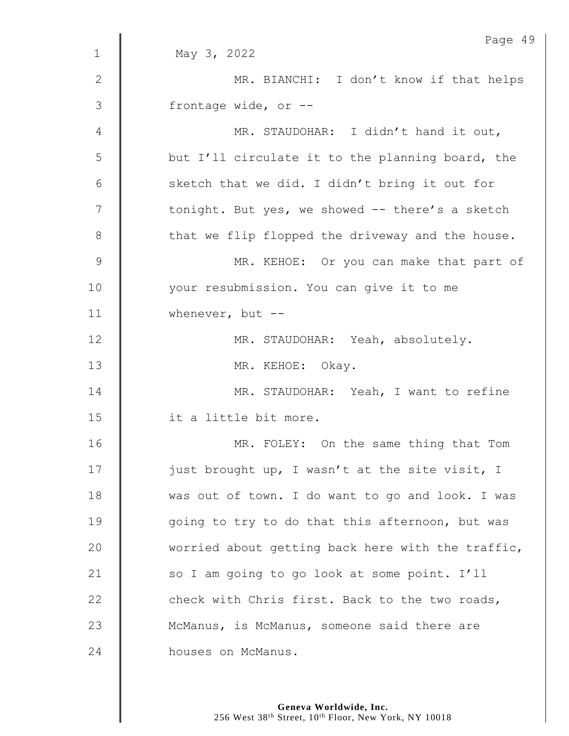| May 3, 2022<br>$\mathbf 1$<br>2<br>MR. BIANCHI: I don't know if that helps<br>$\mathcal{S}$<br>frontage wide, or --<br>MR. STAUDOHAR: I didn't hand it out,<br>4<br>5<br>but I'll circulate it to the planning board, the<br>6<br>sketch that we did. I didn't bring it out for<br>7<br>tonight. But yes, we showed -- there's a sketch<br>8<br>that we flip flopped the driveway and the house.<br>$\mathcal{G}$<br>MR. KEHOE: Or you can make that part of<br>10<br>your resubmission. You can give it to me<br>11<br>whenever, but $--$<br>12<br>MR. STAUDOHAR: Yeah, absolutely.<br>13<br>MR. KEHOE: Okay.<br>14<br>MR. STAUDOHAR: Yeah, I want to refine<br>15<br>it a little bit more.<br>16<br>MR. FOLEY: On the same thing that Tom<br>17<br>just brought up, I wasn't at the site visit, I<br>18<br>was out of town. I do want to go and look. I was<br>19<br>going to try to do that this afternoon, but was<br>20<br>worried about getting back here with the traffic,<br>21<br>so I am going to go look at some point. I'll<br>22<br>check with Chris first. Back to the two roads,<br>23<br>McManus, is McManus, someone said there are<br>24<br>houses on McManus. | Page 49 |
|----------------------------------------------------------------------------------------------------------------------------------------------------------------------------------------------------------------------------------------------------------------------------------------------------------------------------------------------------------------------------------------------------------------------------------------------------------------------------------------------------------------------------------------------------------------------------------------------------------------------------------------------------------------------------------------------------------------------------------------------------------------------------------------------------------------------------------------------------------------------------------------------------------------------------------------------------------------------------------------------------------------------------------------------------------------------------------------------------------------------------------------------------------------------------------|---------|
|                                                                                                                                                                                                                                                                                                                                                                                                                                                                                                                                                                                                                                                                                                                                                                                                                                                                                                                                                                                                                                                                                                                                                                                  |         |
|                                                                                                                                                                                                                                                                                                                                                                                                                                                                                                                                                                                                                                                                                                                                                                                                                                                                                                                                                                                                                                                                                                                                                                                  |         |
|                                                                                                                                                                                                                                                                                                                                                                                                                                                                                                                                                                                                                                                                                                                                                                                                                                                                                                                                                                                                                                                                                                                                                                                  |         |
|                                                                                                                                                                                                                                                                                                                                                                                                                                                                                                                                                                                                                                                                                                                                                                                                                                                                                                                                                                                                                                                                                                                                                                                  |         |
|                                                                                                                                                                                                                                                                                                                                                                                                                                                                                                                                                                                                                                                                                                                                                                                                                                                                                                                                                                                                                                                                                                                                                                                  |         |
|                                                                                                                                                                                                                                                                                                                                                                                                                                                                                                                                                                                                                                                                                                                                                                                                                                                                                                                                                                                                                                                                                                                                                                                  |         |
|                                                                                                                                                                                                                                                                                                                                                                                                                                                                                                                                                                                                                                                                                                                                                                                                                                                                                                                                                                                                                                                                                                                                                                                  |         |
|                                                                                                                                                                                                                                                                                                                                                                                                                                                                                                                                                                                                                                                                                                                                                                                                                                                                                                                                                                                                                                                                                                                                                                                  |         |
|                                                                                                                                                                                                                                                                                                                                                                                                                                                                                                                                                                                                                                                                                                                                                                                                                                                                                                                                                                                                                                                                                                                                                                                  |         |
|                                                                                                                                                                                                                                                                                                                                                                                                                                                                                                                                                                                                                                                                                                                                                                                                                                                                                                                                                                                                                                                                                                                                                                                  |         |
|                                                                                                                                                                                                                                                                                                                                                                                                                                                                                                                                                                                                                                                                                                                                                                                                                                                                                                                                                                                                                                                                                                                                                                                  |         |
|                                                                                                                                                                                                                                                                                                                                                                                                                                                                                                                                                                                                                                                                                                                                                                                                                                                                                                                                                                                                                                                                                                                                                                                  |         |
|                                                                                                                                                                                                                                                                                                                                                                                                                                                                                                                                                                                                                                                                                                                                                                                                                                                                                                                                                                                                                                                                                                                                                                                  |         |
|                                                                                                                                                                                                                                                                                                                                                                                                                                                                                                                                                                                                                                                                                                                                                                                                                                                                                                                                                                                                                                                                                                                                                                                  |         |
|                                                                                                                                                                                                                                                                                                                                                                                                                                                                                                                                                                                                                                                                                                                                                                                                                                                                                                                                                                                                                                                                                                                                                                                  |         |
|                                                                                                                                                                                                                                                                                                                                                                                                                                                                                                                                                                                                                                                                                                                                                                                                                                                                                                                                                                                                                                                                                                                                                                                  |         |
|                                                                                                                                                                                                                                                                                                                                                                                                                                                                                                                                                                                                                                                                                                                                                                                                                                                                                                                                                                                                                                                                                                                                                                                  |         |
|                                                                                                                                                                                                                                                                                                                                                                                                                                                                                                                                                                                                                                                                                                                                                                                                                                                                                                                                                                                                                                                                                                                                                                                  |         |
|                                                                                                                                                                                                                                                                                                                                                                                                                                                                                                                                                                                                                                                                                                                                                                                                                                                                                                                                                                                                                                                                                                                                                                                  |         |
|                                                                                                                                                                                                                                                                                                                                                                                                                                                                                                                                                                                                                                                                                                                                                                                                                                                                                                                                                                                                                                                                                                                                                                                  |         |
|                                                                                                                                                                                                                                                                                                                                                                                                                                                                                                                                                                                                                                                                                                                                                                                                                                                                                                                                                                                                                                                                                                                                                                                  |         |
|                                                                                                                                                                                                                                                                                                                                                                                                                                                                                                                                                                                                                                                                                                                                                                                                                                                                                                                                                                                                                                                                                                                                                                                  |         |
|                                                                                                                                                                                                                                                                                                                                                                                                                                                                                                                                                                                                                                                                                                                                                                                                                                                                                                                                                                                                                                                                                                                                                                                  |         |
|                                                                                                                                                                                                                                                                                                                                                                                                                                                                                                                                                                                                                                                                                                                                                                                                                                                                                                                                                                                                                                                                                                                                                                                  |         |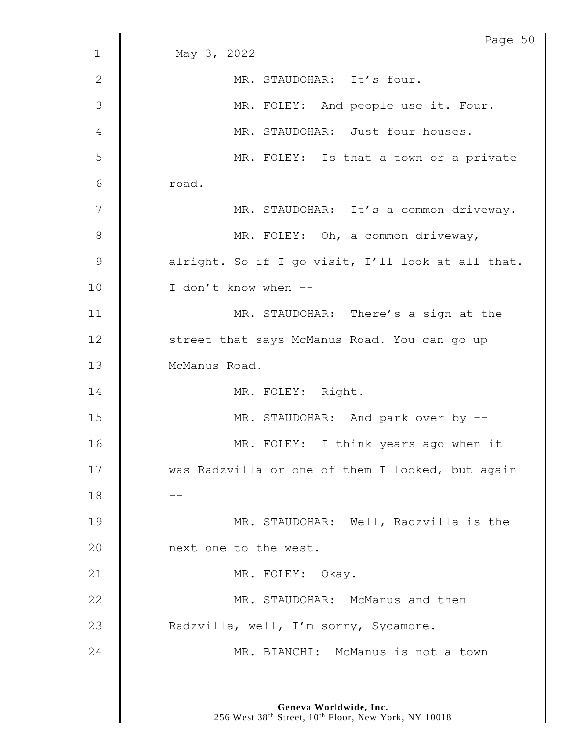|                | Page 50                                           |
|----------------|---------------------------------------------------|
| $\mathbf 1$    | May 3, 2022                                       |
| $\mathbf{2}$   | MR. STAUDOHAR: It's four.                         |
| $\mathfrak{Z}$ | MR. FOLEY: And people use it. Four.               |
| 4              | MR. STAUDOHAR: Just four houses.                  |
| 5              | MR. FOLEY: Is that a town or a private            |
| 6              | road.                                             |
| 7              | MR. STAUDOHAR: It's a common driveway.            |
| $8\,$          | MR. FOLEY: Oh, a common driveway,                 |
| $\mathsf 9$    | alright. So if I go visit, I'll look at all that. |
| 10             | I don't know when --                              |
| 11             | MR. STAUDOHAR: There's a sign at the              |
| 12             | street that says McManus Road. You can go up      |
| 13             | McManus Road.                                     |
| 14             | MR. FOLEY: Right.                                 |
| 15             | MR. STAUDOHAR: And park over by --                |
| 16             | MR. FOLEY: I think years ago when it              |
| 17             | was Radzvilla or one of them I looked, but again  |
| 18             |                                                   |
| 19             | MR. STAUDOHAR: Well, Radzvilla is the             |
| 20             | next one to the west.                             |
| 21             | MR. FOLEY: Okay.                                  |
| 22             | MR. STAUDOHAR: McManus and then                   |
| 23             | Radzvilla, well, I'm sorry, Sycamore.             |
| 24             | MR. BIANCHI: McManus is not a town                |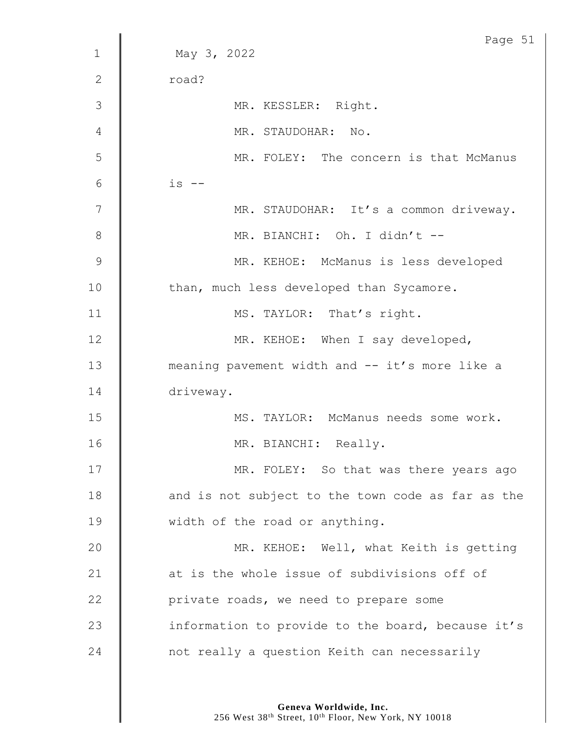|              | Page 51                                           |
|--------------|---------------------------------------------------|
| $\mathbf{1}$ | May 3, 2022                                       |
| $\mathbf{2}$ | road?                                             |
| 3            | MR. KESSLER: Right.                               |
| 4            | MR. STAUDOHAR: No.                                |
| 5            | MR. FOLEY: The concern is that McManus            |
| $6\,$        | $is$ $--$                                         |
| 7            | MR. STAUDOHAR: It's a common driveway.            |
| $8\,$        | MR. BIANCHI: Oh. I didn't --                      |
| $\mathsf 9$  | MR. KEHOE: McManus is less developed              |
| 10           | than, much less developed than Sycamore.          |
| 11           | MS. TAYLOR: That's right.                         |
| 12           | MR. KEHOE: When I say developed,                  |
| 13           | meaning pavement width and -- it's more like a    |
| 14           | driveway.                                         |
| 15           | MS. TAYLOR: McManus needs some work.              |
| 16           | MR. BIANCHI: Really.                              |
| 17           | MR. FOLEY: So that was there years ago            |
| 18           | and is not subject to the town code as far as the |
| 19           | width of the road or anything.                    |
| 20           | MR. KEHOE: Well, what Keith is getting            |
| 21           | at is the whole issue of subdivisions off of      |
| 22           | private roads, we need to prepare some            |
| 23           | information to provide to the board, because it's |
| 24           | not really a question Keith can necessarily       |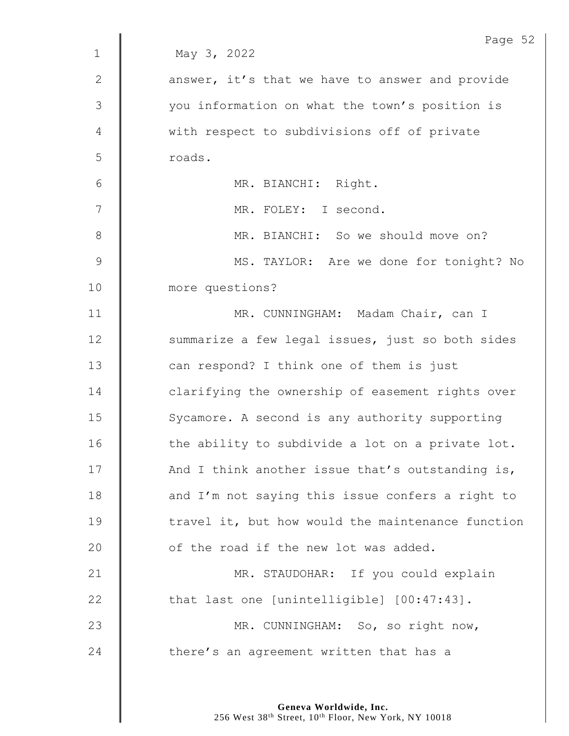|               | Page 52                                           |
|---------------|---------------------------------------------------|
| $\mathbf{1}$  | May 3, 2022                                       |
| 2             | answer, it's that we have to answer and provide   |
| $\mathcal{S}$ | you information on what the town's position is    |
| 4             | with respect to subdivisions off of private       |
| 5             | roads.                                            |
| $6\,$         | MR. BIANCHI: Right.                               |
| 7             | MR. FOLEY: I second.                              |
| $8\,$         | MR. BIANCHI: So we should move on?                |
| $\mathsf 9$   | MS. TAYLOR: Are we done for tonight? No           |
| 10            | more questions?                                   |
| 11            | MR. CUNNINGHAM: Madam Chair, can I                |
| 12            | summarize a few legal issues, just so both sides  |
| 13            | can respond? I think one of them is just          |
| 14            | clarifying the ownership of easement rights over  |
| 15            | Sycamore. A second is any authority supporting    |
| 16            | the ability to subdivide a lot on a private lot.  |
| 17            | And I think another issue that's outstanding is,  |
| 18            | and I'm not saying this issue confers a right to  |
| 19            | travel it, but how would the maintenance function |
| 20            | of the road if the new lot was added.             |
| 21            | MR. STAUDOHAR: If you could explain               |
| 22            | that last one [unintelligible] [00:47:43].        |
| 23            | MR. CUNNINGHAM: So, so right now,                 |
| 24            | there's an agreement written that has a           |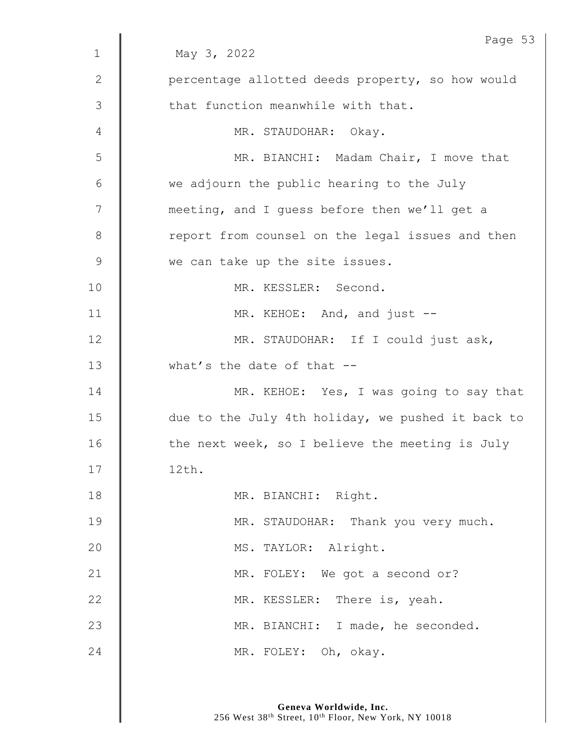| $\mathbf 1$    | Page 53<br>May 3, 2022                            |
|----------------|---------------------------------------------------|
| $\mathbf{2}$   |                                                   |
|                | percentage allotted deeds property, so how would  |
| $\mathfrak{Z}$ | that function meanwhile with that.                |
| 4              | MR. STAUDOHAR: Okay.                              |
| 5              | MR. BIANCHI: Madam Chair, I move that             |
| 6              | we adjourn the public hearing to the July         |
| 7              | meeting, and I guess before then we'll get a      |
| $8\,$          | report from counsel on the legal issues and then  |
| $\mathcal{G}$  | we can take up the site issues.                   |
| 10             | MR. KESSLER: Second.                              |
| 11             | MR. KEHOE: And, and just --                       |
| 12             | MR. STAUDOHAR: If I could just ask,               |
| 13             | what's the date of that --                        |
| 14             | MR. KEHOE: Yes, I was going to say that           |
| 15             | due to the July 4th holiday, we pushed it back to |
| 16             | the next week, so I believe the meeting is July   |
| 17             | 12th.                                             |
| 18             | MR. BIANCHI: Right.                               |
| 19             | MR. STAUDOHAR: Thank you very much.               |
| 20             | MS. TAYLOR: Alright.                              |
| 21             | MR. FOLEY: We got a second or?                    |
| 22             | MR. KESSLER: There is, yeah.                      |
| 23             | MR. BIANCHI: I made, he seconded.                 |
| 24             | MR. FOLEY: Oh, okay.                              |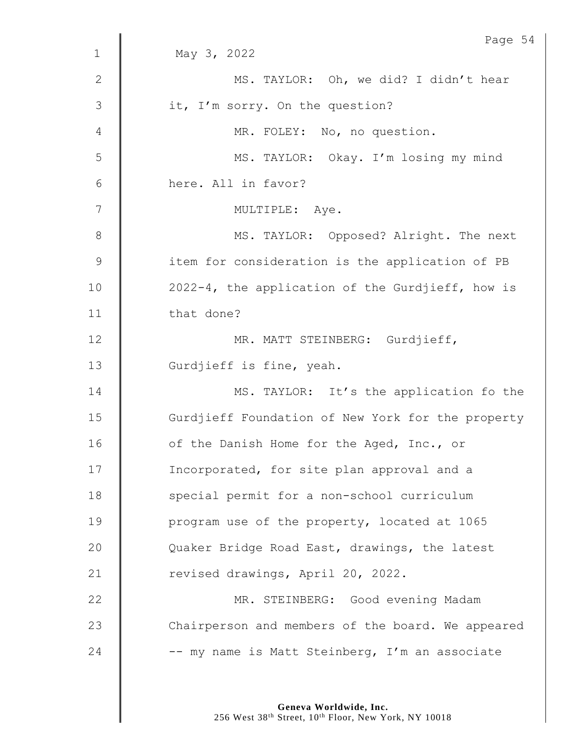| $\mathbf{1}$ | Page 54<br>May 3, 2022                            |
|--------------|---------------------------------------------------|
|              |                                                   |
| $\mathbf{2}$ | MS. TAYLOR: Oh, we did? I didn't hear             |
| 3            | it, I'm sorry. On the question?                   |
| 4            | MR. FOLEY: No, no question.                       |
| 5            | MS. TAYLOR: Okay. I'm losing my mind              |
| $6\,$        | here. All in favor?                               |
| 7            | MULTIPLE: Aye.                                    |
| $8\,$        | MS. TAYLOR: Opposed? Alright. The next            |
| $\mathsf 9$  | item for consideration is the application of PB   |
| 10           | 2022-4, the application of the Gurdjieff, how is  |
| 11           | that done?                                        |
| 12           | MR. MATT STEINBERG: Gurdjieff,                    |
| 13           | Gurdjieff is fine, yeah.                          |
| 14           | MS. TAYLOR: It's the application fo the           |
| 15           | Gurdjieff Foundation of New York for the property |
| 16           | of the Danish Home for the Aged, Inc., or         |
| 17           | Incorporated, for site plan approval and a        |
| 18           | special permit for a non-school curriculum        |
| 19           | program use of the property, located at 1065      |
| 20           | Quaker Bridge Road East, drawings, the latest     |
| 21           | revised drawings, April 20, 2022.                 |
| 22           | MR. STEINBERG: Good evening Madam                 |
| 23           | Chairperson and members of the board. We appeared |
| 24           | -- my name is Matt Steinberg, I'm an associate    |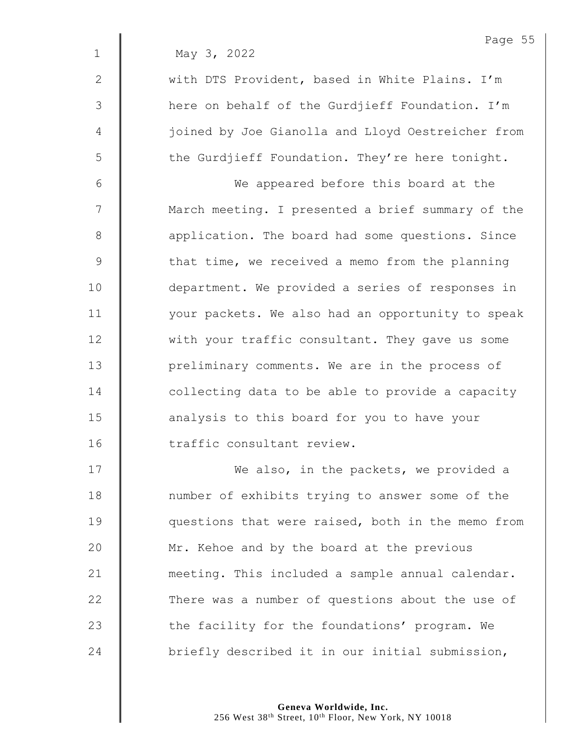1 May 3, 2022

2 with DTS Provident, based in White Plains. I'm 3 | here on behalf of the Gurdjieff Foundation. I'm 4 | iglined by Joe Gianolla and Lloyd Oestreicher from  $5 \parallel$  the Gurdjieff Foundation. They're here tonight.

6 We appeared before this board at the 7 | March meeting. I presented a brief summary of the 8 **a** application. The board had some questions. Since  $9 \parallel$  that time, we received a memo from the planning 10 | department. We provided a series of responses in 11 | vour packets. We also had an opportunity to speak 12 with your traffic consultant. They gave us some 13 | preliminary comments. We are in the process of  $14$   $\parallel$  collecting data to be able to provide a capacity 15 **analysis to this board for you to have your** 16 | traffic consultant review.

17 | We also, in the packets, we provided a 18 | number of exhibits trying to answer some of the 19 **questions that were raised, both in the memo from** 20 Mr. Kehoe and by the board at the previous 21 | meeting. This included a sample annual calendar.  $22$   $\parallel$  There was a number of questions about the use of 23  $\parallel$  the facility for the foundations' program. We 24  $\parallel$  briefly described it in our initial submission,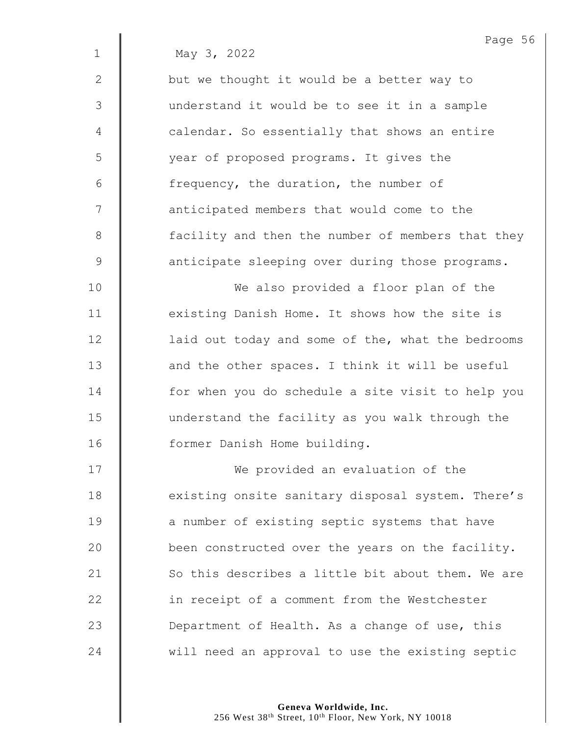|              | Page 56                                           |
|--------------|---------------------------------------------------|
| $\mathbf{1}$ | May 3, 2022                                       |
| $\mathbf{2}$ | but we thought it would be a better way to        |
| 3            | understand it would be to see it in a sample      |
| 4            | calendar. So essentially that shows an entire     |
| 5            | year of proposed programs. It gives the           |
| 6            | frequency, the duration, the number of            |
| 7            | anticipated members that would come to the        |
| 8            | facility and then the number of members that they |
| 9            | anticipate sleeping over during those programs.   |
| 10           | We also provided a floor plan of the              |
| 11           | existing Danish Home. It shows how the site is    |
| 12           | laid out today and some of the, what the bedrooms |
| 13           | and the other spaces. I think it will be useful   |
| 14           | for when you do schedule a site visit to help you |
| 15           | understand the facility as you walk through the   |
| 16           | former Danish Home building.                      |
| 17           | We provided an evaluation of the                  |
| 18           | existing onsite sanitary disposal system. There's |
| 19           | a number of existing septic systems that have     |
| 20           | been constructed over the years on the facility.  |
| 21           | So this describes a little bit about them. We are |
| 22           | in receipt of a comment from the Westchester      |
| 23           | Department of Health. As a change of use, this    |

24 will need an approval to use the existing septic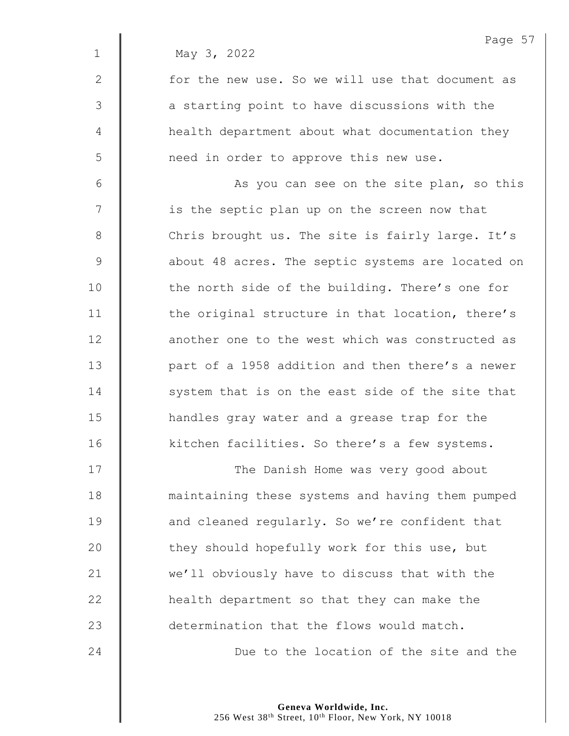|                | Page 57                                           |
|----------------|---------------------------------------------------|
| $\mathbf 1$    | May 3, 2022                                       |
| $\mathbf{2}$   | for the new use. So we will use that document as  |
| 3              | a starting point to have discussions with the     |
| $\overline{4}$ | health department about what documentation they   |
| 5              | need in order to approve this new use.            |
| $6\,$          | As you can see on the site plan, so this          |
| 7              | is the septic plan up on the screen now that      |
| $8\,$          | Chris brought us. The site is fairly large. It's  |
| $\mathcal{G}$  | about 48 acres. The septic systems are located on |
| 10             | the north side of the building. There's one for   |
| 11             | the original structure in that location, there's  |
| 12             | another one to the west which was constructed as  |
| 13             | part of a 1958 addition and then there's a newer  |
| 14             | system that is on the east side of the site that  |
| 15             | handles gray water and a grease trap for the      |
| 16             | kitchen facilities. So there's a few systems.     |
| 17             | The Danish Home was very good about               |
| 18             | maintaining these systems and having them pumped  |
| 19             | and cleaned regularly. So we're confident that    |
| 20             | they should hopefully work for this use, but      |
| 21             | we'll obviously have to discuss that with the     |

23 determination that the flows would match.

 $\parallel$  health department so that they can make the

**| Due** to the location of the site and the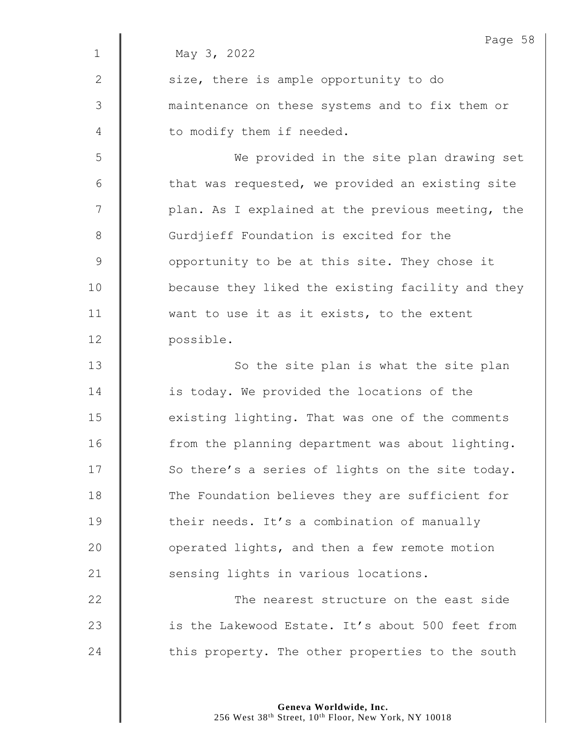|              | Page 58                                           |
|--------------|---------------------------------------------------|
| $\mathbf 1$  | May 3, 2022                                       |
| $\mathbf{2}$ | size, there is ample opportunity to do            |
| 3            | maintenance on these systems and to fix them or   |
| 4            | to modify them if needed.                         |
| 5            | We provided in the site plan drawing set          |
| 6            | that was requested, we provided an existing site  |
| 7            | plan. As I explained at the previous meeting, the |
| $8\,$        | Gurdjieff Foundation is excited for the           |
| $\mathsf 9$  | opportunity to be at this site. They chose it     |
| 10           | because they liked the existing facility and they |
| 11           | want to use it as it exists, to the extent        |
| 12           | possible.                                         |
| 13           | So the site plan is what the site plan            |
| 14           | is today. We provided the locations of the        |
| 15           | existing lighting. That was one of the comments   |
| 16           | from the planning department was about lighting.  |
| 17           | So there's a series of lights on the site today.  |
| 18           | The Foundation believes they are sufficient for   |
| 19           | their needs. It's a combination of manually       |
| 20           | operated lights, and then a few remote motion     |
| 21           | sensing lights in various locations.              |
| 22           | The nearest structure on the east side            |
| 23           | is the Lakewood Estate. It's about 500 feet from  |
| 24           | this property. The other properties to the south  |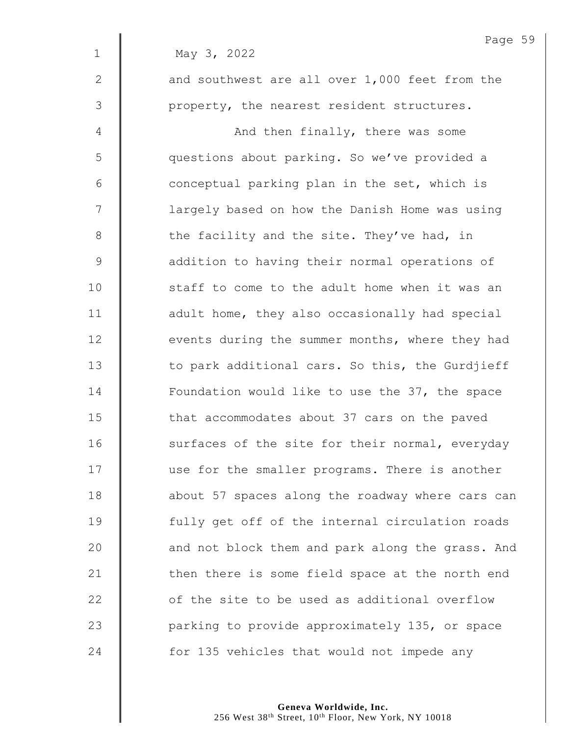|                | Page !                                           |
|----------------|--------------------------------------------------|
| $\mathbf 1$    | May 3, 2022                                      |
| $\mathbf{2}$   | and southwest are all over 1,000 feet from the   |
| 3              | property, the nearest resident structures.       |
| $\overline{4}$ | And then finally, there was some                 |
| 5              | questions about parking. So we've provided a     |
| $6\,$          | conceptual parking plan in the set, which is     |
| $\overline{7}$ | largely based on how the Danish Home was using   |
| $8\,$          | the facility and the site. They've had, in       |
| $\mathcal{G}$  | addition to having their normal operations of    |
| 10             | staff to come to the adult home when it was an   |
| 11             | adult home, they also occasionally had special   |
| 12             | events during the summer months, where they had  |
| 13             | to park additional cars. So this, the Gurdjieff  |
| 14             | Foundation would like to use the 37, the space   |
| 15             | that accommodates about 37 cars on the paved     |
| 16             | surfaces of the site for their normal, everyday  |
| 17             | use for the smaller programs. There is another   |
| 18             | about 57 spaces along the roadway where cars can |
| 19             | fully get off of the internal circulation roads  |
| 20             | and not block them and park along the grass. And |
| 21             | then there is some field space at the north end  |
| 22             | of the site to be used as additional overflow    |
| 23             | parking to provide approximately 135, or space   |
| 24             | for 135 vehicles that would not impede any       |

Page 59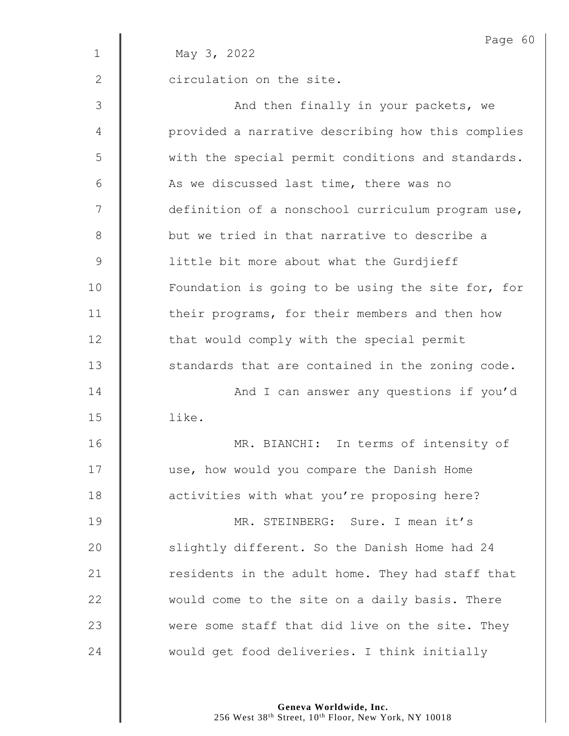|              | Page 60                                           |
|--------------|---------------------------------------------------|
| $\mathbf 1$  | May 3, 2022                                       |
| $\mathbf{2}$ | circulation on the site.                          |
| 3            | And then finally in your packets, we              |
| 4            | provided a narrative describing how this complies |
| 5            | with the special permit conditions and standards. |
| 6            | As we discussed last time, there was no           |
| 7            | definition of a nonschool curriculum program use, |
| $\,8\,$      | but we tried in that narrative to describe a      |
| 9            | little bit more about what the Gurdjieff          |
| 10           | Foundation is going to be using the site for, for |
| 11           | their programs, for their members and then how    |
| 12           | that would comply with the special permit         |
| 13           | standards that are contained in the zoning code.  |
| 14           | And I can answer any questions if you'd           |
| 15           | like.                                             |
| 16           | MR. BIANCHI: In terms of intensity of             |
| 17           | use, how would you compare the Danish Home        |
| 18           | activities with what you're proposing here?       |
| 19           | MR. STEINBERG: Sure. I mean it's                  |
| 20           | slightly different. So the Danish Home had 24     |
| 21           | residents in the adult home. They had staff that  |
| 22           | would come to the site on a daily basis. There    |
| 23           | were some staff that did live on the site. They   |
| 24           | would get food deliveries. I think initially      |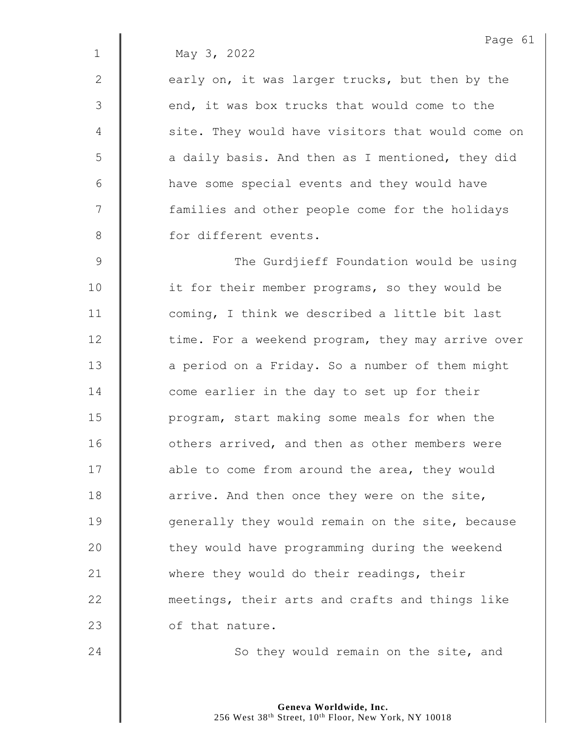|              | Page 61                                           |
|--------------|---------------------------------------------------|
| $\mathbf{1}$ | May 3, 2022                                       |
| $\mathbf{2}$ | early on, it was larger trucks, but then by the   |
| 3            | end, it was box trucks that would come to the     |
| 4            | site. They would have visitors that would come on |
| 5            | a daily basis. And then as I mentioned, they did  |
| 6            | have some special events and they would have      |
| 7            | families and other people come for the holidays   |
| $8\,$        | for different events.                             |
| 9            | The Gurdjieff Foundation would be using           |
| 10           | it for their member programs, so they would be    |
| 11           | coming, I think we described a little bit last    |
| 12           | time. For a weekend program, they may arrive over |
| 13           | a period on a Friday. So a number of them might   |
| 14           | come earlier in the day to set up for their       |
| 15           | program, start making some meals for when the     |
| 16           | others arrived, and then as other members were    |
| 17           | able to come from around the area, they would     |
| 18           | arrive. And then once they were on the site,      |
| 19           | generally they would remain on the site, because  |
| 20           | they would have programming during the weekend    |
| 21           | where they would do their readings, their         |
| 22           | meetings, their arts and crafts and things like   |
| 23           | of that nature.                                   |
|              |                                                   |

24 | So they would remain on the site, and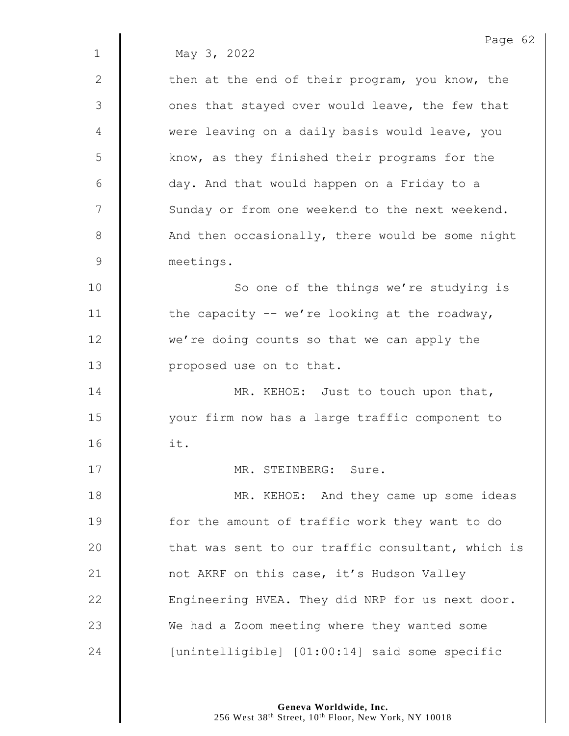1 May 3, 2022

2  $\parallel$  then at the end of their program, you know, the  $3 \parallel$  ones that stayed over would leave, the few that 4 were leaving on a daily basis would leave, you 5 | know, as they finished their programs for the 6 day. And that would happen on a Friday to a 7 | Sunday or from one weekend to the next weekend. 8 And then occasionally, there would be some night 9 meetings. 10 | So one of the things we're studying is 11  $\parallel$  the capacity -- we're looking at the roadway,

12 we're doing counts so that we can apply the 13 **proposed** use on to that.

14 **MR. KEHOE:** Just to touch upon that, 15 your firm now has a large traffic component to 16 it.

17 MR. STEINBERG: Sure.

18 **MR. KEHOE:** And they came up some ideas 19 **for the amount of traffic work they want to do** 20 **that was sent to our traffic consultant, which is** 21 | not AKRF on this case, it's Hudson Valley  $22$   $\parallel$  Engineering HVEA. They did NRP for us next door. 23 We had a Zoom meeting where they wanted some 24 | [unintelligible] [01:00:14] said some specific

> **Geneva Worldwide, Inc.** 256 West 38<sup>th</sup> Street, 10<sup>th</sup> Floor, New York, NY 10018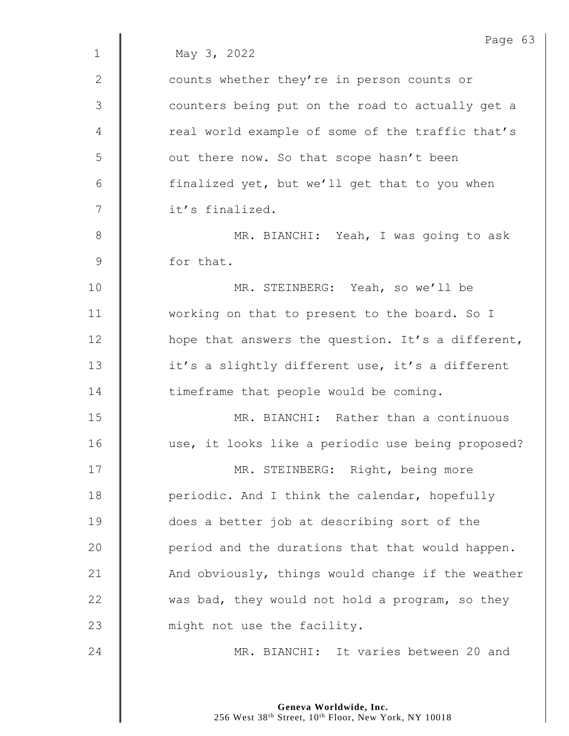|                | Page 63                                           |
|----------------|---------------------------------------------------|
| $\mathbf{1}$   | May 3, 2022                                       |
| 2              | counts whether they're in person counts or        |
| $\mathfrak{Z}$ | counters being put on the road to actually get a  |
| 4              | real world example of some of the traffic that's  |
| 5              | out there now. So that scope hasn't been          |
| 6              | finalized yet, but we'll get that to you when     |
| 7              | it's finalized.                                   |
| 8              | MR. BIANCHI: Yeah, I was going to ask             |
| $\mathsf 9$    | for that.                                         |
| 10             | MR. STEINBERG: Yeah, so we'll be                  |
| 11             | working on that to present to the board. So I     |
| 12             | hope that answers the question. It's a different, |
| 13             | it's a slightly different use, it's a different   |
| 14             | timeframe that people would be coming.            |
| 15             | MR. BIANCHI: Rather than a continuous             |
| 16             | use, it looks like a periodic use being proposed? |
| 17             | MR. STEINBERG: Right, being more                  |
| 18             | periodic. And I think the calendar, hopefully     |
| 19             | does a better job at describing sort of the       |
| 20             | period and the durations that that would happen.  |
| 21             | And obviously, things would change if the weather |
| 22             | was bad, they would not hold a program, so they   |
| 23             | might not use the facility.                       |
| 24             | MR. BIANCHI: It varies between 20 and             |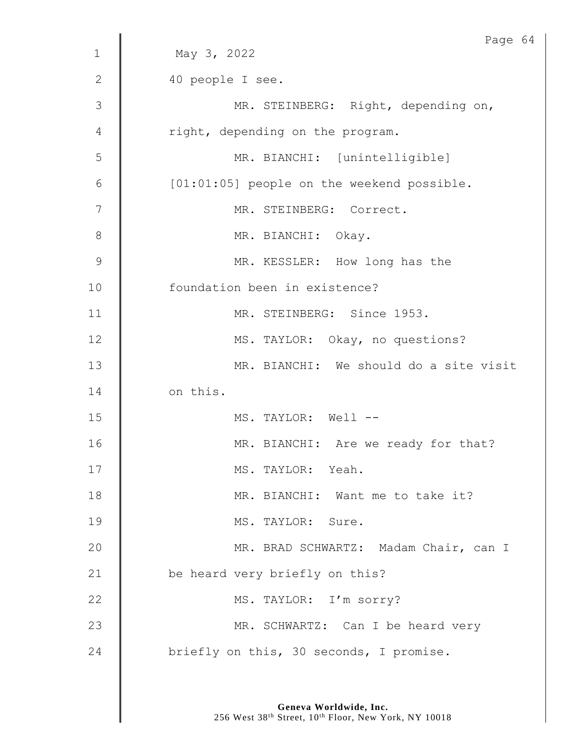|                | Page 64                                    |
|----------------|--------------------------------------------|
| $\mathbf{1}$   | May 3, 2022                                |
| 2              | 40 people I see.                           |
| $\mathfrak{Z}$ | MR. STEINBERG: Right, depending on,        |
| 4              | right, depending on the program.           |
| 5              | MR. BIANCHI: [unintelligible]              |
| $6\,$          | [01:01:05] people on the weekend possible. |
| 7              | MR. STEINBERG: Correct.                    |
| 8              | MR. BIANCHI: Okay.                         |
| $\mathsf 9$    | MR. KESSLER: How long has the              |
| 10             | foundation been in existence?              |
| 11             | MR. STEINBERG: Since 1953.                 |
| 12             | MS. TAYLOR: Okay, no questions?            |
| 13             | MR. BIANCHI: We should do a site visit     |
| 14             | on this.                                   |
| 15             | MS. TAYLOR: Well --                        |
| 16             | MR. BIANCHI: Are we ready for that?        |
| 17             | MS. TAYLOR: Yeah.                          |
| 18             | MR. BIANCHI: Want me to take it?           |
| 19             | MS. TAYLOR: Sure.                          |
| 20             | MR. BRAD SCHWARTZ: Madam Chair, can I      |
| 21             | be heard very briefly on this?             |
| 22             | MS. TAYLOR: I'm sorry?                     |
| 23             | MR. SCHWARTZ: Can I be heard very          |
| 24             | briefly on this, 30 seconds, I promise.    |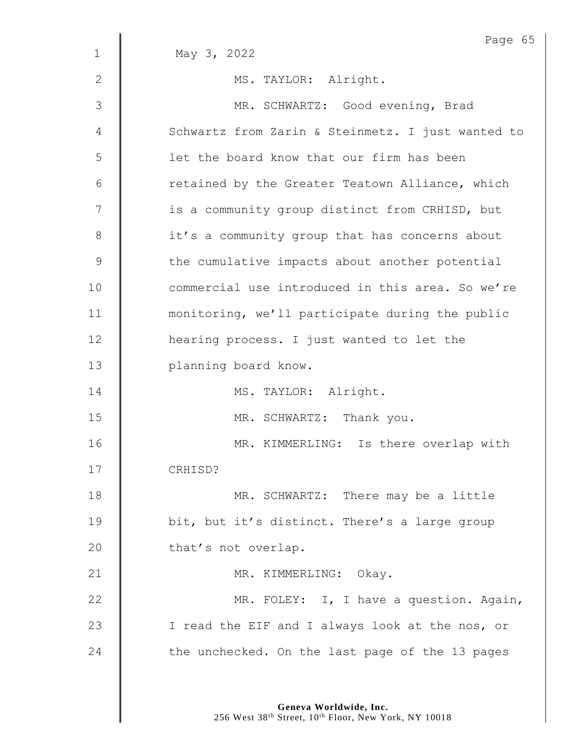|              | Page 65                                           |
|--------------|---------------------------------------------------|
| $\mathbf{1}$ | May 3, 2022                                       |
| 2            | MS. TAYLOR: Alright.                              |
| 3            | MR. SCHWARTZ: Good evening, Brad                  |
| 4            | Schwartz from Zarin & Steinmetz. I just wanted to |
| 5            | let the board know that our firm has been         |
| 6            | retained by the Greater Teatown Alliance, which   |
| 7            | is a community group distinct from CRHISD, but    |
| 8            | it's a community group that has concerns about    |
| 9            | the cumulative impacts about another potential    |
| 10           | commercial use introduced in this area. So we're  |
| 11           | monitoring, we'll participate during the public   |
| 12           | hearing process. I just wanted to let the         |
| 13           | planning board know.                              |
| 14           | MS. TAYLOR: Alright.                              |
| 15           | MR. SCHWARTZ: Thank you.                          |
| 16           | MR. KIMMERLING: Is there overlap with             |
| 17           | CRHISD?                                           |
| 18           | MR. SCHWARTZ: There may be a little               |
| 19           | bit, but it's distinct. There's a large group     |
| 20           | that's not overlap.                               |
| 21           | MR. KIMMERLING: Okay.                             |
| 22           | MR. FOLEY: I, I have a question. Again,           |
| 23           | I read the EIF and I always look at the nos, or   |
| 24           | the unchecked. On the last page of the 13 pages   |
|              |                                                   |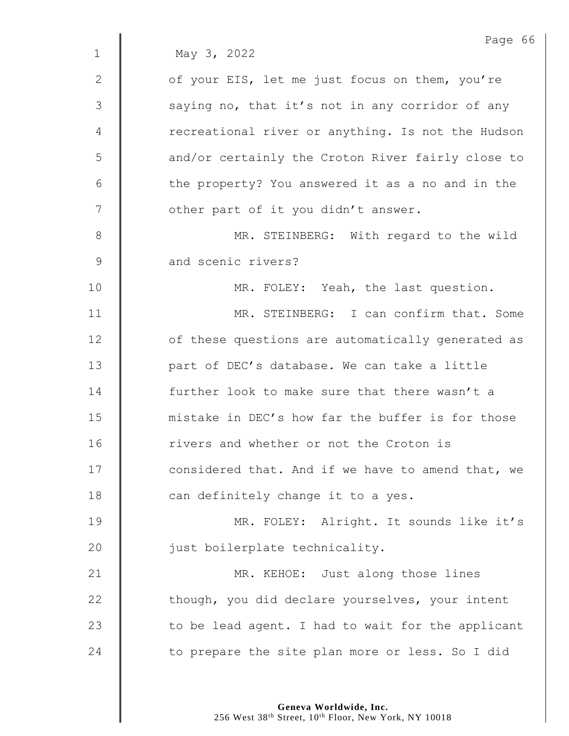|             | Page 66                                           |
|-------------|---------------------------------------------------|
| $\mathbf 1$ | May 3, 2022                                       |
| 2           | of your EIS, let me just focus on them, you're    |
| 3           | saying no, that it's not in any corridor of any   |
| 4           | recreational river or anything. Is not the Hudson |
| 5           | and/or certainly the Croton River fairly close to |
| 6           | the property? You answered it as a no and in the  |
| 7           | other part of it you didn't answer.               |
| $8\,$       | MR. STEINBERG: With regard to the wild            |
| 9           | and scenic rivers?                                |
| 10          | MR. FOLEY: Yeah, the last question.               |
| 11          | MR. STEINBERG: I can confirm that. Some           |
| 12          | of these questions are automatically generated as |
| 13          | part of DEC's database. We can take a little      |
| 14          | further look to make sure that there wasn't a     |
| 15          | mistake in DEC's how far the buffer is for those  |
| 16          | rivers and whether or not the Croton is           |
| 17          | considered that. And if we have to amend that, we |
| 18          | can definitely change it to a yes.                |
| 19          | MR. FOLEY: Alright. It sounds like it's           |
| 20          | just boilerplate technicality.                    |
| 21          | MR. KEHOE: Just along those lines                 |
| 22          | though, you did declare yourselves, your intent   |
| 23          | to be lead agent. I had to wait for the applicant |
| 24          | to prepare the site plan more or less. So I did   |
|             |                                                   |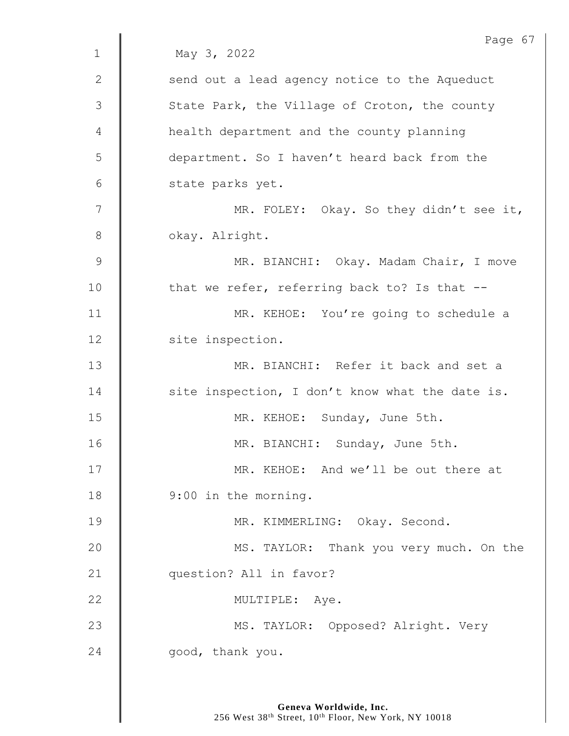|               | Page 67                                         |
|---------------|-------------------------------------------------|
| $\mathbf 1$   | May 3, 2022                                     |
| 2             | send out a lead agency notice to the Aqueduct   |
| 3             | State Park, the Village of Croton, the county   |
| 4             | health department and the county planning       |
| 5             | department. So I haven't heard back from the    |
| 6             | state parks yet.                                |
| 7             | MR. FOLEY: Okay. So they didn't see it,         |
| $8\,$         | okay. Alright.                                  |
| $\mathcal{G}$ | MR. BIANCHI: Okay. Madam Chair, I move          |
| 10            | that we refer, referring back to? Is that --    |
| 11            | MR. KEHOE: You're going to schedule a           |
| 12            | site inspection.                                |
| 13            | MR. BIANCHI: Refer it back and set a            |
| 14            | site inspection, I don't know what the date is. |
| 15            | MR. KEHOE: Sunday, June 5th.                    |
| 16            | MR. BIANCHI: Sunday, June 5th.                  |
| 17            | MR. KEHOE: And we'll be out there at            |
| 18            | 9:00 in the morning.                            |
| 19            | MR. KIMMERLING: Okay. Second.                   |
| 20            | MS. TAYLOR: Thank you very much. On the         |
| 21            | question? All in favor?                         |
| 22            | MULTIPLE: Aye.                                  |
| 23            | MS. TAYLOR: Opposed? Alright. Very              |
| 24            | good, thank you.                                |
|               |                                                 |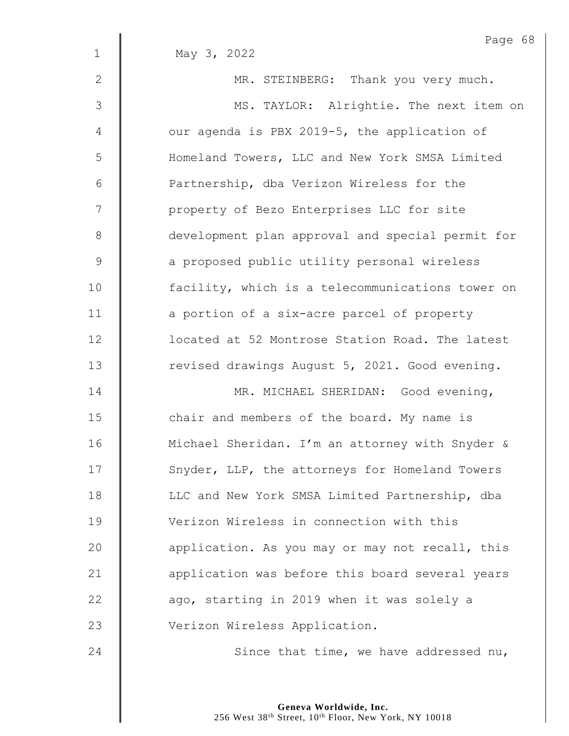|                | Page 68                                          |
|----------------|--------------------------------------------------|
| $\mathbf{1}$   | May 3, 2022                                      |
| $\mathbf{2}$   | MR. STEINBERG: Thank you very much.              |
| $\mathfrak{Z}$ | MS. TAYLOR: Alrightie. The next item on          |
| 4              | our agenda is PBX 2019-5, the application of     |
| 5              | Homeland Towers, LLC and New York SMSA Limited   |
| 6              | Partnership, dba Verizon Wireless for the        |
| 7              | property of Bezo Enterprises LLC for site        |
| $\,8\,$        | development plan approval and special permit for |
| $\mathcal{G}$  | a proposed public utility personal wireless      |
| 10             | facility, which is a telecommunications tower on |
| 11             | a portion of a six-acre parcel of property       |
| 12             | located at 52 Montrose Station Road. The latest  |
| 13             | revised drawings August 5, 2021. Good evening.   |
| 14             | MR. MICHAEL SHERIDAN: Good evening,              |
| 15             | chair and members of the board. My name is       |
| 16             | Michael Sheridan. I'm an attorney with Snyder &  |
| 17             | Snyder, LLP, the attorneys for Homeland Towers   |
| 18             | LLC and New York SMSA Limited Partnership, dba   |
| 19             | Verizon Wireless in connection with this         |
| 20             | application. As you may or may not recall, this  |
| 21             | application was before this board several years  |
| 22             | ago, starting in 2019 when it was solely a       |
| 23             | Verizon Wireless Application.                    |
| 24             | Since that time, we have addressed nu,           |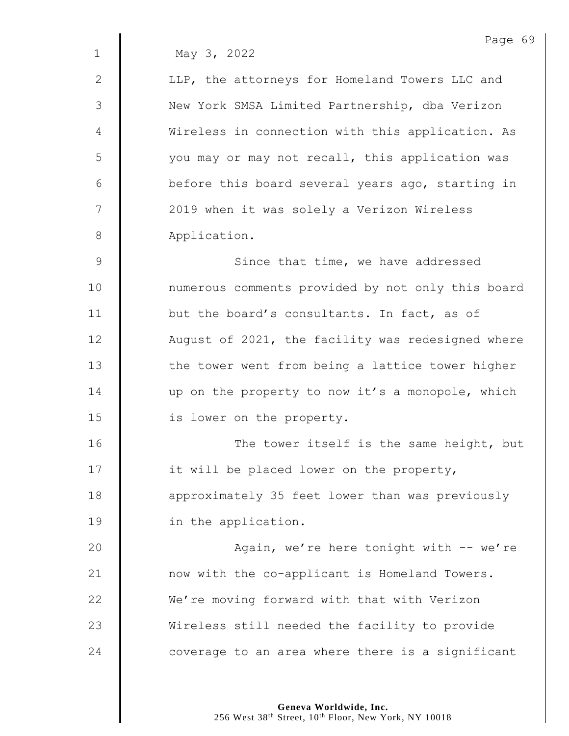1 May 3, 2022

2 | LLP, the attorneys for Homeland Towers LLC and 3 | New York SMSA Limited Partnership, dba Verizon 4 | Wireless in connection with this application. As 5 | vou may or may not recall, this application was 6 | before this board several years ago, starting in 7 | 2019 when it was solely a Verizon Wireless 8 Application.

9 || Since that time, we have addressed 10 | numerous comments provided by not only this board 11 **but the board's consultants.** In fact, as of 12 **August of 2021, the facility was redesigned where**  $13$   $\parallel$  the tower went from being a lattice tower higher 14 up on the property to now it's a monopole, which 15 **is lower on the property.** 

16 | The tower itself is the same height, but 17 | it will be placed lower on the property, 18 **approximately 35 feet lower than was previously** 19 **in the application.** 

20 | Ragain, we're here tonight with -- we're 21 | now with the co-applicant is Homeland Towers. 22 We're moving forward with that with Verizon 23 | Wireless still needed the facility to provide 24  $\parallel$  coverage to an area where there is a significant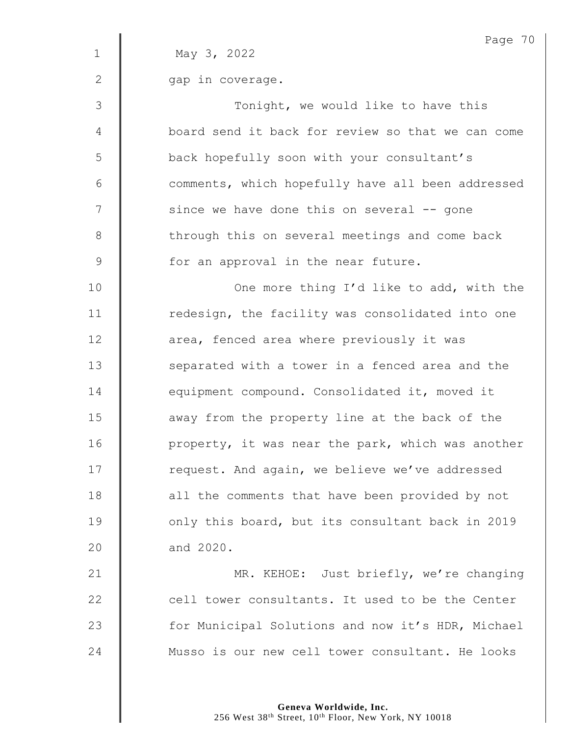|              | Page 70                                           |
|--------------|---------------------------------------------------|
| $\mathbf{1}$ | May 3, 2022                                       |
| 2            | gap in coverage.                                  |
| 3            | Tonight, we would like to have this               |
| 4            | board send it back for review so that we can come |
| 5            | back hopefully soon with your consultant's        |
| 6            | comments, which hopefully have all been addressed |
| 7            | since we have done this on several -- gone        |
| $8\,$        | through this on several meetings and come back    |
| 9            | for an approval in the near future.               |
| 10           | One more thing I'd like to add, with the          |
| 11           | redesign, the facility was consolidated into one  |
| 12           | area, fenced area where previously it was         |
| 13           | separated with a tower in a fenced area and the   |
| 14           | equipment compound. Consolidated it, moved it     |
| 15           | away from the property line at the back of the    |
| 16           | property, it was near the park, which was another |
| 17           | request. And again, we believe we've addressed    |
| 18           | all the comments that have been provided by not   |
| 19           | only this board, but its consultant back in 2019  |
| 20           | and 2020.                                         |
| 21           | MR. KEHOE: Just briefly, we're changing           |
| 22           | cell tower consultants. It used to be the Center  |
| 23           | for Municipal Solutions and now it's HDR, Michael |
| 24           | Musso is our new cell tower consultant. He looks  |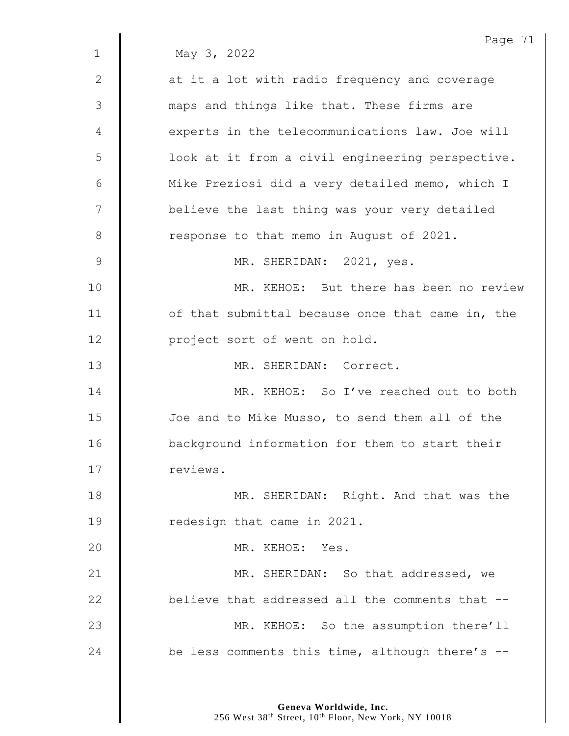Page 71 1 May 3, 2022 2 | at it a lot with radio frequency and coverage 3 maps and things like that. These firms are 4 | experts in the telecommunications law. Joe will 5 | look at it from a civil engineering perspective. 6 | Mike Preziosi did a very detailed memo, which I 7 | believe the last thing was your very detailed 8 Tesponse to that memo in August of 2021. 9 MR. SHERIDAN: 2021, yes. 10 MR. KEHOE: But there has been no review 11 | of that submittal because once that came in, the 12 | project sort of went on hold. 13 MR. SHERIDAN: Correct. 14 **MR. KEHOE:** So I've reached out to both 15 **Joe and to Mike Musso, to send them all of the** 16 **background information for them to start their** 17 | reviews. 18 **MR. SHERIDAN:** Right. And that was the 19 **I** redesign that came in 2021. 20 MR. KEHOE: Yes. 21 **MR. SHERIDAN:** So that addressed, we 22 **believe that addressed all the comments that --**23 MR. KEHOE: So the assumption there'll 24  $\parallel$  be less comments this time, although there's --

> **Geneva Worldwide, Inc.** 256 West 38<sup>th</sup> Street, 10<sup>th</sup> Floor, New York, NY 10018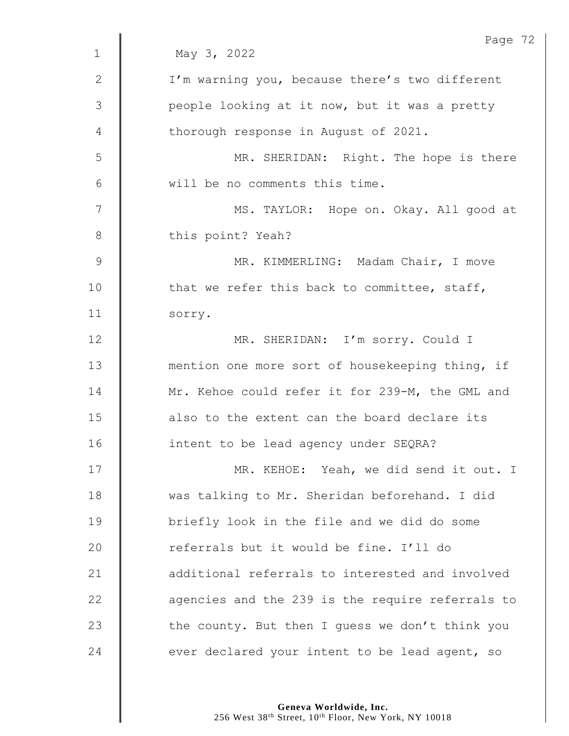|                | Page 72                                          |
|----------------|--------------------------------------------------|
| $\mathbf 1$    | May 3, 2022                                      |
| $\mathbf{2}$   | I'm warning you, because there's two different   |
| $\mathfrak{Z}$ | people looking at it now, but it was a pretty    |
| 4              | thorough response in August of 2021.             |
| 5              | MR. SHERIDAN: Right. The hope is there           |
| 6              | will be no comments this time.                   |
| 7              | MS. TAYLOR: Hope on. Okay. All good at           |
| 8              | this point? Yeah?                                |
| $\mathsf 9$    | MR. KIMMERLING: Madam Chair, I move              |
| 10             | that we refer this back to committee, staff,     |
| 11             | sorry.                                           |
| 12             | MR. SHERIDAN: I'm sorry. Could I                 |
| 13             | mention one more sort of housekeeping thing, if  |
| 14             | Mr. Kehoe could refer it for 239-M, the GML and  |
| 15             | also to the extent can the board declare its     |
| 16             | intent to be lead agency under SEQRA?            |
| 17             | MR. KEHOE: Yeah, we did send it out. I           |
| 18             | was talking to Mr. Sheridan beforehand. I did    |
| 19             | briefly look in the file and we did do some      |
| 20             | referrals but it would be fine. I'll do          |
| 21             | additional referrals to interested and involved  |
| 22             | agencies and the 239 is the require referrals to |
| 23             | the county. But then I guess we don't think you  |
| 24             | ever declared your intent to be lead agent, so   |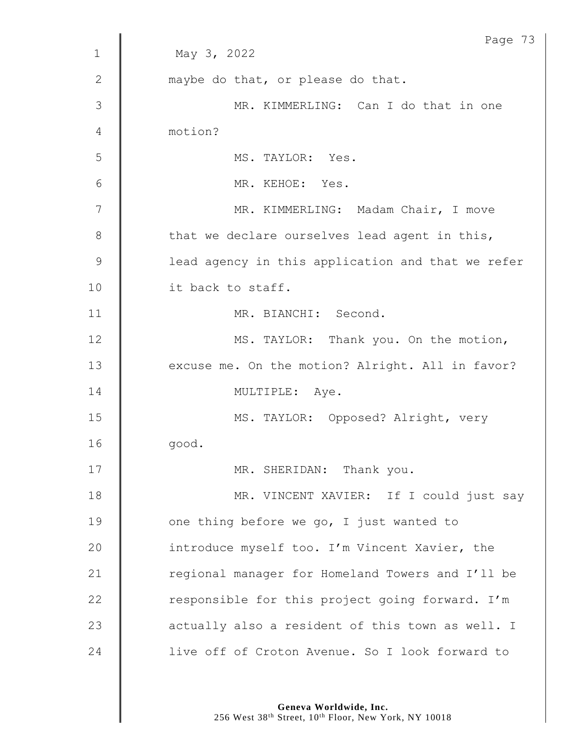|              | Page 73                                           |
|--------------|---------------------------------------------------|
| $\mathbf{1}$ | May 3, 2022                                       |
| 2            | maybe do that, or please do that.                 |
| 3            | MR. KIMMERLING: Can I do that in one              |
| 4            | motion?                                           |
| 5            | MS. TAYLOR: Yes.                                  |
| 6            | MR. KEHOE: Yes.                                   |
| 7            | MR. KIMMERLING: Madam Chair, I move               |
| 8            | that we declare ourselves lead agent in this,     |
| 9            | lead agency in this application and that we refer |
| 10           | it back to staff.                                 |
| 11           | MR. BIANCHI: Second.                              |
| 12           | MS. TAYLOR: Thank you. On the motion,             |
| 13           | excuse me. On the motion? Alright. All in favor?  |
| 14           | MULTIPLE: Aye.                                    |
| 15           | MS. TAYLOR: Opposed? Alright, very                |
| 16           | good.                                             |
| 17           | MR. SHERIDAN: Thank you.                          |
| 18           | MR. VINCENT XAVIER: If I could just say           |
| 19           | one thing before we go, I just wanted to          |
| 20           | introduce myself too. I'm Vincent Xavier, the     |
| 21           | regional manager for Homeland Towers and I'll be  |
| 22           | responsible for this project going forward. I'm   |
| 23           | actually also a resident of this town as well. I  |
| 24           | live off of Croton Avenue. So I look forward to   |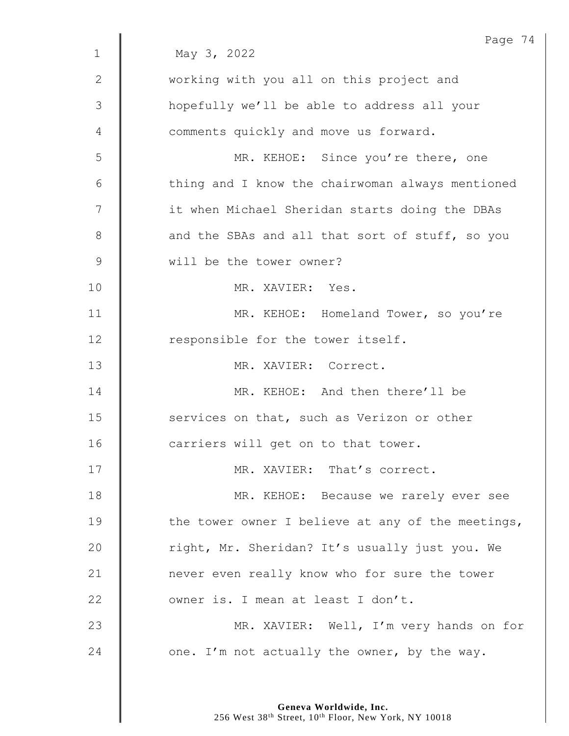|                | Page 74                                           |
|----------------|---------------------------------------------------|
| $\mathbf 1$    | May 3, 2022                                       |
| $\mathbf{2}$   | working with you all on this project and          |
| $\mathfrak{Z}$ | hopefully we'll be able to address all your       |
| 4              | comments quickly and move us forward.             |
| 5              | MR. KEHOE: Since you're there, one                |
| 6              | thing and I know the chairwoman always mentioned  |
| 7              | it when Michael Sheridan starts doing the DBAs    |
| 8              | and the SBAs and all that sort of stuff, so you   |
| $\mathsf 9$    | will be the tower owner?                          |
| 10             | MR. XAVIER: Yes.                                  |
| 11             | MR. KEHOE: Homeland Tower, so you're              |
| 12             | responsible for the tower itself.                 |
| 13             | MR. XAVIER: Correct.                              |
| 14             | MR. KEHOE: And then there'll be                   |
| 15             | services on that, such as Verizon or other        |
| 16             | carriers will get on to that tower.               |
| 17             | MR. XAVIER: That's correct.                       |
| 18             | MR. KEHOE: Because we rarely ever see             |
| 19             | the tower owner I believe at any of the meetings, |
| 20             | right, Mr. Sheridan? It's usually just you. We    |
| 21             | never even really know who for sure the tower     |
| 22             | owner is. I mean at least I don't.                |
| 23             | MR. XAVIER: Well, I'm very hands on for           |
| 24             | one. I'm not actually the owner, by the way.      |
|                |                                                   |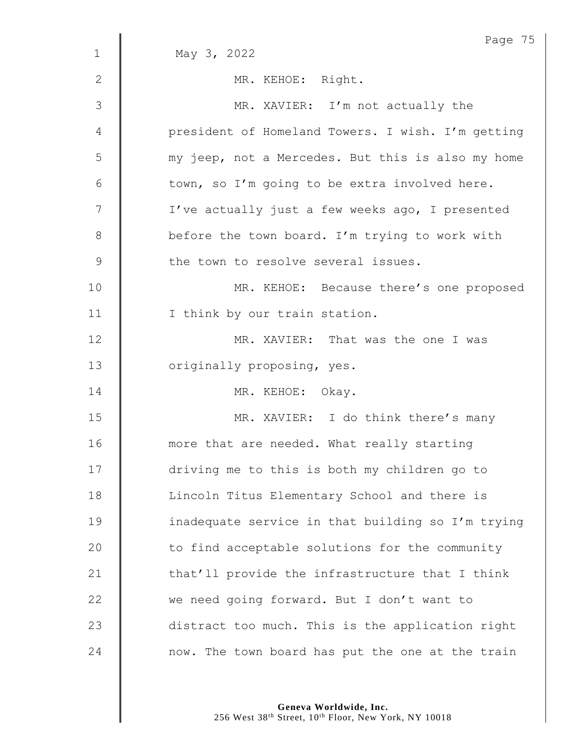|                | Page 75                                           |
|----------------|---------------------------------------------------|
| $\mathbf{1}$   | May 3, 2022                                       |
| $\mathbf{2}$   | MR. KEHOE: Right.                                 |
| 3              | MR. XAVIER: I'm not actually the                  |
| 4              | president of Homeland Towers. I wish. I'm getting |
| 5              | my jeep, not a Mercedes. But this is also my home |
| 6              | town, so I'm going to be extra involved here.     |
| $\overline{7}$ | I've actually just a few weeks ago, I presented   |
| $8\,$          | before the town board. I'm trying to work with    |
| $\mathcal{G}$  | the town to resolve several issues.               |
| 10             | MR. KEHOE: Because there's one proposed           |
| 11             | I think by our train station.                     |
| 12             | MR. XAVIER: That was the one I was                |
| 13             | originally proposing, yes.                        |
| 14             | MR. KEHOE: Okay.                                  |
| 15             | MR. XAVIER: I do think there's many               |
| 16             | more that are needed. What really starting        |
| 17             | driving me to this is both my children go to      |
| 18             | Lincoln Titus Elementary School and there is      |
| 19             | inadequate service in that building so I'm trying |
| 20             | to find acceptable solutions for the community    |
| 21             | that'll provide the infrastructure that I think   |
| 22             | we need going forward. But I don't want to        |
| 23             | distract too much. This is the application right  |
| 24             | now. The town board has put the one at the train  |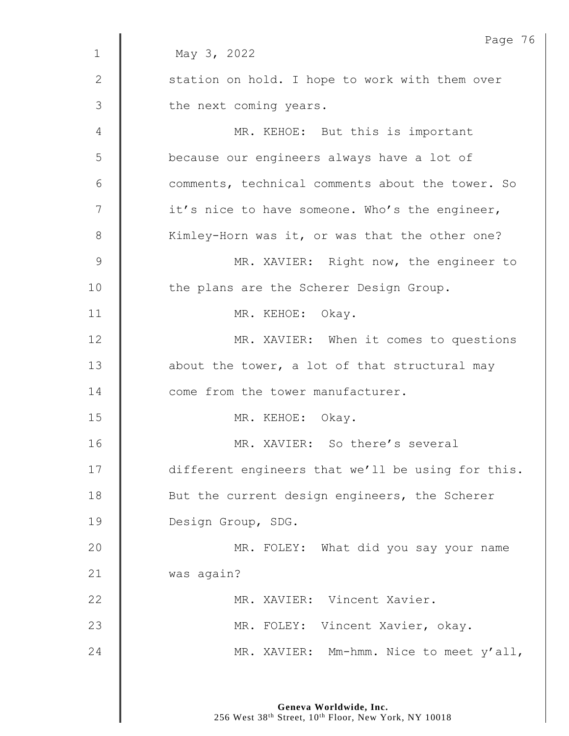|                | Page 76                                           |
|----------------|---------------------------------------------------|
| $\mathbf 1$    | May 3, 2022                                       |
| $\mathbf{2}$   | station on hold. I hope to work with them over    |
| $\mathfrak{Z}$ | the next coming years.                            |
| 4              | MR. KEHOE: But this is important                  |
| 5              | because our engineers always have a lot of        |
| 6              | comments, technical comments about the tower. So  |
| 7              | it's nice to have someone. Who's the engineer,    |
| 8              | Kimley-Horn was it, or was that the other one?    |
| $\mathsf 9$    | MR. XAVIER: Right now, the engineer to            |
| 10             | the plans are the Scherer Design Group.           |
| 11             | MR. KEHOE: Okay.                                  |
| 12             | MR. XAVIER: When it comes to questions            |
| 13             | about the tower, a lot of that structural may     |
| 14             | come from the tower manufacturer.                 |
| 15             | MR. KEHOE: Okay.                                  |
| 16             | MR. XAVIER: So there's several                    |
| 17             | different engineers that we'll be using for this. |
| 18             | But the current design engineers, the Scherer     |
| 19             | Design Group, SDG.                                |
| 20             | MR. FOLEY: What did you say your name             |
| 21             | was again?                                        |
| 22             | MR. XAVIER: Vincent Xavier.                       |
| 23             | MR. FOLEY: Vincent Xavier, okay.                  |
| 24             | MR. XAVIER: Mm-hmm. Nice to meet y'all,           |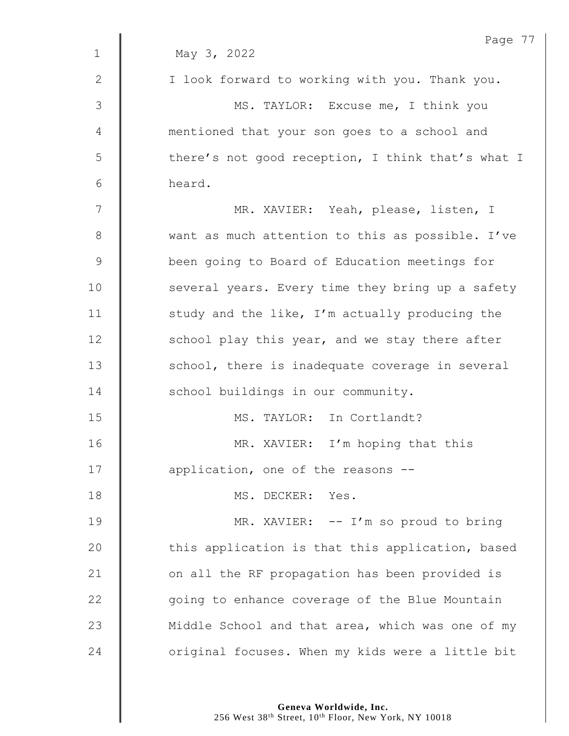| May 3, 2022<br>I look forward to working with you. Thank you.<br>MS. TAYLOR: Excuse me, I think you |
|-----------------------------------------------------------------------------------------------------|
|                                                                                                     |
|                                                                                                     |
|                                                                                                     |
| mentioned that your son goes to a school and                                                        |
| there's not good reception, I think that's what I                                                   |
| heard.                                                                                              |
| MR. XAVIER: Yeah, please, listen, I                                                                 |
| want as much attention to this as possible. I've                                                    |
| been going to Board of Education meetings for                                                       |
| several years. Every time they bring up a safety                                                    |
| study and the like, I'm actually producing the                                                      |
| school play this year, and we stay there after                                                      |
| school, there is inadequate coverage in several                                                     |
| school buildings in our community.                                                                  |
| MS. TAYLOR: In Cortlandt?                                                                           |
| MR. XAVIER: I'm hoping that this                                                                    |
| application, one of the reasons --                                                                  |
| MS. DECKER: Yes.                                                                                    |
| MR. XAVIER: -- I'm so proud to bring                                                                |
| this application is that this application, based                                                    |
| on all the RF propagation has been provided is                                                      |
| going to enhance coverage of the Blue Mountain                                                      |
| Middle School and that area, which was one of my                                                    |
| original focuses. When my kids were a little bit                                                    |
|                                                                                                     |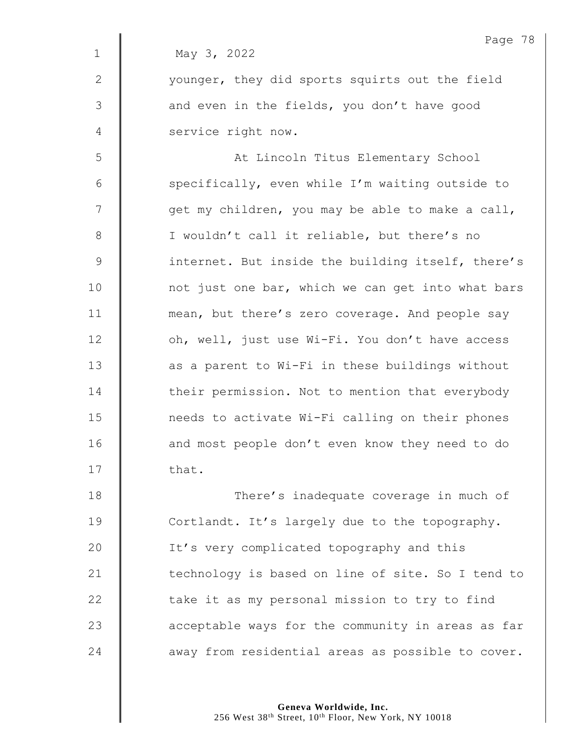Page 78 1 May 3, 2022 2 | vounger, they did sports squirts out the field  $3 \parallel$  and even in the fields, you don't have good 4 Service right now. 5 || At Lincoln Titus Elementary School 6  $\parallel$  specifically, even while I'm waiting outside to  $7 \parallel$  qet my children, you may be able to make a call, 8 | I wouldn't call it reliable, but there's no 9 | internet. But inside the building itself, there's 10 | not just one bar, which we can get into what bars 11 **mean, but there's zero coverage. And people say** 12 | oh, well, just use Wi-Fi. You don't have access  $13$   $\parallel$  as a parent to Wi-Fi in these buildings without 14 Their permission. Not to mention that everybody 15 | needs to activate Wi-Fi calling on their phones 16 | and most people don't even know they need to do  $17 \parallel$  that. 18 **There's inadequate coverage in much of** 19 Cortlandt. It's largely due to the topography. 20 | It's very complicated topography and this 21 | technology is based on line of site. So I tend to

22 **take it as my personal mission to try to find** 23 **a** acceptable ways for the community in areas as far 24 **away from residential areas as possible to cover.** 

256 West 38<sup>th</sup> Street, 10<sup>th</sup> Floor, New York, NY 10018

**Geneva Worldwide, Inc.**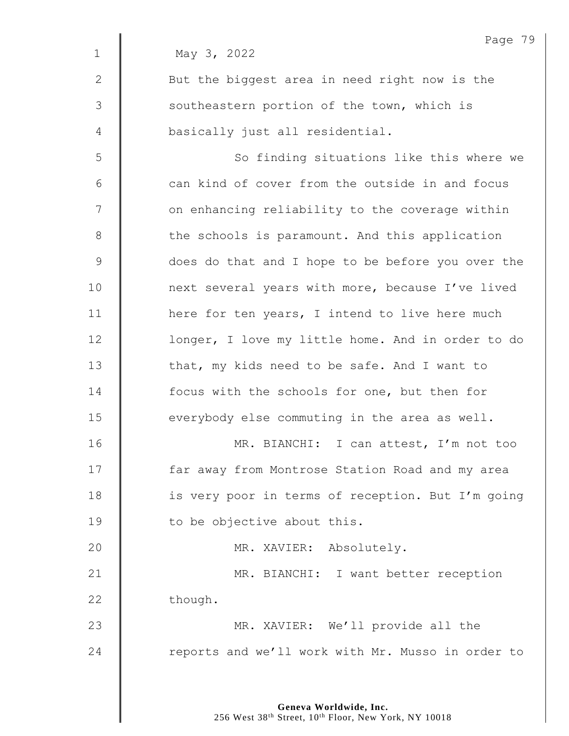|              | Page 79                                           |
|--------------|---------------------------------------------------|
| $\mathbf 1$  | May 3, 2022                                       |
| $\mathbf{2}$ | But the biggest area in need right now is the     |
| 3            | southeastern portion of the town, which is        |
| 4            | basically just all residential.                   |
| 5            | So finding situations like this where we          |
| 6            | can kind of cover from the outside in and focus   |
| 7            | on enhancing reliability to the coverage within   |
| $\,8\,$      | the schools is paramount. And this application    |
| 9            | does do that and I hope to be before you over the |
| 10           | next several years with more, because I've lived  |
| 11           | here for ten years, I intend to live here much    |
| 12           | longer, I love my little home. And in order to do |
| 13           | that, my kids need to be safe. And I want to      |
| 14           | focus with the schools for one, but then for      |
| 15           | everybody else commuting in the area as well.     |
| 16           | MR. BIANCHI: I can attest, I'm not too            |
| 17           | far away from Montrose Station Road and my area   |
| 18           | is very poor in terms of reception. But I'm going |
| 19           | to be objective about this.                       |
| 20           | MR. XAVIER: Absolutely.                           |
| 21           | MR. BIANCHI: I want better reception              |
| 22           | though.                                           |
| 23           | MR. XAVIER: We'll provide all the                 |
| 24           | reports and we'll work with Mr. Musso in order to |
|              |                                                   |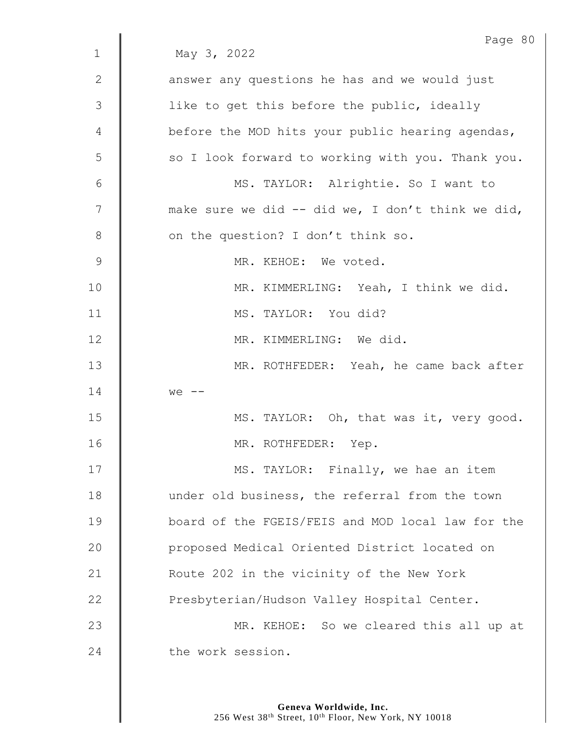|              | Page 80                                           |
|--------------|---------------------------------------------------|
| $\mathbf 1$  | May 3, 2022                                       |
| $\mathbf{2}$ | answer any questions he has and we would just     |
| 3            | like to get this before the public, ideally       |
| 4            | before the MOD hits your public hearing agendas,  |
| 5            | so I look forward to working with you. Thank you. |
| 6            | MS. TAYLOR: Alrightie. So I want to               |
| 7            | make sure we did -- did we, I don't think we did, |
| 8            | on the question? I don't think so.                |
| $\mathsf 9$  | MR. KEHOE: We voted.                              |
| 10           | MR. KIMMERLING: Yeah, I think we did.             |
| 11           | MS. TAYLOR: You did?                              |
| 12           | MR. KIMMERLING: We did.                           |
| 13           | MR. ROTHFEDER: Yeah, he came back after           |
| 14           | $we$ $-$                                          |
| 15           | MS. TAYLOR: Oh, that was it, very good.           |
| 16           | MR. ROTHFEDER: Yep.                               |
| 17           | MS. TAYLOR: Finally, we hae an item               |
| 18           | under old business, the referral from the town    |
| 19           | board of the FGEIS/FEIS and MOD local law for the |
| 20           | proposed Medical Oriented District located on     |
| 21           | Route 202 in the vicinity of the New York         |
| 22           | Presbyterian/Hudson Valley Hospital Center.       |
| 23           | MR. KEHOE: So we cleared this all up at           |
| 24           | the work session.                                 |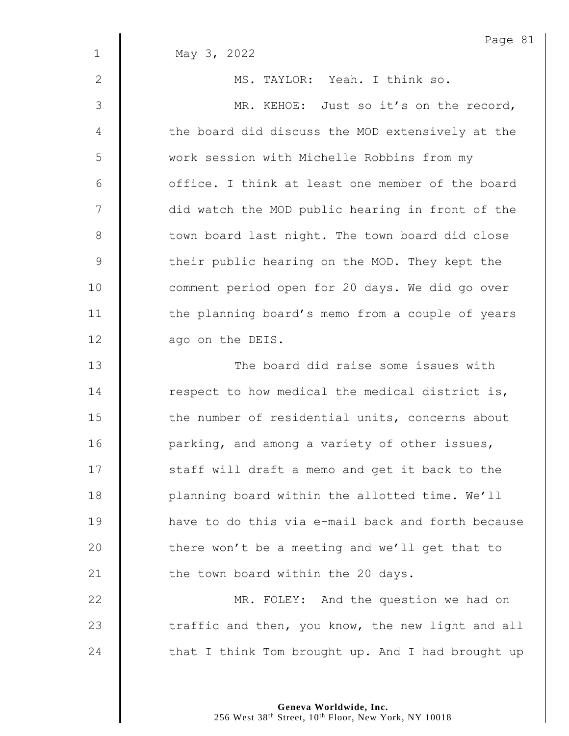|              | Page 81                                           |
|--------------|---------------------------------------------------|
| $\mathbf{1}$ | May 3, 2022                                       |
| 2            | MS. TAYLOR: Yeah. I think so.                     |
| 3            | MR. KEHOE: Just so it's on the record,            |
| 4            | the board did discuss the MOD extensively at the  |
| 5            | work session with Michelle Robbins from my        |
| 6            | office. I think at least one member of the board  |
| 7            | did watch the MOD public hearing in front of the  |
| 8            | town board last night. The town board did close   |
| 9            | their public hearing on the MOD. They kept the    |
| 10           | comment period open for 20 days. We did go over   |
| 11           | the planning board's memo from a couple of years  |
| 12           | ago on the DEIS.                                  |
| 13           | The board did raise some issues with              |
| 14           | respect to how medical the medical district is,   |
| 15           | the number of residential units, concerns about   |
| 16           | parking, and among a variety of other issues,     |
| 17           | staff will draft a memo and get it back to the    |
| 18           | planning board within the allotted time. We'll    |
| 19           | have to do this via e-mail back and forth because |
| 20           | there won't be a meeting and we'll get that to    |
| 21           | the town board within the 20 days.                |
| 22           | MR. FOLEY: And the question we had on             |
| 23           | traffic and then, you know, the new light and all |
| 24           | that I think Tom brought up. And I had brought up |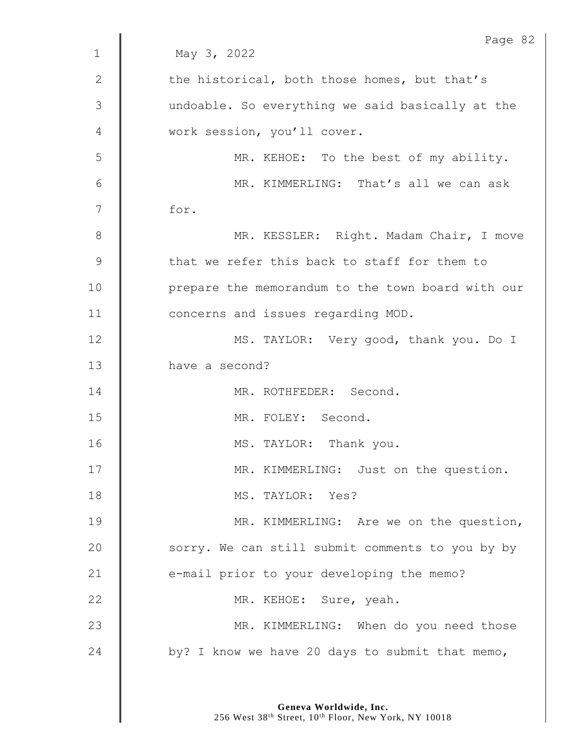|               | Page 82                                           |
|---------------|---------------------------------------------------|
| $\mathbf{1}$  | May 3, 2022                                       |
| $\mathbf{2}$  | the historical, both those homes, but that's      |
| 3             | undoable. So everything we said basically at the  |
| 4             | work session, you'll cover.                       |
| 5             | MR. KEHOE: To the best of my ability.             |
| 6             | MR. KIMMERLING: That's all we can ask             |
| 7             | for.                                              |
| 8             | MR. KESSLER: Right. Madam Chair, I move           |
| $\mathcal{G}$ | that we refer this back to staff for them to      |
| 10            | prepare the memorandum to the town board with our |
| 11            | concerns and issues regarding MOD.                |
| 12            | MS. TAYLOR: Very good, thank you. Do I            |
| 13            | have a second?                                    |
| 14            | MR. ROTHFEDER: Second.                            |
| 15            | MR. FOLEY: Second.                                |
| 16            | MS. TAYLOR: Thank you.                            |
| 17            | MR. KIMMERLING: Just on the question.             |
| 18            | MS. TAYLOR: Yes?                                  |
| 19            | MR. KIMMERLING: Are we on the question,           |
| 20            | sorry. We can still submit comments to you by by  |
| 21            | e-mail prior to your developing the memo?         |
| 22            | MR. KEHOE: Sure, yeah.                            |
| 23            | MR. KIMMERLING: When do you need those            |
| 24            | by? I know we have 20 days to submit that memo,   |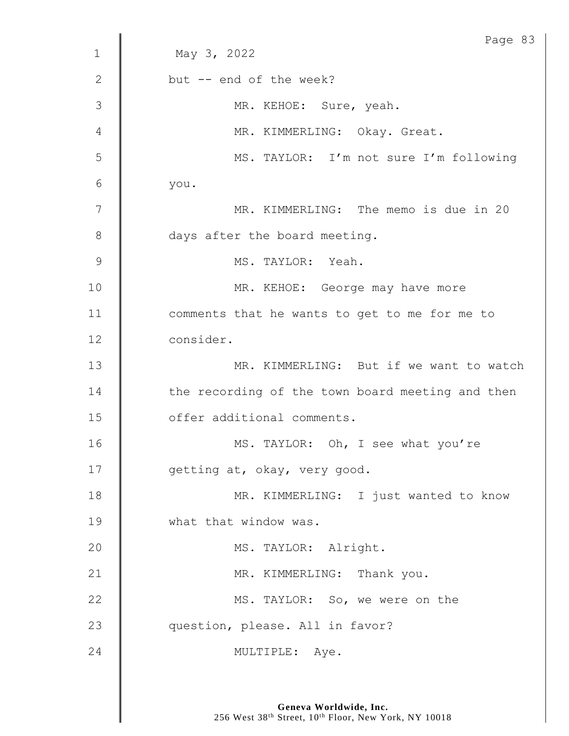|              | Page 83                                          |
|--------------|--------------------------------------------------|
| $\mathbf{1}$ | May 3, 2022                                      |
| $\mathbf{2}$ | but -- end of the week?                          |
| 3            | MR. KEHOE: Sure, yeah.                           |
| 4            | MR. KIMMERLING: Okay. Great.                     |
| 5            | MS. TAYLOR: I'm not sure I'm following           |
| 6            | you.                                             |
| 7            | MR. KIMMERLING: The memo is due in 20            |
| 8            | days after the board meeting.                    |
| 9            | MS. TAYLOR: Yeah.                                |
| 10           | MR. KEHOE: George may have more                  |
| 11           | comments that he wants to get to me for me to    |
| 12           | consider.                                        |
| 13           | MR. KIMMERLING: But if we want to watch          |
| 14           | the recording of the town board meeting and then |
| 15           | offer additional comments.                       |
| 16           | MS. TAYLOR: Oh, I see what you're                |
| 17           | getting at, okay, very good.                     |
| 18           | MR. KIMMERLING: I just wanted to know            |
| 19           | what that window was.                            |
| 20           | MS. TAYLOR: Alright.                             |
| 21           | MR. KIMMERLING: Thank you.                       |
| 22           | MS. TAYLOR: So, we were on the                   |
| 23           | question, please. All in favor?                  |
| 24           | MULTIPLE: Aye.                                   |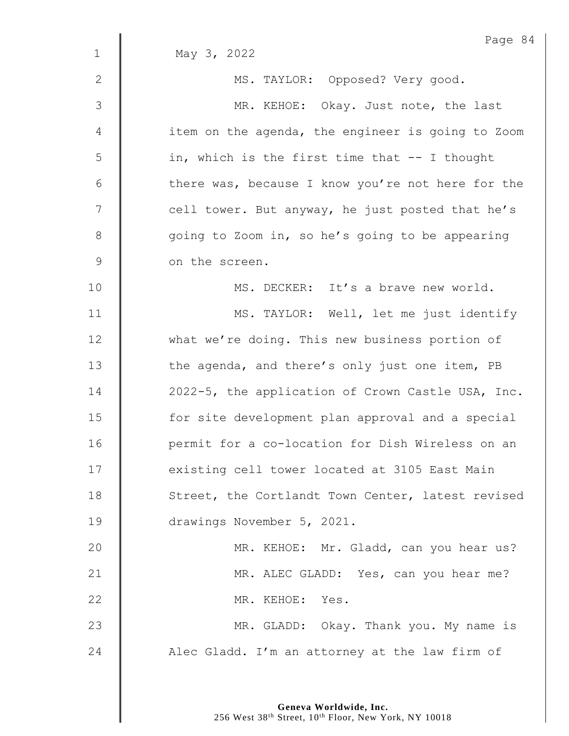|              | Page 84                                           |
|--------------|---------------------------------------------------|
| $\mathbf{1}$ | May 3, 2022                                       |
| 2            | MS. TAYLOR: Opposed? Very good.                   |
| 3            | MR. KEHOE: Okay. Just note, the last              |
| 4            | item on the agenda, the engineer is going to Zoom |
| 5            | in, which is the first time that -- I thought     |
| 6            | there was, because I know you're not here for the |
| 7            | cell tower. But anyway, he just posted that he's  |
| 8            | going to Zoom in, so he's going to be appearing   |
| $\mathsf 9$  | on the screen.                                    |
| 10           | MS. DECKER: It's a brave new world.               |
| 11           | MS. TAYLOR: Well, let me just identify            |
| 12           | what we're doing. This new business portion of    |
| 13           | the agenda, and there's only just one item, PB    |
| 14           | 2022-5, the application of Crown Castle USA, Inc. |
| 15           | for site development plan approval and a special  |
| 16           | permit for a co-location for Dish Wireless on an  |
| 17           | existing cell tower located at 3105 East Main     |
| 18           | Street, the Cortlandt Town Center, latest revised |
| 19           | drawings November 5, 2021.                        |
| 20           | MR. KEHOE: Mr. Gladd, can you hear us?            |
| 21           | MR. ALEC GLADD: Yes, can you hear me?             |
| 22           | MR. KEHOE: Yes.                                   |
| 23           | MR. GLADD: Okay. Thank you. My name is            |
| 24           | Alec Gladd. I'm an attorney at the law firm of    |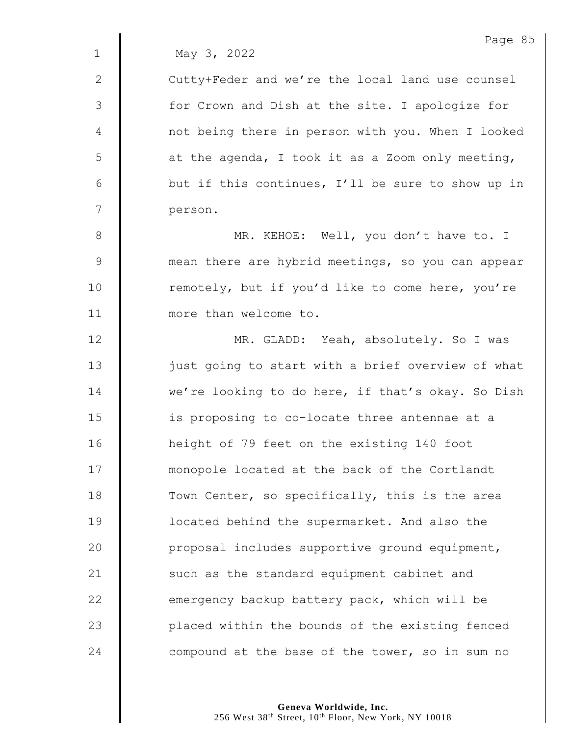1 May 3, 2022

2 | Cutty+Feder and we're the local land use counsel 3 | for Crown and Dish at the site. I apologize for 4 | not being there in person with you. When I looked  $5 \parallel$  at the agenda, I took it as a Zoom only meeting, 6  $\parallel$  but if this continues, I'll be sure to show up in 7 person.

8 || MR. KEHOE: Well, you don't have to. I 9 mean there are hybrid meetings, so you can appear 10 | remotely, but if you'd like to come here, you're 11 **I** more than welcome to.

12 | MR. GLADD: Yeah, absolutely. So I was 13 | just going to start with a brief overview of what 14 we're looking to do here, if that's okay. So Dish 15 | is proposing to co-locate three antennae at a 16 height of 79 feet on the existing 140 foot 17 **Music 1** monopole located at the back of the Cortlandt 18 Town Center, so specifically, this is the area 19 **deger** 19 located behind the supermarket. And also the 20 | proposal includes supportive ground equipment, 21  $\parallel$  such as the standard equipment cabinet and 22  $\parallel$  emergency backup battery pack, which will be 23 **placed within the bounds of the existing fenced** 24  $\parallel$  compound at the base of the tower, so in sum no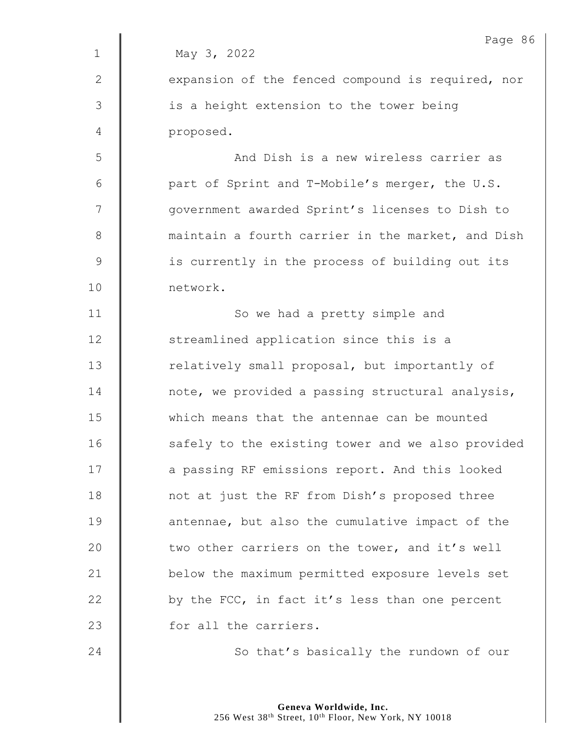|              | Page 8                                            |
|--------------|---------------------------------------------------|
| $\mathbf{1}$ | May 3, 2022                                       |
| $\mathbf{2}$ | expansion of the fenced compound is required, nor |
| 3            | is a height extension to the tower being          |
| 4            | proposed.                                         |
| 5            | And Dish is a new wireless carrier as             |
| 6            | part of Sprint and T-Mobile's merger, the U.S.    |
| 7            | government awarded Sprint's licenses to Dish to   |
| $\,8\,$      | maintain a fourth carrier in the market, and Dish |
| $\mathsf 9$  | is currently in the process of building out its   |
| 10           | network.                                          |
| 11           | So we had a pretty simple and                     |
| 12           | streamlined application since this is a           |
| 13           | relatively small proposal, but importantly of     |
| 14           | note, we provided a passing structural analysis,  |
| 15           | which means that the antennae can be mounted      |
| 16           | safely to the existing tower and we also provided |
| 17           | a passing RF emissions report. And this looked    |
| 18           | not at just the RF from Dish's proposed three     |
| 19           | antennae, but also the cumulative impact of the   |
| 20           | two other carriers on the tower, and it's well    |
| 21           | below the maximum permitted exposure levels set   |
| 22           | by the FCC, in fact it's less than one percent    |
| 23           | for all the carriers.                             |
| 24           | So that's basically the rundown of our            |

 $6 \,$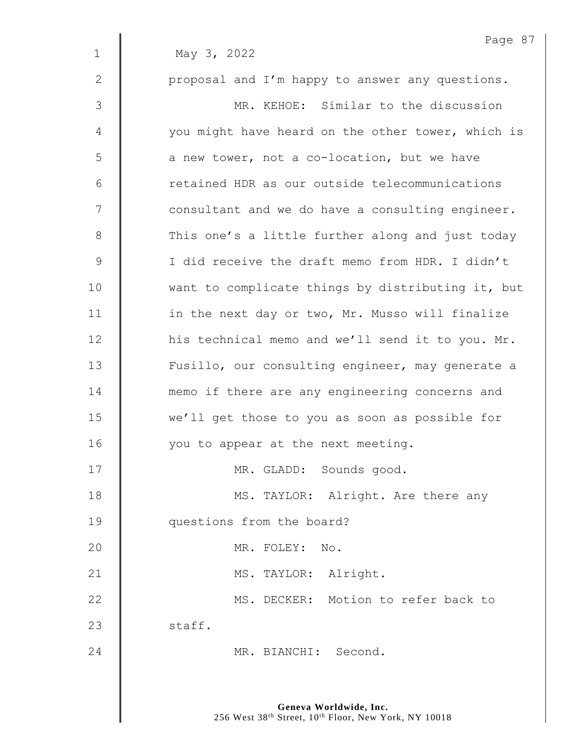|               | Page 87                                           |
|---------------|---------------------------------------------------|
| $\mathbf{1}$  | May 3, 2022                                       |
| $\mathbf{2}$  | proposal and I'm happy to answer any questions.   |
| 3             | MR. KEHOE: Similar to the discussion              |
| 4             | you might have heard on the other tower, which is |
| 5             | a new tower, not a co-location, but we have       |
| 6             | retained HDR as our outside telecommunications    |
| 7             | consultant and we do have a consulting engineer.  |
| $8\,$         | This one's a little further along and just today  |
| $\mathcal{G}$ | I did receive the draft memo from HDR. I didn't   |
| 10            | want to complicate things by distributing it, but |
| 11            | in the next day or two, Mr. Musso will finalize   |
| 12            | his technical memo and we'll send it to you. Mr.  |
| 13            | Fusillo, our consulting engineer, may generate a  |
| 14            | memo if there are any engineering concerns and    |
| 15            | we'll get those to you as soon as possible for    |
| 16            | you to appear at the next meeting.                |
| 17            | MR. GLADD: Sounds good.                           |
| 18            | MS. TAYLOR: Alright. Are there any                |
| 19            | questions from the board?                         |
| 20            | MR. FOLEY: No.                                    |
| 21            | MS. TAYLOR: Alright.                              |
| 22            | MS. DECKER: Motion to refer back to               |
| 23            | staff.                                            |
| 24            | MR. BIANCHI: Second.                              |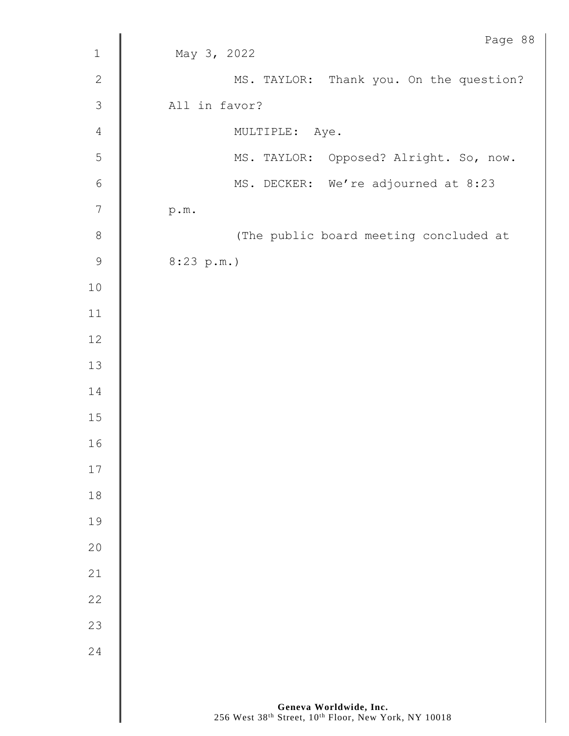|                  | Page 88                                 |
|------------------|-----------------------------------------|
| $\mathbf 1$      | May 3, 2022                             |
| $\mathbf{2}$     | MS. TAYLOR: Thank you. On the question? |
| $\mathfrak{Z}$   | All in favor?                           |
| $\sqrt{4}$       | MULTIPLE: Aye.                          |
| 5                | MS. TAYLOR: Opposed? Alright. So, now.  |
| $\sqrt{6}$       | MS. DECKER: We're adjourned at 8:23     |
| $\boldsymbol{7}$ | p.m.                                    |
| $\,8\,$          | (The public board meeting concluded at  |
| $\mathsf 9$      | 8:23 p.m.)                              |
| $10$             |                                         |
| $11\,$           |                                         |
| 12               |                                         |
| $13$             |                                         |
| 14               |                                         |
| $15\,$           |                                         |
| 16               |                                         |
| $17$             |                                         |
| 18               |                                         |
| 19               |                                         |
| 20               |                                         |
| 21               |                                         |
| 22               |                                         |
| 23               |                                         |
| 24               |                                         |
|                  |                                         |